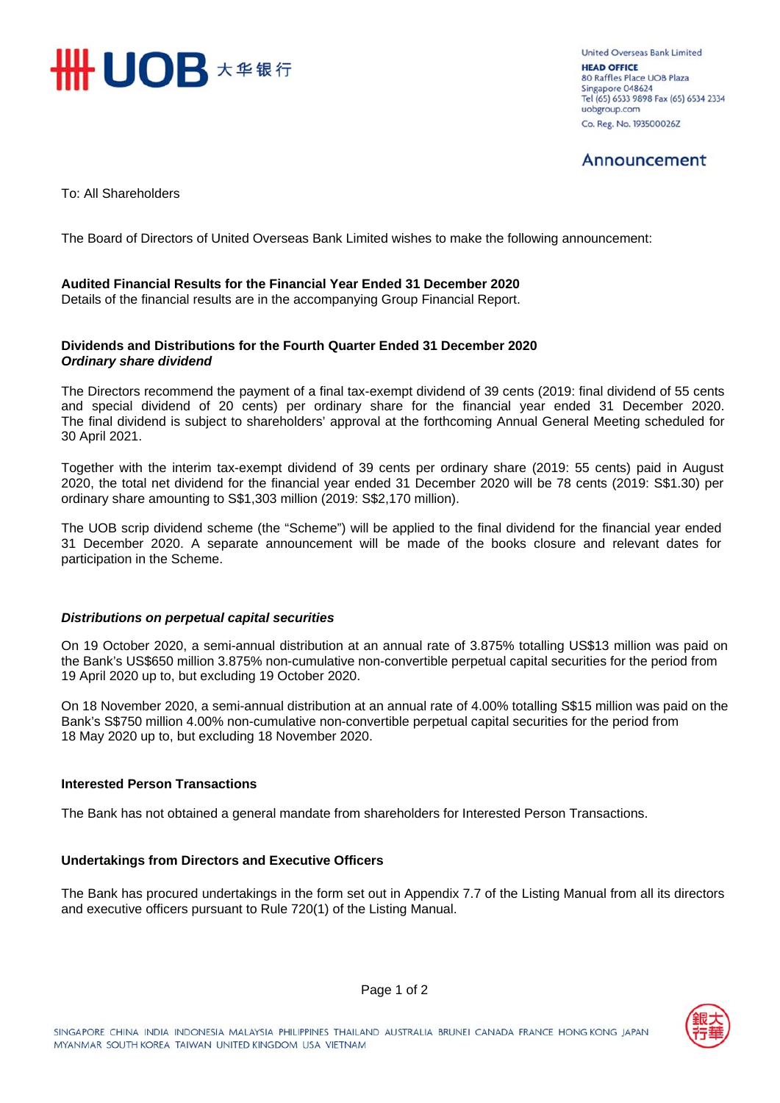

United Overseas Bank Limited **HEAD OFFICE** 80 Raffles Place UOB Plaza Singapore 048624 Tel (65) 6533 9898 Fax (65) 6534 2334 uobgroup.com Co. Reg. No. 193500026Z

## Announcement

To: All Shareholders

The Board of Directors of United Overseas Bank Limited wishes to make the following announcement:

## **Audited Financial Results for the Financial Year Ended 31 December 2020**

Details of the financial results are in the accompanying Group Financial Report.

## **Dividends and Distributions for the Fourth Quarter Ended 31 December 2020**  *Ordinary share dividend*

The Directors recommend the payment of a final tax-exempt dividend of 39 cents (2019: final dividend of 55 cents and special dividend of 20 cents) per ordinary share for the financial year ended 31 December 2020. The final dividend is subject to shareholders' approval at the forthcoming Annual General Meeting scheduled for 30 April 2021.

Together with the interim tax-exempt dividend of 39 cents per ordinary share (2019: 55 cents) paid in August 2020, the total net dividend for the financial year ended 31 December 2020 will be 78 cents (2019: S\$1.30) per ordinary share amounting to S\$1,303 million (2019: S\$2,170 million).

The UOB scrip dividend scheme (the "Scheme") will be applied to the final dividend for the financial year ended 31 December 2020. A separate announcement will be made of the books closure and relevant dates for participation in the Scheme.

## *Distributions on perpetual capital securities*

On 19 October 2020, a semi-annual distribution at an annual rate of 3.875% totalling US\$13 million was paid on the Bank's US\$650 million 3.875% non-cumulative non-convertible perpetual capital securities for the period from 19 April 2020 up to, but excluding 19 October 2020.

On 18 November 2020, a semi-annual distribution at an annual rate of 4.00% totalling S\$15 million was paid on the Bank's S\$750 million 4.00% non-cumulative non-convertible perpetual capital securities for the period from 18 May 2020 up to, but excluding 18 November 2020.

## **Interested Person Transactions**

The Bank has not obtained a general mandate from shareholders for Interested Person Transactions.

## **Undertakings from Directors and Executive Officers**

The Bank has procured undertakings in the form set out in Appendix 7.7 of the Listing Manual from all its directors and executive officers pursuant to Rule 720(1) of the Listing Manual.

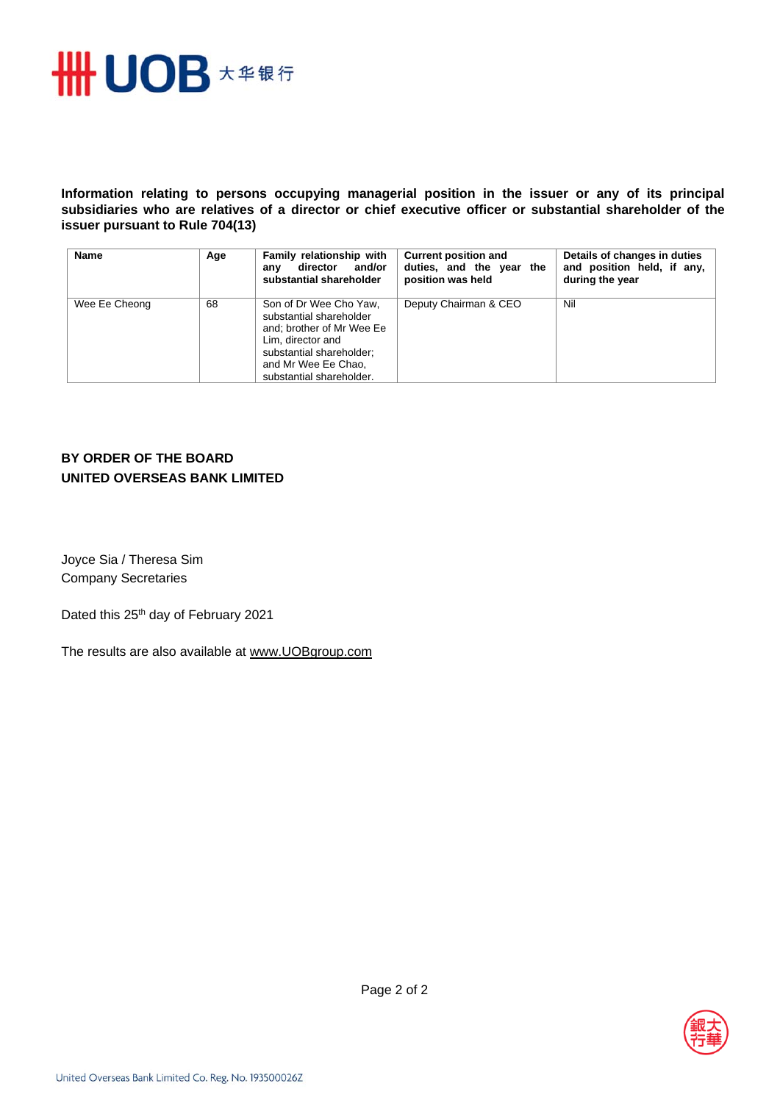

**Information relating to persons occupying managerial position in the issuer or any of its principal subsidiaries who are relatives of a director or chief executive officer or substantial shareholder of the issuer pursuant to Rule 704(13)** 

| <b>Name</b>   | Age | Family relationship with<br>director<br>and/or<br>anv<br>substantial shareholder                                                                                                   | <b>Current position and</b><br>duties, and the year the<br>position was held | Details of changes in duties<br>and position held, if any,<br>during the year |
|---------------|-----|------------------------------------------------------------------------------------------------------------------------------------------------------------------------------------|------------------------------------------------------------------------------|-------------------------------------------------------------------------------|
| Wee Ee Cheong | 68  | Son of Dr Wee Cho Yaw,<br>substantial shareholder<br>and; brother of Mr Wee Ee<br>Lim. director and<br>substantial shareholder;<br>and Mr Wee Ee Chao,<br>substantial shareholder. | Deputy Chairman & CEO                                                        | Nil                                                                           |

## **BY ORDER OF THE BOARD UNITED OVERSEAS BANK LIMITED**

Joyce Sia / Theresa Sim Company Secretaries

Dated this 25<sup>th</sup> day of February 2021

The results are also available at www.UOBgroup.com

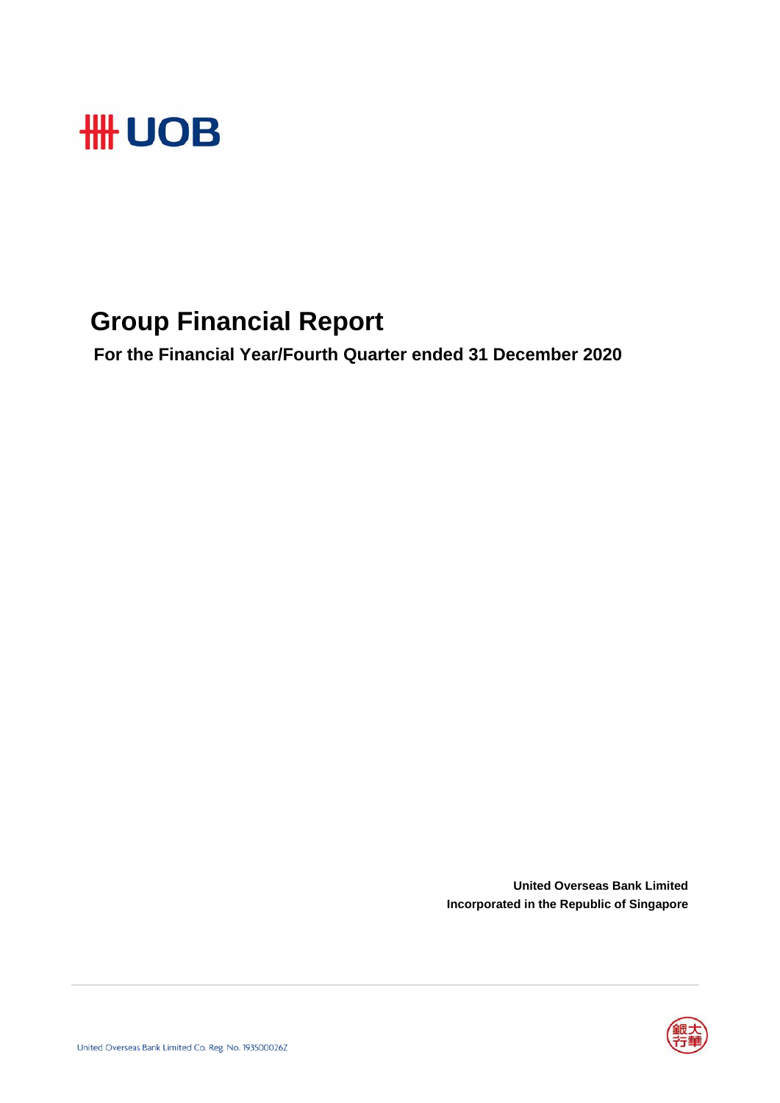

## **Group Financial Report**

 **For the Financial Year/Fourth Quarter ended 31 December 2020**

**United Overseas Bank Limited Incorporated in the Republic of Singapore**

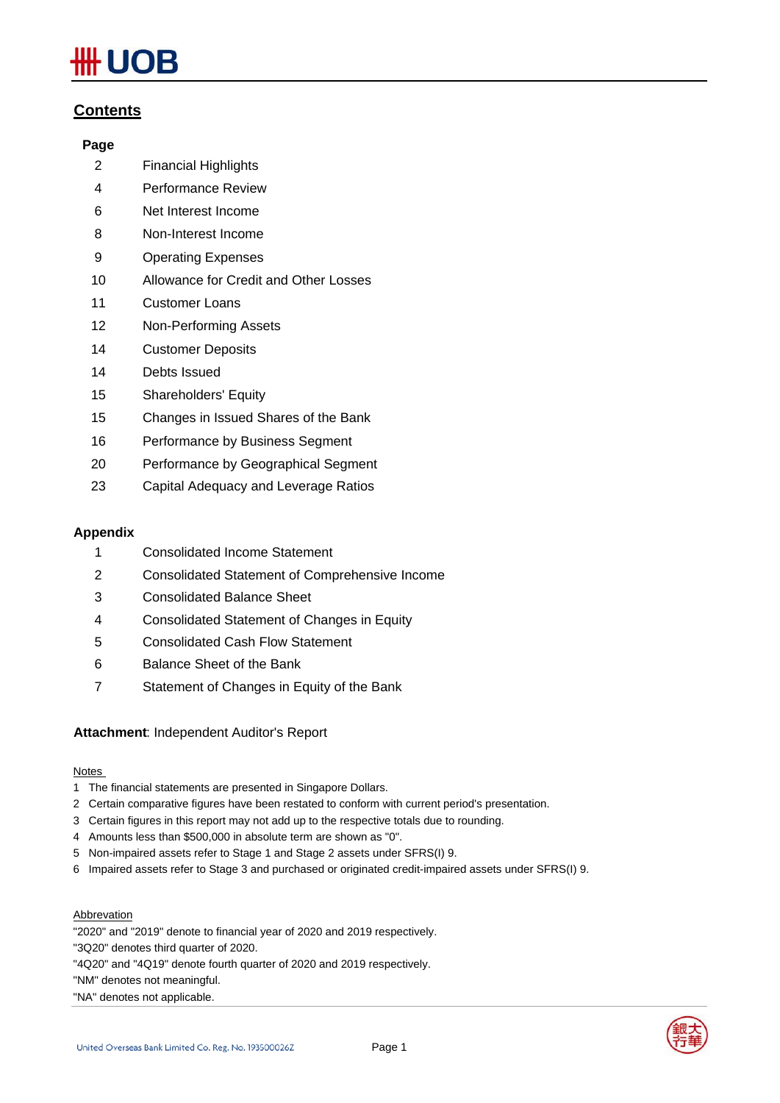# **IOB**

## **Contents**

## **Page**

- 2 Financial Highlights
- 4 Performance Review
- 6 Net Interest Income
- 8 Non-Interest Income
- 9 Operating Expenses
- 10 Allowance for Credit and Other Losses
- 11 Customer Loans
- 12 Non-Performing Assets
- 14 Customer Deposits
- 14 Debts Issued
- 15 Shareholders' Equity
- 15 Changes in Issued Shares of the Bank
- 16 Performance by Business Segment
- 20 Performance by Geographical Segment
- 23 Capital Adequacy and Leverage Ratios

## **Appendix**

- 1 Consolidated Income Statement
- 2 Consolidated Statement of Comprehensive Income
- 3 Consolidated Balance Sheet
- 4 Consolidated Statement of Changes in Equity
- 5 Consolidated Cash Flow Statement
- 6 Balance Sheet of the Bank
- 7 Statement of Changes in Equity of the Bank

## **Attachment**: Independent Auditor's Report

## Notes

- 1 The financial statements are presented in Singapore Dollars.
- 2 Certain comparative figures have been restated to conform with current period's presentation.
- 3 Certain figures in this report may not add up to the respective totals due to rounding.
- 4 Amounts less than \$500,000 in absolute term are shown as "0".
- 5 Non-impaired assets refer to Stage 1 and Stage 2 assets under SFRS(I) 9.
- 6 Impaired assets refer to Stage 3 and purchased or originated credit-impaired assets under SFRS(I) 9.

## Abbrevation

"2020" and "2019" denote to financial year of 2020 and 2019 respectively.

"3Q20" denotes third quarter of 2020.

"4Q20" and "4Q19" denote fourth quarter of 2020 and 2019 respectively.

"NM" denotes not meaningful.



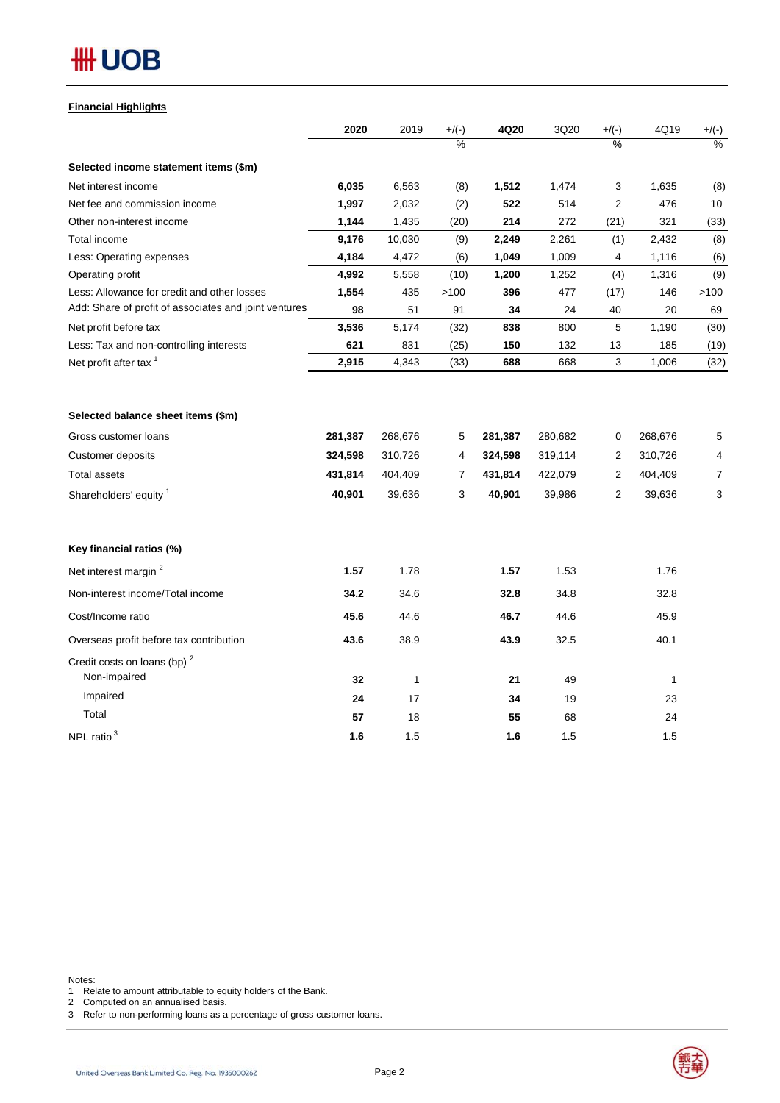| <b>Financial Highlights</b> |
|-----------------------------|
|                             |

|                                                         | 2020    | 2019         | $+/(-)$ | 4Q20    | 3Q20    | $+/(-)$ | 4Q19    | $+/(-)$        |
|---------------------------------------------------------|---------|--------------|---------|---------|---------|---------|---------|----------------|
|                                                         |         |              | $\%$    |         |         | $\%$    |         | $\%$           |
| Selected income statement items (\$m)                   |         |              |         |         |         |         |         |                |
| Net interest income                                     | 6,035   | 6,563        | (8)     | 1,512   | 1,474   | 3       | 1,635   | (8)            |
| Net fee and commission income                           | 1,997   | 2,032        | (2)     | 522     | 514     | 2       | 476     | 10             |
| Other non-interest income                               | 1,144   | 1,435        | (20)    | 214     | 272     | (21)    | 321     | (33)           |
| Total income                                            | 9,176   | 10,030       | (9)     | 2,249   | 2,261   | (1)     | 2,432   | (8)            |
| Less: Operating expenses                                | 4,184   | 4,472        | (6)     | 1,049   | 1,009   | 4       | 1,116   | (6)            |
| Operating profit                                        | 4,992   | 5,558        | (10)    | 1,200   | 1,252   | (4)     | 1,316   | (9)            |
| Less: Allowance for credit and other losses             | 1,554   | 435          | >100    | 396     | 477     | (17)    | 146     | >100           |
| Add: Share of profit of associates and joint ventures   | 98      | 51           | 91      | 34      | 24      | 40      | 20      | 69             |
| Net profit before tax                                   | 3,536   | 5,174        | (32)    | 838     | 800     | 5       | 1,190   | (30)           |
| Less: Tax and non-controlling interests                 | 621     | 831          | (25)    | 150     | 132     | 13      | 185     | (19)           |
| Net profit after tax <sup>1</sup>                       | 2,915   | 4,343        | (33)    | 688     | 668     | 3       | 1,006   | (32)           |
| Selected balance sheet items (\$m)                      |         |              |         |         |         |         |         |                |
| Gross customer loans                                    | 281,387 | 268,676      | 5       | 281,387 | 280,682 | 0       | 268,676 | 5              |
| Customer deposits                                       | 324,598 | 310,726      | 4       | 324,598 | 319,114 | 2       | 310,726 | 4              |
| <b>Total assets</b>                                     | 431,814 | 404,409      | 7       | 431,814 | 422,079 | 2       | 404,409 | $\overline{7}$ |
| Shareholders' equity <sup>1</sup>                       | 40,901  | 39,636       | 3       | 40,901  | 39,986  | 2       | 39,636  | 3              |
| Key financial ratios (%)                                |         |              |         |         |         |         |         |                |
| Net interest margin <sup>2</sup>                        | 1.57    | 1.78         |         | 1.57    | 1.53    |         | 1.76    |                |
| Non-interest income/Total income                        | 34.2    | 34.6         |         | 32.8    | 34.8    |         | 32.8    |                |
| Cost/Income ratio                                       | 45.6    | 44.6         |         | 46.7    | 44.6    |         | 45.9    |                |
| Overseas profit before tax contribution                 | 43.6    | 38.9         |         | 43.9    | 32.5    |         | 40.1    |                |
| Credit costs on loans (bp) <sup>2</sup><br>Non-impaired | 32      | $\mathbf{1}$ |         | 21      | 49      |         | 1       |                |
| Impaired                                                | 24      | 17           |         | 34      | 19      |         | 23      |                |
| Total                                                   | 57      | 18           |         | 55      | 68      |         | 24      |                |
| NPL ratio <sup>3</sup>                                  | 1.6     | 1.5          |         | 1.6     | 1.5     |         | 1.5     |                |

Notes:

1 Relate to amount attributable to equity holders of the Bank.

2 Computed on an annualised basis.

3 Refer to non-performing loans as a percentage of gross customer loans.



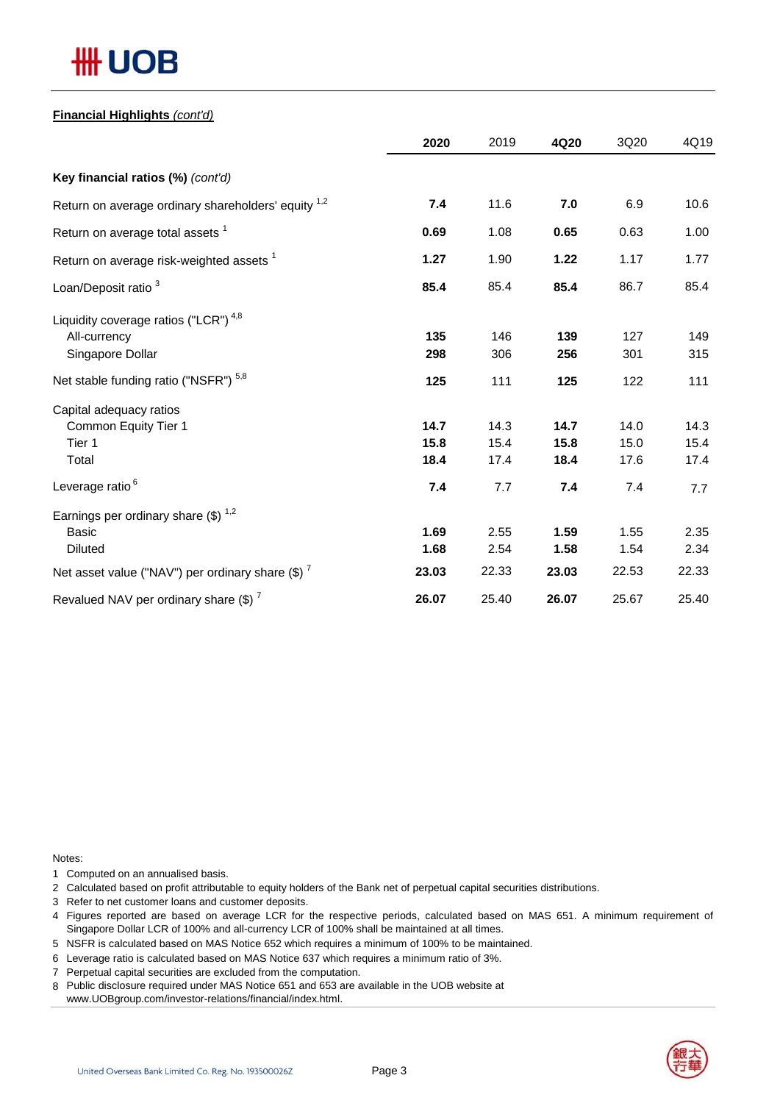## **Financial Highlights** *(cont'd)*

|                                                     | 2020  | 2019  | 4Q20  | 3Q20  | 4Q19  |
|-----------------------------------------------------|-------|-------|-------|-------|-------|
| Key financial ratios (%) (cont'd)                   |       |       |       |       |       |
| Return on average ordinary shareholders' equity 1,2 | 7.4   | 11.6  | 7.0   | 6.9   | 10.6  |
| Return on average total assets <sup>1</sup>         | 0.69  | 1.08  | 0.65  | 0.63  | 1.00  |
| Return on average risk-weighted assets <sup>1</sup> | 1.27  | 1.90  | 1.22  | 1.17  | 1.77  |
| Loan/Deposit ratio <sup>3</sup>                     | 85.4  | 85.4  | 85.4  | 86.7  | 85.4  |
| Liquidity coverage ratios ("LCR") <sup>4,8</sup>    |       |       |       |       |       |
| All-currency                                        | 135   | 146   | 139   | 127   | 149   |
| Singapore Dollar                                    | 298   | 306   | 256   | 301   | 315   |
| Net stable funding ratio ("NSFR") <sup>5,8</sup>    | 125   | 111   | 125   | 122   | 111   |
| Capital adequacy ratios                             |       |       |       |       |       |
| Common Equity Tier 1                                | 14.7  | 14.3  | 14.7  | 14.0  | 14.3  |
| Tier 1                                              | 15.8  | 15.4  | 15.8  | 15.0  | 15.4  |
| Total                                               | 18.4  | 17.4  | 18.4  | 17.6  | 17.4  |
| Leverage ratio <sup>6</sup>                         | 7.4   | 7.7   | 7.4   | 7.4   | 7.7   |
| Earnings per ordinary share $(\$)^{1,2}$            |       |       |       |       |       |
| <b>Basic</b>                                        | 1.69  | 2.55  | 1.59  | 1.55  | 2.35  |
| <b>Diluted</b>                                      | 1.68  | 2.54  | 1.58  | 1.54  | 2.34  |
| Net asset value ("NAV") per ordinary share $(\$)^7$ | 23.03 | 22.33 | 23.03 | 22.53 | 22.33 |
| Revalued NAV per ordinary share $(\$)$ <sup>7</sup> | 26.07 | 25.40 | 26.07 | 25.67 | 25.40 |

Notes:

1 Computed on an annualised basis.

2 Calculated based on profit attributable to equity holders of the Bank net of perpetual capital securities distributions.

- 3 Refer to net customer loans and customer deposits.
- 4 Figures reported are based on average LCR for the respective periods, calculated based on MAS 651. A minimum requirement of Singapore Dollar LCR of 100% and all-currency LCR of 100% shall be maintained at all times.
- 5 NSFR is calculated based on MAS Notice 652 which requires a minimum of 100% to be maintained.
- 6 Leverage ratio is calculated based on MAS Notice 637 which requires a minimum ratio of 3%.
- 7 Perpetual capital securities are excluded from the computation.
- 8 Public disclosure required under MAS Notice 651 and 653 are available in the UOB website at
- www.UOBgroup.com/investor-relations/financial/index.html.

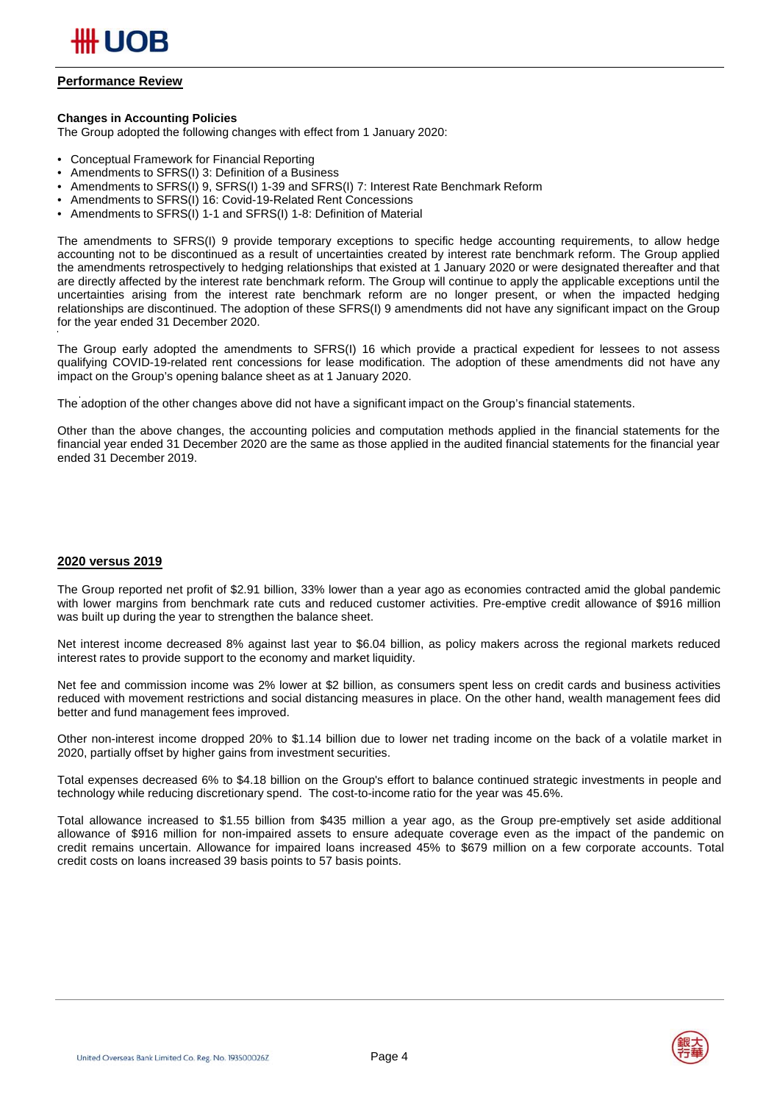

## **Performance Review**

### **Changes in Accounting Policies**

The Group adopted the following changes with effect from 1 January 2020:

- Conceptual Framework for Financial Reporting
- Amendments to SFRS(I) 3: Definition of a Business
- Amendments to SFRS(I) 9, SFRS(I) 1-39 and SFRS(I) 7: Interest Rate Benchmark Reform
- Amendments to SFRS(I) 16: Covid-19-Related Rent Concessions
- Amendments to SFRS(I) 1-1 and SFRS(I) 1-8: Definition of Material

The amendments to SFRS(I) 9 provide temporary exceptions to specific hedge accounting requirements, to allow hedge accounting not to be discontinued as a result of uncertainties created by interest rate benchmark reform. The Group applied the amendments retrospectively to hedging relationships that existed at 1 January 2020 or were designated thereafter and that are directly affected by the interest rate benchmark reform. The Group will continue to apply the applicable exceptions until the uncertainties arising from the interest rate benchmark reform are no longer present, or when the impacted hedging relationships are discontinued. The adoption of these SFRS(I) 9 amendments did not have any significant impact on the Group for the year ended 31 December 2020.

The Group early adopted the amendments to SFRS(I) 16 which provide a practical expedient for lessees to not assess qualifying COVID-19-related rent concessions for lease modification. The adoption of these amendments did not have any impact on the Group's opening balance sheet as at 1 January 2020.

The adoption of the other changes above did not have a significant impact on the Group's financial statements.

Other than the above changes, the accounting policies and computation methods applied in the financial statements for the financial year ended 31 December 2020 are the same as those applied in the audited financial statements for the financial year ended 31 December 2019.

#### **2020 versus 2019**

The Group reported net profit of \$2.91 billion, 33% lower than a year ago as economies contracted amid the global pandemic with lower margins from benchmark rate cuts and reduced customer activities. Pre-emptive credit allowance of \$916 million was built up during the year to strengthen the balance sheet.

Net interest income decreased 8% against last year to \$6.04 billion, as policy makers across the regional markets reduced interest rates to provide support to the economy and market liquidity.

Net fee and commission income was 2% lower at \$2 billion, as consumers spent less on credit cards and business activities reduced with movement restrictions and social distancing measures in place. On the other hand, wealth management fees did better and fund management fees improved.

Other non-interest income dropped 20% to \$1.14 billion due to lower net trading income on the back of a volatile market in 2020, partially offset by higher gains from investment securities.

Total expenses decreased 6% to \$4.18 billion on the Group's effort to balance continued strategic investments in people and technology while reducing discretionary spend. The cost-to-income ratio for the year was 45.6%.

Total allowance increased to \$1.55 billion from \$435 million a year ago, as the Group pre-emptively set aside additional allowance of \$916 million for non-impaired assets to ensure adequate coverage even as the impact of the pandemic on credit remains uncertain. Allowance for impaired loans increased 45% to \$679 million on a few corporate accounts. Total credit costs on loans increased 39 basis points to 57 basis points.



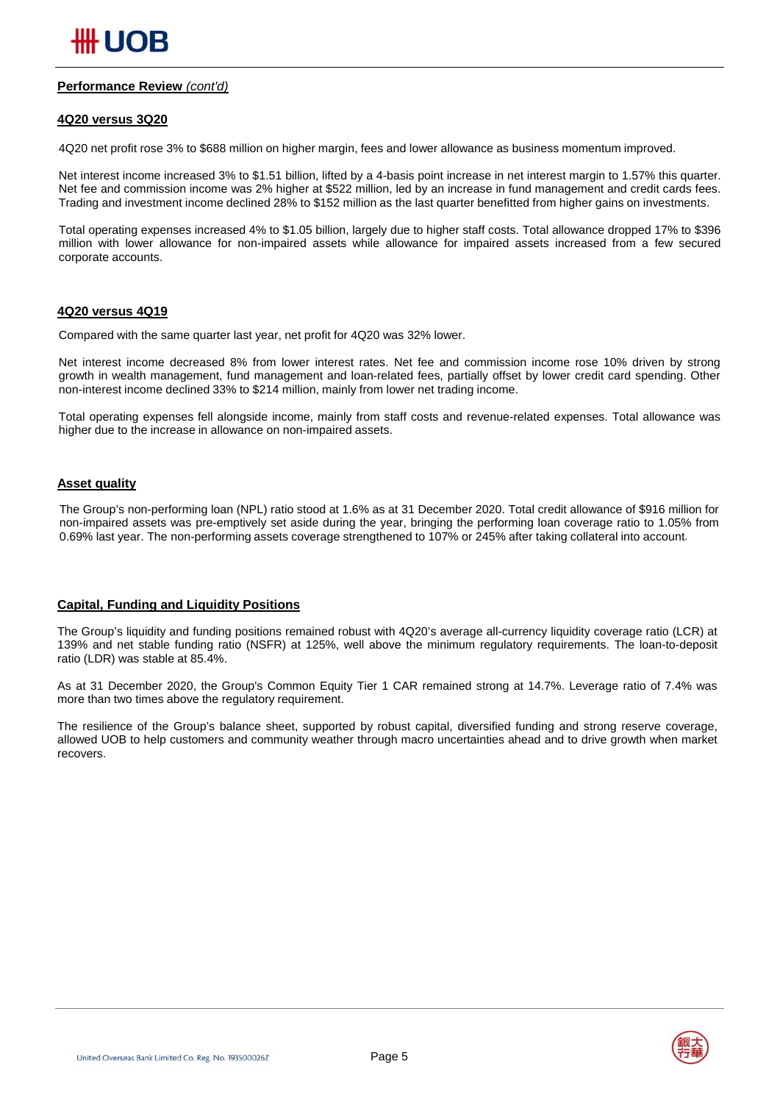## **Performance Review** *(cont'd)*

#### **4Q20 versus 3Q20**

4Q20 net profit rose 3% to \$688 million on higher margin, fees and lower allowance as business momentum improved.

Net interest income increased 3% to \$1.51 billion, lifted by a 4-basis point increase in net interest margin to 1.57% this quarter. Net fee and commission income was 2% higher at \$522 million, led by an increase in fund management and credit cards fees. Trading and investment income declined 28% to \$152 million as the last quarter benefitted from higher gains on investments.

Total operating expenses increased 4% to \$1.05 billion, largely due to higher staff costs. Total allowance dropped 17% to \$396 million with lower allowance for non-impaired assets while allowance for impaired assets increased from a few secured corporate accounts.

### **4Q20 versus 4Q19**

Compared with the same quarter last year, net profit for 4Q20 was 32% lower.

Net interest income decreased 8% from lower interest rates. Net fee and commission income rose 10% driven by strong growth in wealth management, fund management and loan-related fees, partially offset by lower credit card spending. Other non-interest income declined 33% to \$214 million, mainly from lower net trading income.

Total operating expenses fell alongside income, mainly from staff costs and revenue-related expenses. Total allowance was higher due to the increase in allowance on non-impaired assets.

### **Asset quality**

The Group's non-performing loan (NPL) ratio stood at 1.6% as at 31 December 2020. Total credit allowance of \$916 million for non-impaired assets was pre-emptively set aside during the year, bringing the performing loan coverage ratio to 1.05% from 0.69% last year. The non-performing assets coverage strengthened to 107% or 245% after taking collateral into account.

#### **Capital, Funding and Liquidity Positions**

The Group's liquidity and funding positions remained robust with 4Q20's average all-currency liquidity coverage ratio (LCR) at 139% and net stable funding ratio (NSFR) at 125%, well above the minimum regulatory requirements. The loan-to-deposit ratio (LDR) was stable at 85.4%.

As at 31 December 2020, the Group's Common Equity Tier 1 CAR remained strong at 14.7%. Leverage ratio of 7.4% was more than two times above the regulatory requirement.

The resilience of the Group's balance sheet, supported by robust capital, diversified funding and strong reserve coverage, allowed UOB to help customers and community weather through macro uncertainties ahead and to drive growth when market recovers.

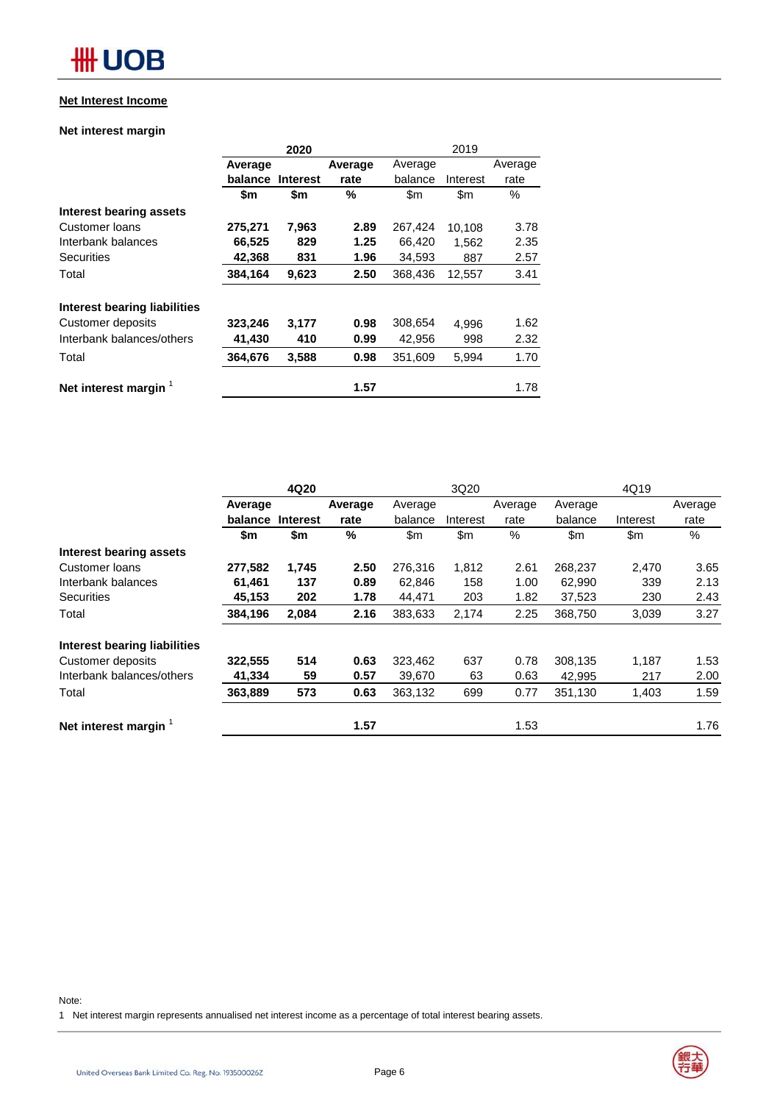## **Net Interest Income**

## **Net interest margin**

|                              |         | 2020            |         | 2019           |               |         |  |
|------------------------------|---------|-----------------|---------|----------------|---------------|---------|--|
|                              | Average |                 | Average | Average        |               | Average |  |
|                              | balance | <b>Interest</b> | rate    | balance        | Interest      | rate    |  |
|                              | \$m     | \$m             | %       | $\mathsf{S}$ m | $\mathsf{Sm}$ | $\%$    |  |
| Interest bearing assets      |         |                 |         |                |               |         |  |
| Customer Ioans               | 275,271 | 7,963           | 2.89    | 267,424        | 10.108        | 3.78    |  |
| Interbank balances           | 66,525  | 829             | 1.25    | 66,420         | 1.562         | 2.35    |  |
| <b>Securities</b>            | 42,368  | 831             | 1.96    | 34,593         | 887           | 2.57    |  |
| Total                        | 384,164 | 9,623           | 2.50    | 368,436        | 12,557        | 3.41    |  |
| Interest bearing liabilities |         |                 |         |                |               |         |  |
| Customer deposits            | 323,246 | 3,177           | 0.98    | 308,654        | 4.996         | 1.62    |  |
| Interbank balances/others    | 41.430  | 410             | 0.99    | 42,956         | 998           | 2.32    |  |
| Total                        | 364,676 | 3,588           | 0.98    | 351,609        | 5,994         | 1.70    |  |
| Net interest margin          |         |                 | 1.57    |                |               | 1.78    |  |

|                                     | 4Q20    |                 |      | 3Q20    |          |         | 4Q19          |               |         |
|-------------------------------------|---------|-----------------|------|---------|----------|---------|---------------|---------------|---------|
|                                     | Average | Average         |      | Average |          | Average | Average       |               | Average |
|                                     | balance | <b>Interest</b> | rate | balance | Interest | rate    | balance       | Interest      | rate    |
|                                     | \$m     | \$m             | %    | \$m     | \$m      | %       | $\mathsf{Sm}$ | $\mathsf{Sm}$ | $\%$    |
| Interest bearing assets             |         |                 |      |         |          |         |               |               |         |
| Customer Ioans                      | 277.582 | 1,745           | 2.50 | 276.316 | 1,812    | 2.61    | 268,237       | 2,470         | 3.65    |
| Interbank balances                  | 61,461  | 137             | 0.89 | 62,846  | 158      | 1.00    | 62,990        | 339           | 2.13    |
| <b>Securities</b>                   | 45,153  | 202             | 1.78 | 44,471  | 203      | 1.82    | 37,523        | 230           | 2.43    |
| Total                               | 384,196 | 2,084           | 2.16 | 383,633 | 2,174    | 2.25    | 368,750       | 3,039         | 3.27    |
| <b>Interest bearing liabilities</b> |         |                 |      |         |          |         |               |               |         |
| Customer deposits                   | 322,555 | 514             | 0.63 | 323,462 | 637      | 0.78    | 308,135       | 1,187         | 1.53    |
| Interbank balances/others           | 41,334  | 59              | 0.57 | 39,670  | 63       | 0.63    | 42,995        | 217           | 2.00    |
| Total                               | 363,889 | 573             | 0.63 | 363,132 | 699      | 0.77    | 351,130       | 1,403         | 1.59    |
| Net interest margin                 |         |                 | 1.57 |         |          | 1.53    |               |               | 1.76    |

Note:

1 Net interest margin represents annualised net interest income as a percentage of total interest bearing assets.

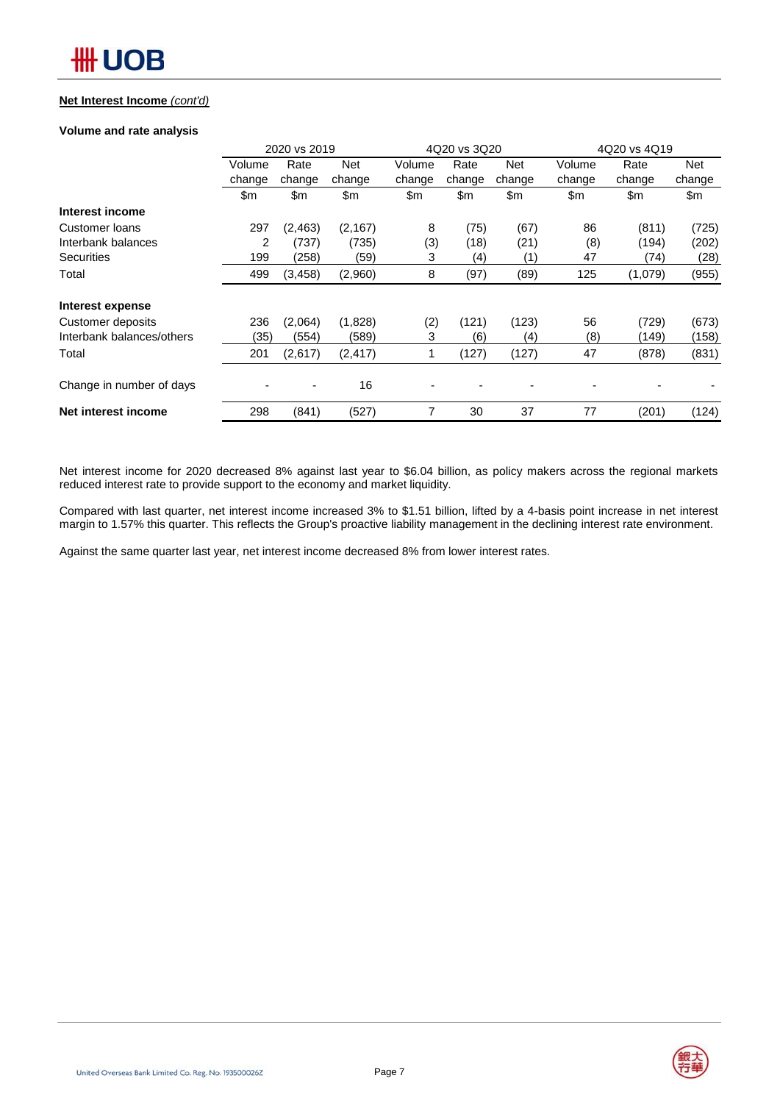## **Net Interest Income** *(cont'd)*

## **Volume and rate analysis**

|                           | 2020 vs 2019 |          |            |        | 4Q20 vs 3Q20 |               | 4Q20 vs 4Q19 |         |            |  |
|---------------------------|--------------|----------|------------|--------|--------------|---------------|--------------|---------|------------|--|
|                           | Volume       | Rate     | <b>Net</b> | Volume | Rate         | <b>Net</b>    | Volume       | Rate    | <b>Net</b> |  |
|                           | change       | change   | change     | change | change       | change        | change       | change  | change     |  |
|                           | \$m          | \$m      | \$m        | \$m    | \$m          | $\mathsf{Sm}$ | \$m          | \$m     | \$m        |  |
| Interest income           |              |          |            |        |              |               |              |         |            |  |
| Customer Ioans            | 297          | (2, 463) | (2, 167)   | 8      | (75)         | (67)          | 86           | (811)   | (725)      |  |
| Interbank balances        | 2            | (737)    | (735)      | (3)    | (18)         | (21)          | (8)          | (194)   | (202)      |  |
| Securities                | 199          | (258)    | (59)       | 3      | (4)          | (1)           | 47           | (74)    | (28)       |  |
| Total                     | 499          | (3, 458) | (2,960)    | 8      | (97)         | (89)          | 125          | (1,079) | (955)      |  |
| Interest expense          |              |          |            |        |              |               |              |         |            |  |
| Customer deposits         | 236          | (2,064)  | (1,828)    | (2)    | (121)        | (123)         | 56           | (729)   | (673)      |  |
| Interbank balances/others | (35)         | (554)    | (589)      | 3      | (6)          | (4)           | (8)          | (149)   | (158)      |  |
| Total                     | 201          | (2,617)  | (2, 417)   |        | (127)        | (127)         | 47           | (878)   | (831)      |  |
| Change in number of days  |              |          | 16         |        |              |               |              |         |            |  |
| Net interest income       | 298          | (841)    | (527)      |        | 30           | 37            | 77           | (201)   | (124)      |  |

Net interest income for 2020 decreased 8% against last year to \$6.04 billion, as policy makers across the regional markets reduced interest rate to provide support to the economy and market liquidity.

Compared with last quarter, net interest income increased 3% to \$1.51 billion, lifted by a 4-basis point increase in net interest margin to 1.57% this quarter. This reflects the Group's proactive liability management in the declining interest rate environment.

Against the same quarter last year, net interest income decreased 8% from lower interest rates.

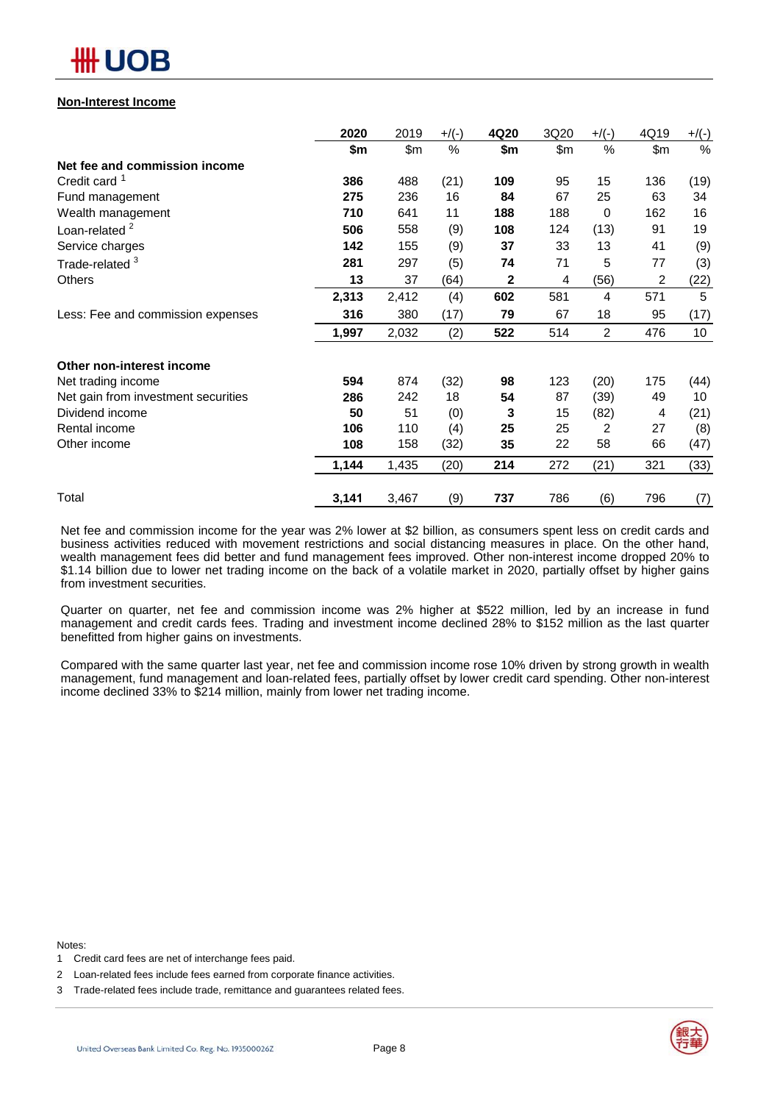

## **Non-Interest Income**

|                                     | 2020  | 2019  | $+$ /(-) | 4Q20 | 3Q20  | $+$ /(-) | 4Q19 | $+/(-)$ |
|-------------------------------------|-------|-------|----------|------|-------|----------|------|---------|
|                                     | \$m   | \$m   | %        | \$m  | \$m\$ | $\%$     | \$m  | %       |
| Net fee and commission income       |       |       |          |      |       |          |      |         |
| Credit card <sup>1</sup>            | 386   | 488   | (21)     | 109  | 95    | 15       | 136  | (19)    |
| Fund management                     | 275   | 236   | 16       | 84   | 67    | 25       | 63   | 34      |
| Wealth management                   | 710   | 641   | 11       | 188  | 188   | 0        | 162  | 16      |
| Loan-related <sup>2</sup>           | 506   | 558   | (9)      | 108  | 124   | (13)     | 91   | 19      |
| Service charges                     | 142   | 155   | (9)      | 37   | 33    | 13       | 41   | (9)     |
| Trade-related <sup>3</sup>          | 281   | 297   | (5)      | 74   | 71    | 5        | 77   | (3)     |
| <b>Others</b>                       | 13    | 37    | (64)     | 2    | 4     | (56)     | 2    | (22)    |
|                                     | 2,313 | 2,412 | (4)      | 602  | 581   | 4        | 571  | 5       |
| Less: Fee and commission expenses   | 316   | 380   | (17)     | 79   | 67    | 18       | 95   | (17)    |
|                                     | 1,997 | 2,032 | (2)      | 522  | 514   | 2        | 476  | 10      |
| Other non-interest income           |       |       |          |      |       |          |      |         |
| Net trading income                  | 594   | 874   | (32)     | 98   | 123   | (20)     | 175  | (44)    |
| Net gain from investment securities | 286   | 242   | 18       | 54   | 87    | (39)     | 49   | 10      |
| Dividend income                     | 50    | 51    | (0)      | 3    | 15    | (82)     | 4    | (21)    |
| Rental income                       | 106   | 110   | (4)      | 25   | 25    | 2        | 27   | (8)     |
| Other income                        | 108   | 158   | (32)     | 35   | 22    | 58       | 66   | (47)    |
|                                     | 1,144 | 1,435 | (20)     | 214  | 272   | (21)     | 321  | (33)    |
| Total                               | 3,141 | 3,467 | (9)      | 737  | 786   | (6)      | 796  | (7)     |

Net fee and commission income for the year was 2% lower at \$2 billion, as consumers spent less on credit cards and business activities reduced with movement restrictions and social distancing measures in place. On the other hand, wealth management fees did better and fund management fees improved. Other non-interest income dropped 20% to \$1.14 billion due to lower net trading income on the back of a volatile market in 2020, partially offset by higher gains from investment securities.

Quarter on quarter, net fee and commission income was 2% higher at \$522 million, led by an increase in fund management and credit cards fees. Trading and investment income declined 28% to \$152 million as the last quarter benefitted from higher gains on investments.

Compared with the same quarter last year, net fee and commission income rose 10% driven by strong growth in wealth management, fund management and loan-related fees, partially offset by lower credit card spending. Other non-interest income declined 33% to \$214 million, mainly from lower net trading income.

Notes:



<sup>1</sup> Credit card fees are net of interchange fees paid.

<sup>2</sup> Loan-related fees include fees earned from corporate finance activities.

<sup>3</sup> Trade-related fees include trade, remittance and guarantees related fees.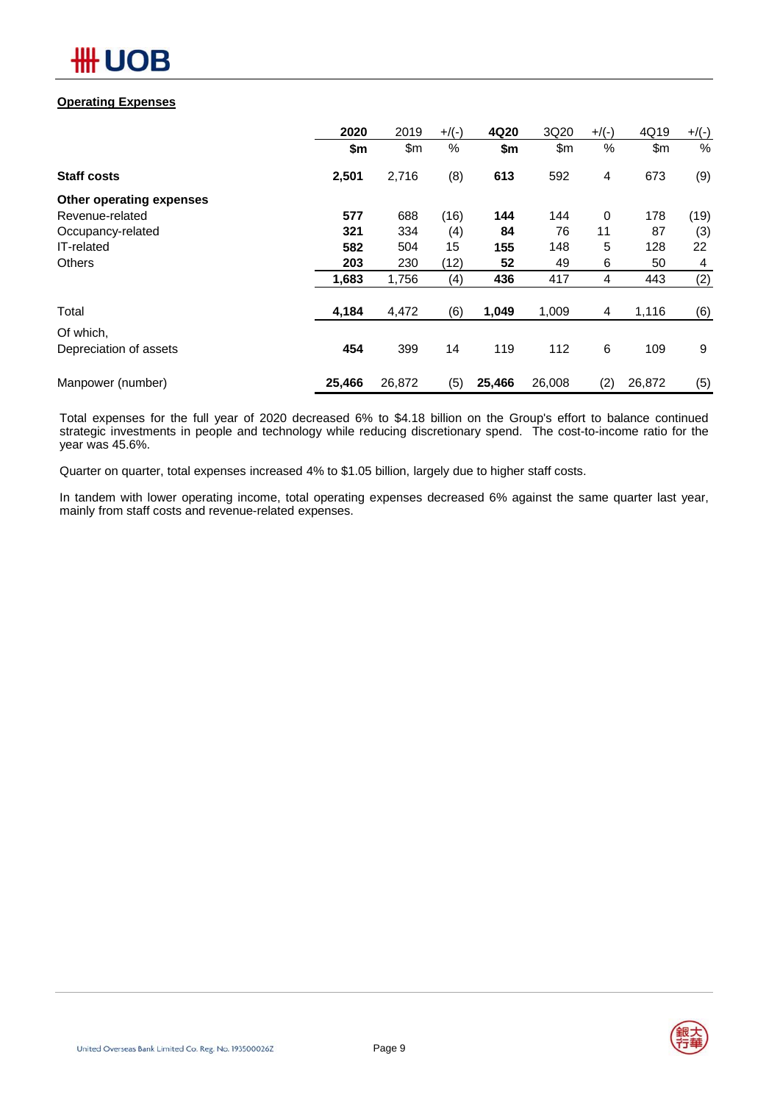

## **Operating Expenses**

|                          | 2020   | 2019   | $+$ /(-) | 4Q20   | 3Q20   | $+$ /(-) | 4Q19   | $+/(-)$ |
|--------------------------|--------|--------|----------|--------|--------|----------|--------|---------|
|                          | \$m    | \$m    | %        | \$m    | \$m    | $\%$     | \$m    | $\%$    |
| <b>Staff costs</b>       | 2,501  | 2,716  | (8)      | 613    | 592    | 4        | 673    | (9)     |
| Other operating expenses |        |        |          |        |        |          |        |         |
| Revenue-related          | 577    | 688    | (16)     | 144    | 144    | 0        | 178    | (19)    |
| Occupancy-related        | 321    | 334    | (4)      | 84     | 76     | 11       | 87     | (3)     |
| IT-related               | 582    | 504    | 15       | 155    | 148    | 5        | 128    | 22      |
| <b>Others</b>            | 203    | 230    | (12)     | 52     | 49     | 6        | 50     | 4       |
|                          | 1,683  | 1,756  | (4)      | 436    | 417    | 4        | 443    | (2)     |
| Total                    | 4,184  | 4,472  | (6)      | 1,049  | 1,009  | 4        | 1,116  | (6)     |
| Of which,                |        |        |          |        |        |          |        |         |
| Depreciation of assets   | 454    | 399    | 14       | 119    | 112    | $\,6$    | 109    | 9       |
| Manpower (number)        | 25,466 | 26,872 | (5)      | 25,466 | 26,008 | (2)      | 26,872 | (5)     |

Total expenses for the full year of 2020 decreased 6% to \$4.18 billion on the Group's effort to balance continued strategic investments in people and technology while reducing discretionary spend. The cost-to-income ratio for the year was 45.6%.

Quarter on quarter, total expenses increased 4% to \$1.05 billion, largely due to higher staff costs.

In tandem with lower operating income, total operating expenses decreased 6% against the same quarter last year, mainly from staff costs and revenue-related expenses.

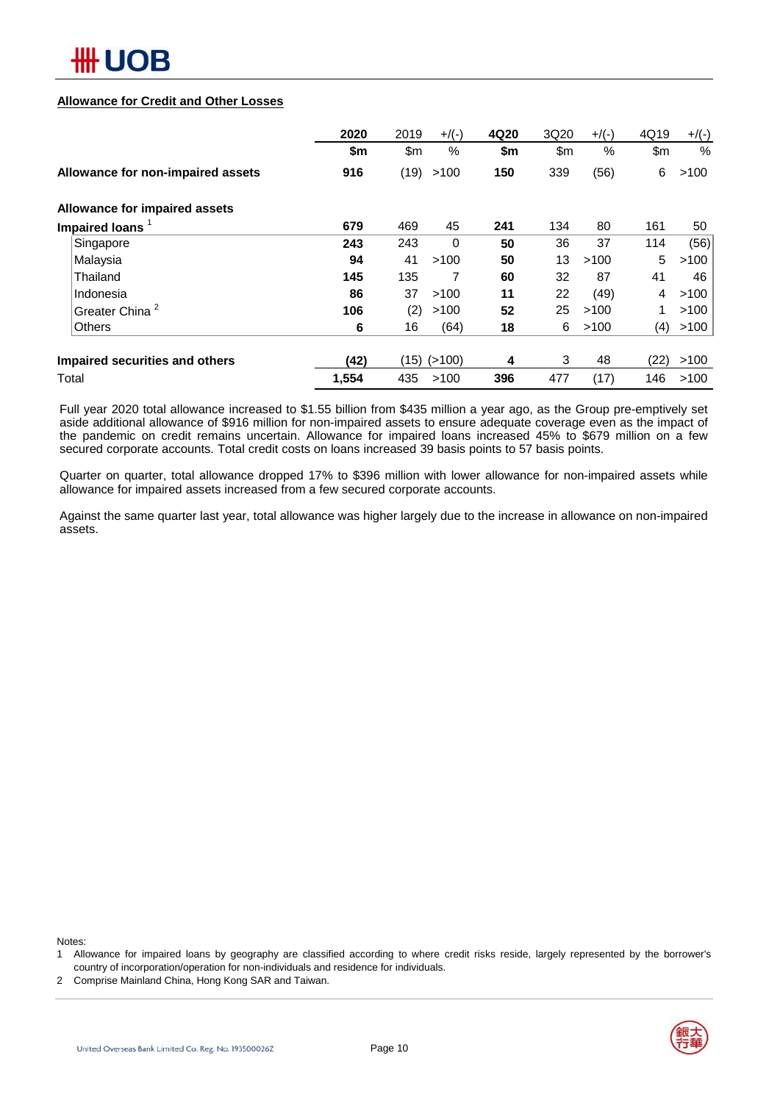

### **Allowance for Credit and Other Losses**

|                                   | 2020  | 2019 | $+$ /(-) | 4Q20 | 3Q20 | $+$ /(-) | 4Q19 | $+$ /(-) |
|-----------------------------------|-------|------|----------|------|------|----------|------|----------|
|                                   | \$m   | \$m  | %        | \$m  | \$m  | $\%$     | \$m  | $\%$     |
| Allowance for non-impaired assets | 916   | (19) | >100     | 150  | 339  | (56)     | 6    | >100     |
| Allowance for impaired assets     |       |      |          |      |      |          |      |          |
| Impaired loans <sup>1</sup>       | 679   | 469  | 45       | 241  | 134  | 80       | 161  | 50       |
| Singapore                         | 243   | 243  | $\Omega$ | 50   | 36   | 37       | 114  | (56)     |
| Malaysia                          | 94    | 41   | >100     | 50   | 13   | >100     | 5    | >100     |
| Thailand                          | 145   | 135  | 7        | 60   | 32   | 87       | 41   | 46       |
| Indonesia                         | 86    | 37   | >100     | 11   | 22   | (49)     | 4    | >100     |
| <b>Greater China</b>              | 106   | (2)  | >100     | 52   | 25   | >100     | 1    | >100     |
| <b>Others</b>                     | 6     | 16   | (64)     | 18   | 6    | >100     | (4)  | >100     |
| Impaired securities and others    | (42)  | (15) | (>100)   | 4    | 3    | 48       | (22) | >100     |
| Total                             | 1,554 | 435  | >100     | 396  | 477  | (17)     | 146  | >100     |

Full year 2020 total allowance increased to \$1.55 billion from \$435 million a year ago, as the Group pre-emptively set aside additional allowance of \$916 million for non-impaired assets to ensure adequate coverage even as the impact of the pandemic on credit remains uncertain. Allowance for impaired loans increased 45% to \$679 million on a few secured corporate accounts. Total credit costs on loans increased 39 basis points to 57 basis points.

Quarter on quarter, total allowance dropped 17% to \$396 million with lower allowance for non-impaired assets while allowance for impaired assets increased from a few secured corporate accounts.

Against the same quarter last year, total allowance was higher largely due to the increase in allowance on non-impaired assets.

Notes:

- 1 Allowance for impaired loans by geography are classified according to where credit risks reside, largely represented by the borrower's country of incorporation/operation for non-individuals and residence for individuals.
- 2 Comprise Mainland China, Hong Kong SAR and Taiwan.

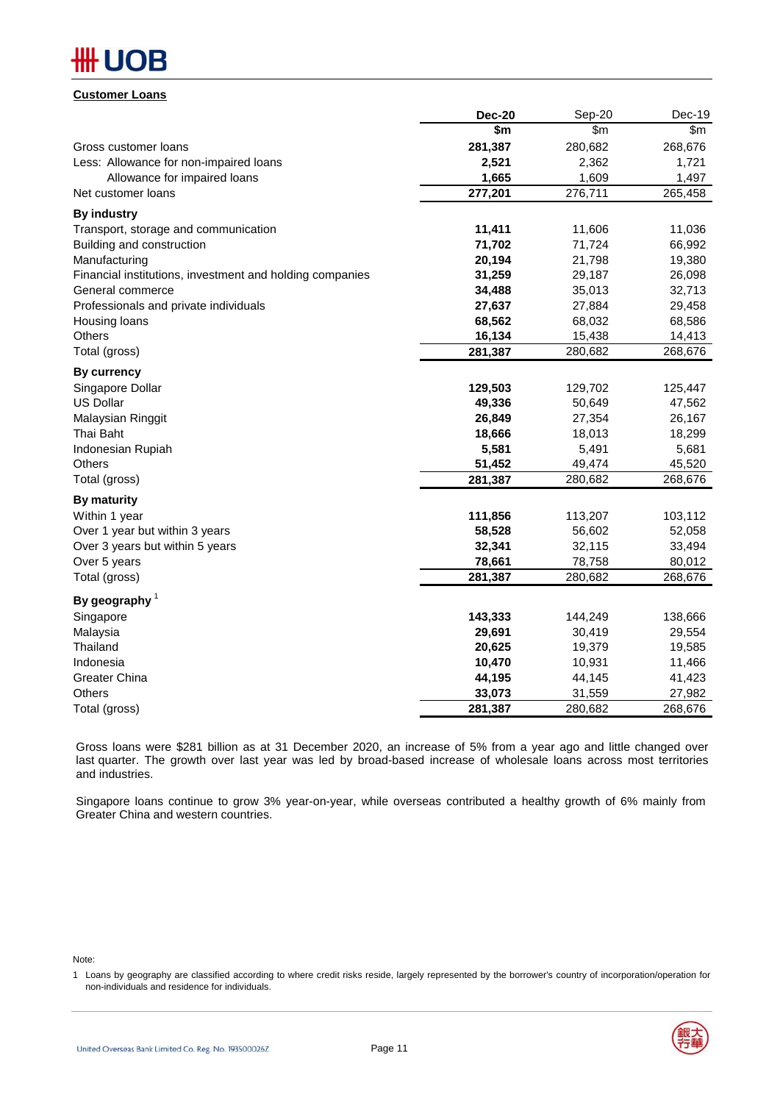## **\H**UOB

#### **Customer Loans**

|                                                          | <b>Dec-20</b> | Sep-20  | Dec-19  |
|----------------------------------------------------------|---------------|---------|---------|
|                                                          | \$m           | \$m     | \$m\$   |
| Gross customer loans                                     | 281,387       | 280,682 | 268,676 |
| Less: Allowance for non-impaired loans                   | 2,521         | 2,362   | 1,721   |
| Allowance for impaired loans                             | 1,665         | 1,609   | 1,497   |
| Net customer loans                                       | 277,201       | 276,711 | 265,458 |
| <b>By industry</b>                                       |               |         |         |
| Transport, storage and communication                     | 11,411        | 11,606  | 11,036  |
| Building and construction                                | 71,702        | 71,724  | 66,992  |
| Manufacturing                                            | 20,194        | 21,798  | 19,380  |
| Financial institutions, investment and holding companies | 31,259        | 29,187  | 26,098  |
| General commerce                                         | 34,488        | 35,013  | 32,713  |
| Professionals and private individuals                    | 27,637        | 27,884  | 29,458  |
| Housing loans                                            | 68,562        | 68,032  | 68,586  |
| <b>Others</b>                                            | 16,134        | 15,438  | 14,413  |
| Total (gross)                                            | 281,387       | 280,682 | 268,676 |
| <b>By currency</b>                                       |               |         |         |
| Singapore Dollar                                         | 129,503       | 129,702 | 125,447 |
| <b>US Dollar</b>                                         | 49,336        | 50,649  | 47,562  |
| Malaysian Ringgit                                        | 26,849        | 27,354  | 26,167  |
| Thai Baht                                                | 18,666        | 18,013  | 18,299  |
| Indonesian Rupiah                                        | 5,581         | 5,491   | 5,681   |
| Others                                                   | 51,452        | 49,474  | 45,520  |
| Total (gross)                                            | 281,387       | 280,682 | 268,676 |
| By maturity                                              |               |         |         |
| Within 1 year                                            | 111,856       | 113,207 | 103,112 |
| Over 1 year but within 3 years                           | 58,528        | 56,602  | 52,058  |
| Over 3 years but within 5 years                          | 32,341        | 32,115  | 33,494  |
| Over 5 years                                             | 78,661        | 78,758  | 80,012  |
| Total (gross)                                            | 281,387       | 280,682 | 268,676 |
| By geography $1$                                         |               |         |         |
| Singapore                                                | 143,333       | 144,249 | 138,666 |
| Malaysia                                                 | 29,691        | 30,419  | 29,554  |
| Thailand                                                 | 20,625        | 19,379  | 19,585  |
| Indonesia                                                | 10,470        | 10,931  | 11,466  |
| <b>Greater China</b>                                     | 44,195        | 44,145  | 41,423  |
| <b>Others</b>                                            | 33,073        | 31,559  | 27,982  |
| Total (gross)                                            | 281,387       | 280,682 | 268,676 |

Gross loans were \$281 billion as at 31 December 2020, an increase of 5% from a year ago and little changed over last quarter. The growth over last year was led by broad-based increase of wholesale loans across most territories and industries.

Singapore loans continue to grow 3% year-on-year, while overseas contributed a healthy growth of 6% mainly from Greater China and western countries.

Note:

<sup>1</sup> Loans by geography are classified according to where credit risks reside, largely represented by the borrower's country of incorporation/operation for non-individuals and residence for individuals.

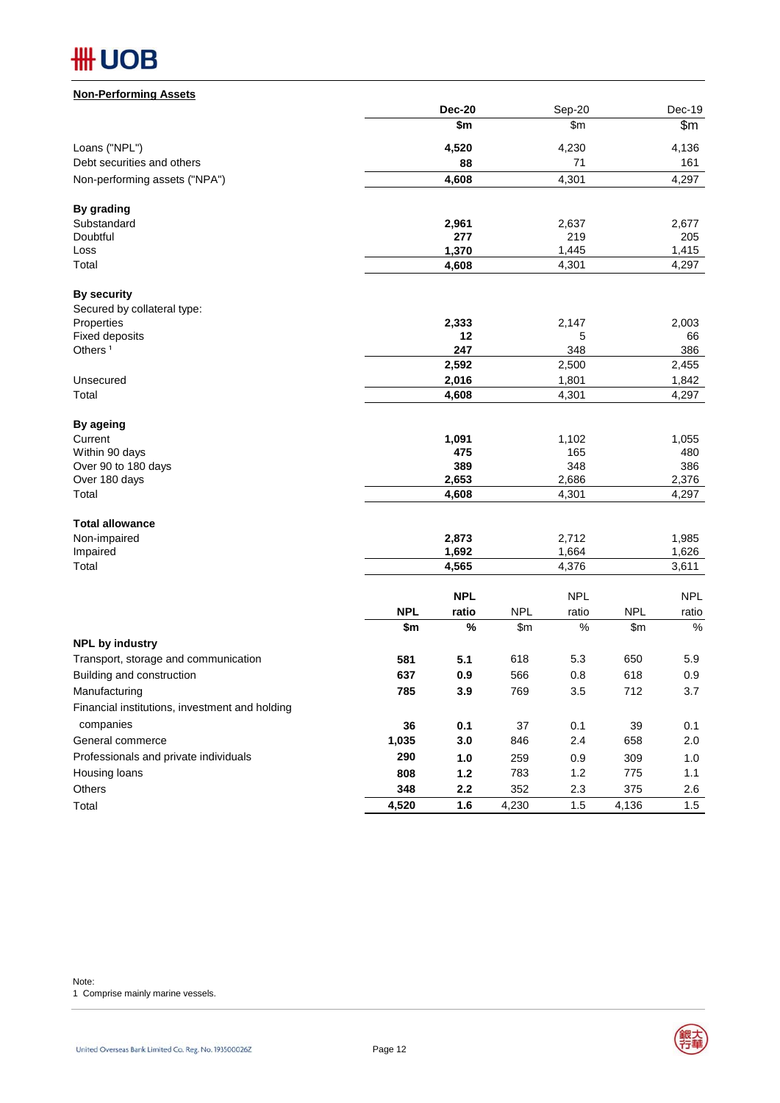| <b>Non-Performing Assets</b>                   |            |                |            |              |            |              |
|------------------------------------------------|------------|----------------|------------|--------------|------------|--------------|
|                                                |            | <b>Dec-20</b>  |            | Sep-20       |            | Dec-19       |
|                                                |            | \$m            |            | \$m          |            | \$m          |
| Loans ("NPL")                                  |            | 4,520          |            | 4,230        |            | 4,136        |
| Debt securities and others                     |            | 88             |            | 71           |            | 161          |
| Non-performing assets ("NPA")                  |            | 4,608          |            | 4,301        |            | 4,297        |
| By grading                                     |            |                |            |              |            |              |
| Substandard                                    |            | 2,961          |            | 2,637        |            | 2,677        |
| Doubtful                                       |            | 277            |            | 219          |            | 205          |
| Loss                                           |            | 1,370          |            | 1,445        |            | 1,415        |
| Total                                          |            | 4,608          |            | 4,301        |            | 4,297        |
| <b>By security</b>                             |            |                |            |              |            |              |
| Secured by collateral type:                    |            |                |            |              |            |              |
| Properties                                     |            | 2,333<br>12    |            | 2,147        |            | 2,003        |
| <b>Fixed deposits</b><br>Others <sup>1</sup>   |            | 247            |            | 5<br>348     |            | 66<br>386    |
|                                                |            | 2,592          |            | 2,500        |            | 2,455        |
| Unsecured                                      |            | 2,016          |            | 1,801        |            | 1,842        |
| Total                                          |            | 4,608          |            | 4,301        |            | 4,297        |
|                                                |            |                |            |              |            |              |
| By ageing                                      |            |                |            |              |            |              |
| Current                                        |            | 1,091          |            | 1,102        |            | 1,055        |
| Within 90 days                                 |            | 475            |            | 165          |            | 480          |
| Over 90 to 180 days                            |            | 389            |            | 348<br>2,686 |            | 386<br>2,376 |
| Over 180 days<br>Total                         |            | 2,653<br>4,608 |            | 4,301        |            | 4,297        |
|                                                |            |                |            |              |            |              |
| <b>Total allowance</b>                         |            |                |            |              |            |              |
| Non-impaired                                   |            | 2,873          |            | 2,712        |            | 1,985        |
| Impaired                                       |            | 1,692          |            | 1,664        |            | 1,626        |
| Total                                          |            | 4,565          |            | 4,376        |            | 3,611        |
|                                                |            | <b>NPL</b>     |            | <b>NPL</b>   |            | <b>NPL</b>   |
|                                                | <b>NPL</b> | ratio          | <b>NPL</b> | ratio        | <b>NPL</b> | ratio        |
|                                                | \$m        | $\%$           | \$m        | $\%$         | \$m\$      | $\%$         |
| <b>NPL by industry</b>                         |            |                |            |              |            |              |
| Transport, storage and communication           | 581        | 5.1            | 618        | 5.3          | 650        | 5.9          |
| Building and construction                      | 637        | 0.9            | 566        | 0.8          | 618        | 0.9          |
| Manufacturing                                  | 785        | 3.9            | 769        | 3.5          | 712        | 3.7          |
| Financial institutions, investment and holding |            |                |            |              |            |              |
| companies                                      | 36         | 0.1            | 37         | 0.1          | 39         | 0.1          |
| General commerce                               | 1,035      | 3.0            | 846        | 2.4          | 658        | 2.0          |
| Professionals and private individuals          | 290        | $1.0$          | 259        | 0.9          | 309        | 1.0          |
| Housing loans                                  | 808        | $1.2$          | 783        | 1.2          | 775        | 1.1          |
| Others                                         | 348        | $2.2\,$        | 352        | $2.3\,$      | 375        | 2.6          |
| Total                                          | 4,520      | 1.6            | 4,230      | 1.5          | 4,136      | 1.5          |

Note:

1 Comprise mainly marine vessels.

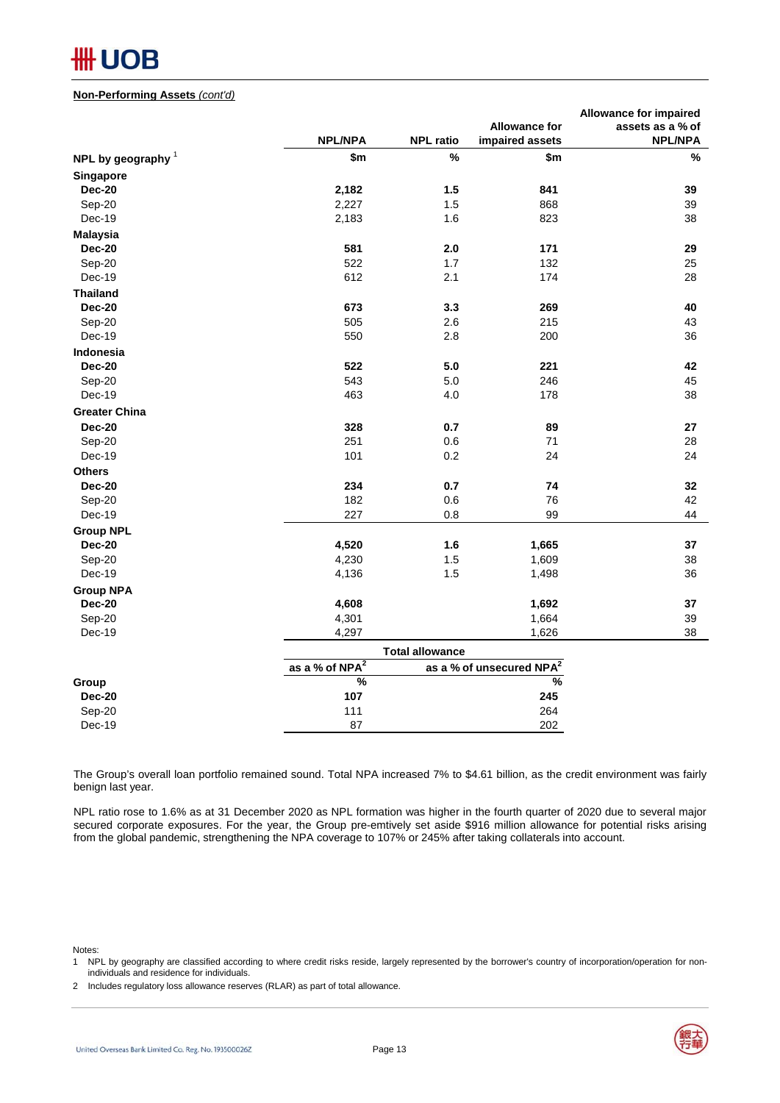#### **Non-Performing Assets** *(cont'd)*

|                      |                            |                        |                                      | <b>Allowance for impaired</b> |
|----------------------|----------------------------|------------------------|--------------------------------------|-------------------------------|
|                      |                            |                        | <b>Allowance for</b>                 | assets as a % of              |
|                      | <b>NPL/NPA</b>             | <b>NPL ratio</b>       | impaired assets                      | <b>NPL/NPA</b>                |
| NPL by geography $1$ | \$m                        | $\%$                   | \$m                                  | $\%$                          |
| Singapore            |                            |                        |                                      |                               |
| <b>Dec-20</b>        | 2,182                      | 1.5                    | 841                                  | 39                            |
| Sep-20               | 2,227                      | 1.5                    | 868                                  | 39                            |
| Dec-19               | 2,183                      | 1.6                    | 823                                  | 38                            |
| <b>Malaysia</b>      |                            |                        |                                      |                               |
| <b>Dec-20</b>        | 581                        | 2.0                    | 171                                  | 29                            |
| Sep-20               | 522                        | 1.7                    | 132                                  | 25                            |
| Dec-19               | 612                        | 2.1                    | 174                                  | 28                            |
| <b>Thailand</b>      |                            |                        |                                      |                               |
| <b>Dec-20</b>        | 673                        | 3.3                    | 269                                  | 40                            |
| Sep-20               | 505                        | 2.6                    | 215                                  | 43                            |
| Dec-19               | 550                        | 2.8                    | 200                                  | 36                            |
| Indonesia            |                            |                        |                                      |                               |
| <b>Dec-20</b>        | 522                        | 5.0                    | 221                                  | 42                            |
| Sep-20               | 543                        | 5.0                    | 246                                  | 45                            |
| Dec-19               | 463                        | 4.0                    | 178                                  | 38                            |
| <b>Greater China</b> |                            |                        |                                      |                               |
| <b>Dec-20</b>        | 328                        | 0.7                    | 89                                   | 27                            |
| Sep-20               | 251                        | 0.6                    | 71                                   | 28                            |
| Dec-19               | 101                        | 0.2                    | 24                                   | 24                            |
| <b>Others</b>        |                            |                        |                                      |                               |
| <b>Dec-20</b>        | 234                        | 0.7                    | 74                                   | 32                            |
| Sep-20               | 182                        | 0.6                    | 76                                   | 42                            |
| Dec-19               | 227                        | 0.8                    | 99                                   | 44                            |
| <b>Group NPL</b>     |                            |                        |                                      |                               |
| <b>Dec-20</b>        | 4,520                      | 1.6                    | 1,665                                | 37                            |
| Sep-20               | 4,230                      | 1.5                    | 1,609                                | 38                            |
| Dec-19               | 4,136                      | 1.5                    | 1,498                                | 36                            |
| <b>Group NPA</b>     |                            |                        |                                      |                               |
| <b>Dec-20</b>        | 4,608                      |                        | 1,692                                | 37                            |
| Sep-20               | 4,301                      |                        | 1,664                                | 39                            |
| Dec-19               | 4,297                      |                        | 1,626                                | 38                            |
|                      |                            | <b>Total allowance</b> |                                      |                               |
|                      | as a % of NPA <sup>2</sup> |                        | as a % of unsecured NPA <sup>2</sup> |                               |
| Group                | $\frac{9}{6}$              |                        | %                                    |                               |
| <b>Dec-20</b>        | 107                        |                        | 245                                  |                               |
| Sep-20               | 111                        |                        | 264                                  |                               |
| Dec-19               | 87                         |                        | 202                                  |                               |
|                      |                            |                        |                                      |                               |

The Group's overall loan portfolio remained sound. Total NPA increased 7% to \$4.61 billion, as the credit environment was fairly benign last year.

NPL ratio rose to 1.6% as at 31 December 2020 as NPL formation was higher in the fourth quarter of 2020 due to several major secured corporate exposures. For the year, the Group pre-emtively set aside \$916 million allowance for potential risks arising from the global pandemic, strengthening the NPA coverage to 107% or 245% after taking collaterals into account.

Notes:

1 NPL by geography are classified according to where credit risks reside, largely represented by the borrower's country of incorporation/operation for nonindividuals and residence for individuals.

2 Includes regulatory loss allowance reserves (RLAR) as part of total allowance.

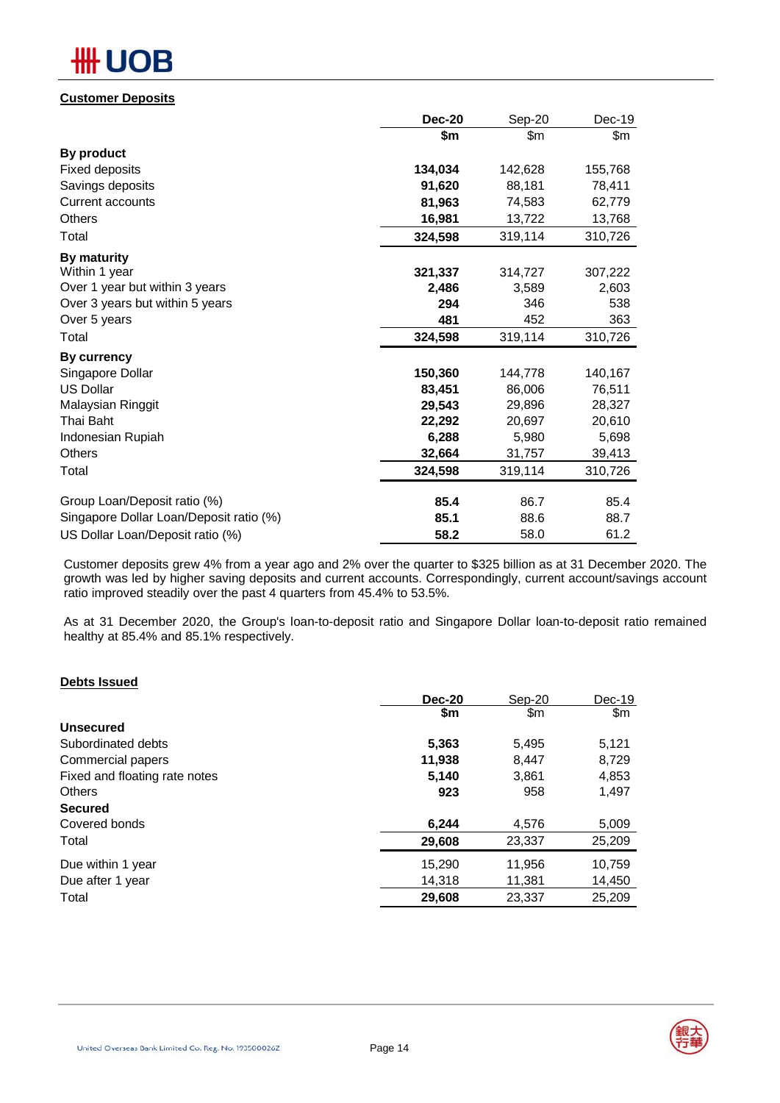## **Customer Deposits**

|                                         | <b>Dec-20</b> | Sep-20  | $Dec-19$ |
|-----------------------------------------|---------------|---------|----------|
|                                         | \$m           | \$m     | \$m      |
| <b>By product</b>                       |               |         |          |
| Fixed deposits                          | 134,034       | 142,628 | 155,768  |
| Savings deposits                        | 91,620        | 88,181  | 78,411   |
| Current accounts                        | 81,963        | 74,583  | 62,779   |
| <b>Others</b>                           | 16,981        | 13,722  | 13,768   |
| Total                                   | 324,598       | 319,114 | 310,726  |
| By maturity                             |               |         |          |
| Within 1 year                           | 321,337       | 314,727 | 307,222  |
| Over 1 year but within 3 years          | 2,486         | 3,589   | 2,603    |
| Over 3 years but within 5 years         | 294           | 346     | 538      |
| Over 5 years                            | 481           | 452     | 363      |
| Total                                   | 324,598       | 319,114 | 310,726  |
| By currency                             |               |         |          |
| Singapore Dollar                        | 150,360       | 144,778 | 140,167  |
| <b>US Dollar</b>                        | 83,451        | 86,006  | 76,511   |
| Malaysian Ringgit                       | 29,543        | 29,896  | 28,327   |
| Thai Baht                               | 22,292        | 20,697  | 20,610   |
| Indonesian Rupiah                       | 6,288         | 5,980   | 5,698    |
| Others                                  | 32,664        | 31,757  | 39,413   |
| Total                                   | 324,598       | 319,114 | 310,726  |
| Group Loan/Deposit ratio (%)            | 85.4          | 86.7    | 85.4     |
| Singapore Dollar Loan/Deposit ratio (%) | 85.1          | 88.6    | 88.7     |
| US Dollar Loan/Deposit ratio (%)        | 58.2          | 58.0    | 61.2     |
|                                         |               |         |          |

Customer deposits grew 4% from a year ago and 2% over the quarter to \$325 billion as at 31 December 2020. The growth was led by higher saving deposits and current accounts. Correspondingly, current account/savings account ratio improved steadily over the past 4 quarters from 45.4% to 53.5%.

As at 31 December 2020, the Group's loan-to-deposit ratio and Singapore Dollar loan-to-deposit ratio remained healthy at 85.4% and 85.1% respectively.

## **Debts Issued**

|                               | <b>Dec-20</b> | Sep-20 | Dec-19 |
|-------------------------------|---------------|--------|--------|
|                               | \$m           | \$m    | \$m    |
| <b>Unsecured</b>              |               |        |        |
| Subordinated debts            | 5,363         | 5,495  | 5,121  |
| Commercial papers             | 11,938        | 8,447  | 8.729  |
| Fixed and floating rate notes | 5.140         | 3.861  | 4,853  |
| <b>Others</b>                 | 923           | 958    | 1,497  |
| <b>Secured</b>                |               |        |        |
| Covered bonds                 | 6.244         | 4.576  | 5,009  |
| Total                         | 29,608        | 23,337 | 25,209 |
| Due within 1 year             | 15,290        | 11,956 | 10,759 |
| Due after 1 year              | 14,318        | 11,381 | 14,450 |
| Total                         | 29,608        | 23,337 | 25,209 |
|                               |               |        |        |

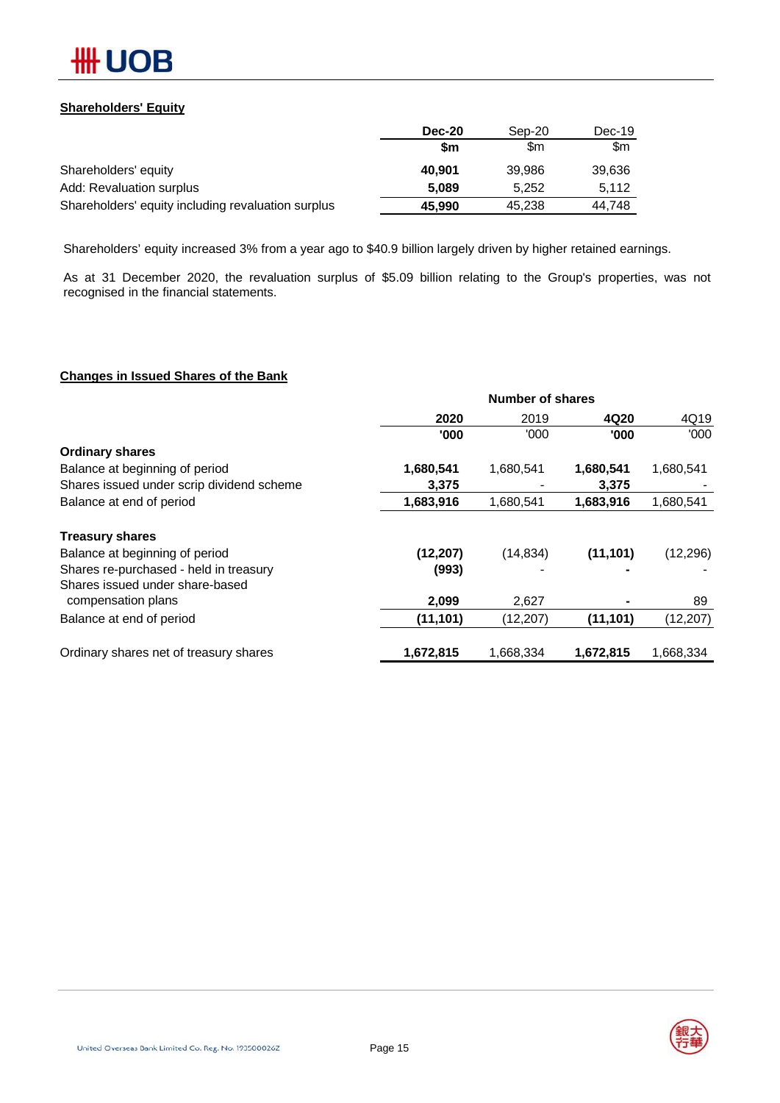

## **Shareholders' Equity**

|                                                    | <b>Dec-20</b> | Sep-20 | Dec-19 |
|----------------------------------------------------|---------------|--------|--------|
|                                                    | \$m           | \$m    | \$m    |
| Shareholders' equity                               | 40.901        | 39.986 | 39,636 |
| Add: Revaluation surplus                           | 5.089         | 5.252  | 5.112  |
| Shareholders' equity including revaluation surplus | 45,990        | 45.238 | 44.748 |

Shareholders' equity increased 3% from a year ago to \$40.9 billion largely driven by higher retained earnings.

As at 31 December 2020, the revaluation surplus of \$5.09 billion relating to the Group's properties, was not recognised in the financial statements.

## **Changes in Issued Shares of the Bank**

|                                           | Number of shares |           |           |           |
|-------------------------------------------|------------------|-----------|-----------|-----------|
|                                           | 2020             | 2019      | 4Q20      | 4Q19      |
|                                           | '000             | '000'     | '000      | '000'     |
| <b>Ordinary shares</b>                    |                  |           |           |           |
| Balance at beginning of period            | 1,680,541        | 1,680,541 | 1,680,541 | 1,680,541 |
| Shares issued under scrip dividend scheme | 3,375            |           | 3,375     |           |
| Balance at end of period                  | 1,683,916        | 1,680,541 | 1,683,916 | 1,680,541 |
| <b>Treasury shares</b>                    |                  |           |           |           |
| Balance at beginning of period            | (12, 207)        | (14, 834) | (11, 101) | (12, 296) |
| Shares re-purchased - held in treasury    | (993)            |           |           |           |
| Shares issued under share-based           |                  |           |           |           |
| compensation plans                        | 2,099            | 2,627     |           | 89        |
| Balance at end of period                  | (11, 101)        | (12, 207) | (11, 101) | (12, 207) |
| Ordinary shares net of treasury shares    | 1,672,815        | 1,668,334 | 1,672,815 | 1,668,334 |

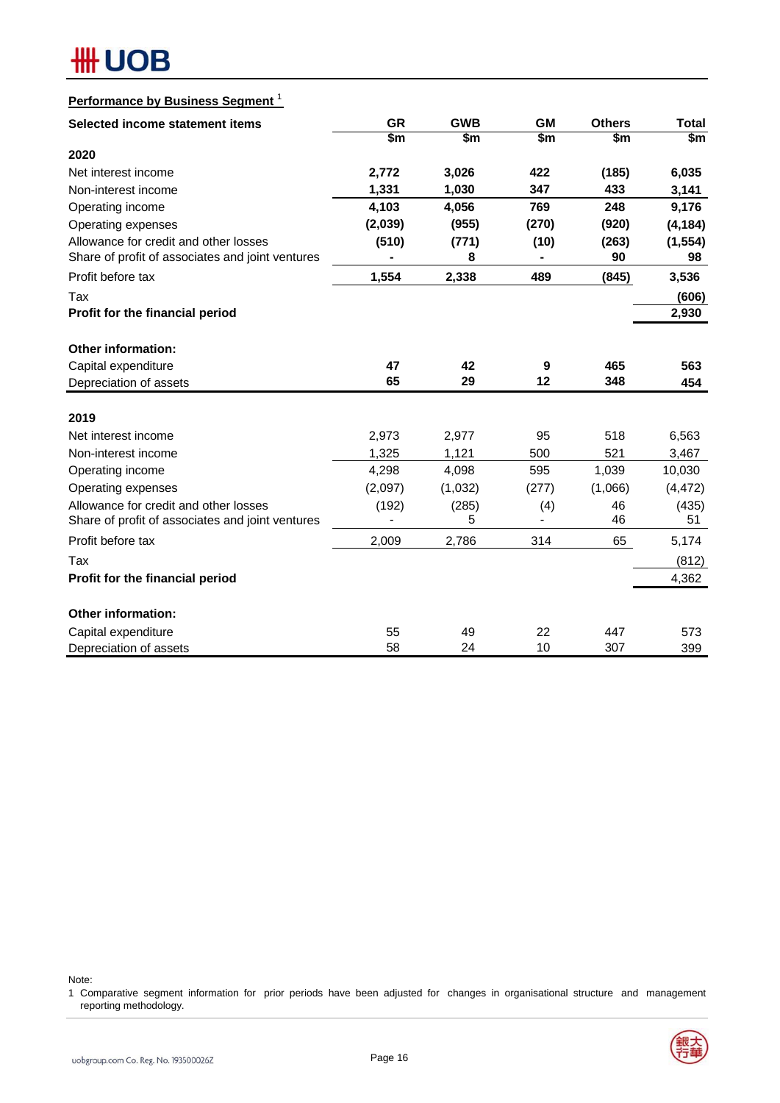| <b>Performance by Business Segment</b>           |           |            |           |               |              |
|--------------------------------------------------|-----------|------------|-----------|---------------|--------------|
| Selected income statement items                  | <b>GR</b> | <b>GWB</b> | <b>GM</b> | <b>Others</b> | <b>Total</b> |
|                                                  | \$m       | \$m        | \$m       | \$m           | \$m          |
| 2020                                             |           |            |           |               |              |
| Net interest income                              | 2,772     | 3,026      | 422       | (185)         | 6,035        |
| Non-interest income                              | 1,331     | 1,030      | 347       | 433           | 3,141        |
| Operating income                                 | 4,103     | 4,056      | 769       | 248           | 9,176        |
| Operating expenses                               | (2,039)   | (955)      | (270)     | (920)         | (4, 184)     |
| Allowance for credit and other losses            | (510)     | (771)      | (10)      | (263)         | (1, 554)     |
| Share of profit of associates and joint ventures |           | 8          |           | 90            | 98           |
| Profit before tax                                | 1,554     | 2,338      | 489       | (845)         | 3,536        |
| Tax                                              |           |            |           |               | (606)        |
| Profit for the financial period                  |           |            |           |               | 2,930        |
| <b>Other information:</b>                        |           |            |           |               |              |
| Capital expenditure                              | 47        | 42         | 9         | 465           | 563          |
| Depreciation of assets                           | 65        | 29         | $12 \,$   | 348           | 454          |
| 2019                                             |           |            |           |               |              |
| Net interest income                              | 2,973     | 2,977      | 95        | 518           | 6,563        |
| Non-interest income                              | 1,325     | 1,121      | 500       | 521           | 3,467        |
| Operating income                                 | 4,298     | 4,098      | 595       | 1,039         | 10,030       |
| Operating expenses                               | (2,097)   | (1,032)    | (277)     | (1,066)       | (4, 472)     |
| Allowance for credit and other losses            | (192)     | (285)      | (4)       | 46            | (435)        |
| Share of profit of associates and joint ventures |           | 5          |           | 46            | 51           |
| Profit before tax                                | 2,009     | 2,786      | 314       | 65            | 5,174        |
| Tax                                              |           |            |           |               | (812)        |
| Profit for the financial period                  |           |            |           |               | 4,362        |
| <b>Other information:</b>                        |           |            |           |               |              |
| Capital expenditure                              | 55        | 49         | 22        | 447           | 573          |
| Depreciation of assets                           | 58        | 24         | 10        | 307           | 399          |

Note:

1 Comparative segment information for prior periods have been adjusted for changes in organisational structure and management reporting methodology.

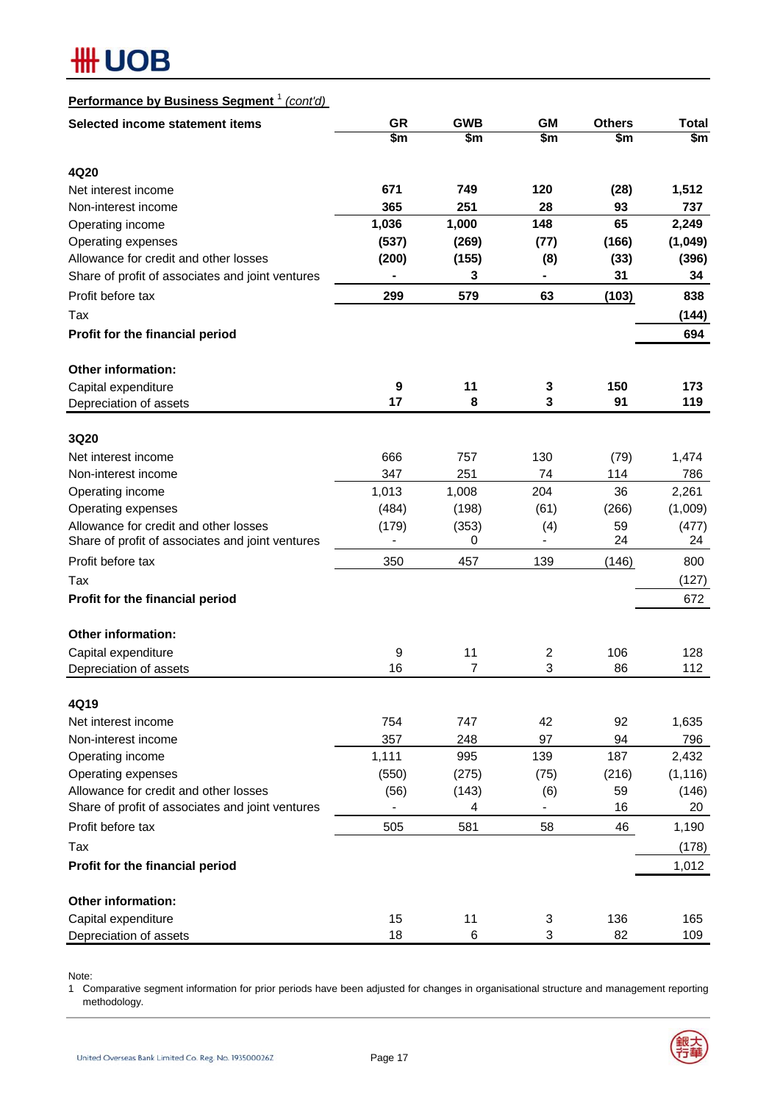| Performance by Business Segment <sup>1</sup> (cont'd)                                     |                                       |                |           |               |                   |
|-------------------------------------------------------------------------------------------|---------------------------------------|----------------|-----------|---------------|-------------------|
| Selected income statement items                                                           | <b>GR</b>                             | <b>GWB</b>     | <b>GM</b> | <b>Others</b> | Total             |
|                                                                                           | \$m                                   | \$m            | \$m       | \$m           | \$m               |
|                                                                                           |                                       |                |           |               |                   |
| 4Q20<br>Net interest income                                                               | 671                                   | 749            | 120       |               | 1,512             |
| Non-interest income                                                                       | 365                                   | 251            | 28        | (28)<br>93    | 737               |
| Operating income                                                                          | 1,036                                 | 1,000          | 148       | 65            | 2,249             |
| Operating expenses                                                                        | (537)                                 | (269)          | (77)      | (166)         | (1,049)           |
| Allowance for credit and other losses                                                     | (200)                                 | (155)          | (8)       | (33)          | (396)             |
| Share of profit of associates and joint ventures                                          |                                       | 3              |           | 31            | 34                |
| Profit before tax                                                                         | 299                                   | 579            | 63        | (103)         | 838               |
| Tax                                                                                       |                                       |                |           |               | (144)             |
| Profit for the financial period                                                           |                                       |                |           |               | 694               |
|                                                                                           |                                       |                |           |               |                   |
| <b>Other information:</b>                                                                 |                                       |                |           |               |                   |
| Capital expenditure                                                                       | $\boldsymbol{9}$                      | 11             | 3         | 150           | 173               |
| Depreciation of assets                                                                    | 17                                    | 8              | 3         | 91            | 119               |
|                                                                                           |                                       |                |           |               |                   |
| 3Q20                                                                                      |                                       |                |           |               |                   |
| Net interest income                                                                       | 666                                   | 757            | 130       | (79)          | 1,474             |
| Non-interest income                                                                       | 347                                   | 251            | 74        | 114           | 786               |
| Operating income                                                                          | 1,013                                 | 1,008          | 204       | 36            | 2,261             |
| Operating expenses                                                                        | (484)                                 | (198)          | (61)      | (266)         | (1,009)           |
| Allowance for credit and other losses<br>Share of profit of associates and joint ventures | (179)<br>$\qquad \qquad \blacksquare$ | (353)<br>0     | (4)       | 59<br>24      | (477)<br>24       |
| Profit before tax                                                                         | 350                                   | 457            | 139       | (146)         | 800               |
| Tax                                                                                       |                                       |                |           |               | (127)             |
| Profit for the financial period                                                           |                                       |                |           |               | 672               |
|                                                                                           |                                       |                |           |               |                   |
| <b>Other information:</b>                                                                 |                                       |                |           |               |                   |
| Capital expenditure                                                                       | 9                                     | 11             | 2         | 106           | 128               |
| Depreciation of assets                                                                    | 16                                    | $\overline{7}$ | 3         | 86            | 112               |
|                                                                                           |                                       |                |           |               |                   |
| 4Q19                                                                                      |                                       |                |           |               |                   |
| Net interest income                                                                       | 754                                   | 747            | 42        | 92            | 1,635             |
| Non-interest income                                                                       | 357                                   | 248            | 97<br>139 | 94<br>187     | 796               |
| Operating income<br>Operating expenses                                                    | 1,111<br>(550)                        | 995            |           | (216)         | 2,432<br>(1, 116) |
| Allowance for credit and other losses                                                     |                                       | (275)          | (75)      | 59            |                   |
| Share of profit of associates and joint ventures                                          | (56)                                  | (143)<br>4     | (6)       | 16            | (146)<br>20       |
| Profit before tax                                                                         | 505                                   | 581            | 58        | 46            | 1,190             |
|                                                                                           |                                       |                |           |               |                   |
| Tax                                                                                       |                                       |                |           |               | (178)             |
| Profit for the financial period                                                           |                                       |                |           |               | 1,012             |
| <b>Other information:</b>                                                                 |                                       |                |           |               |                   |
| Capital expenditure                                                                       | 15                                    | 11             | 3         | 136           | 165               |
| Depreciation of assets                                                                    | 18                                    | 6              | 3         | 82            | 109               |

Note:

1 Comparative segment information for prior periods have been adjusted for changes in organisational structure and management reporting methodology.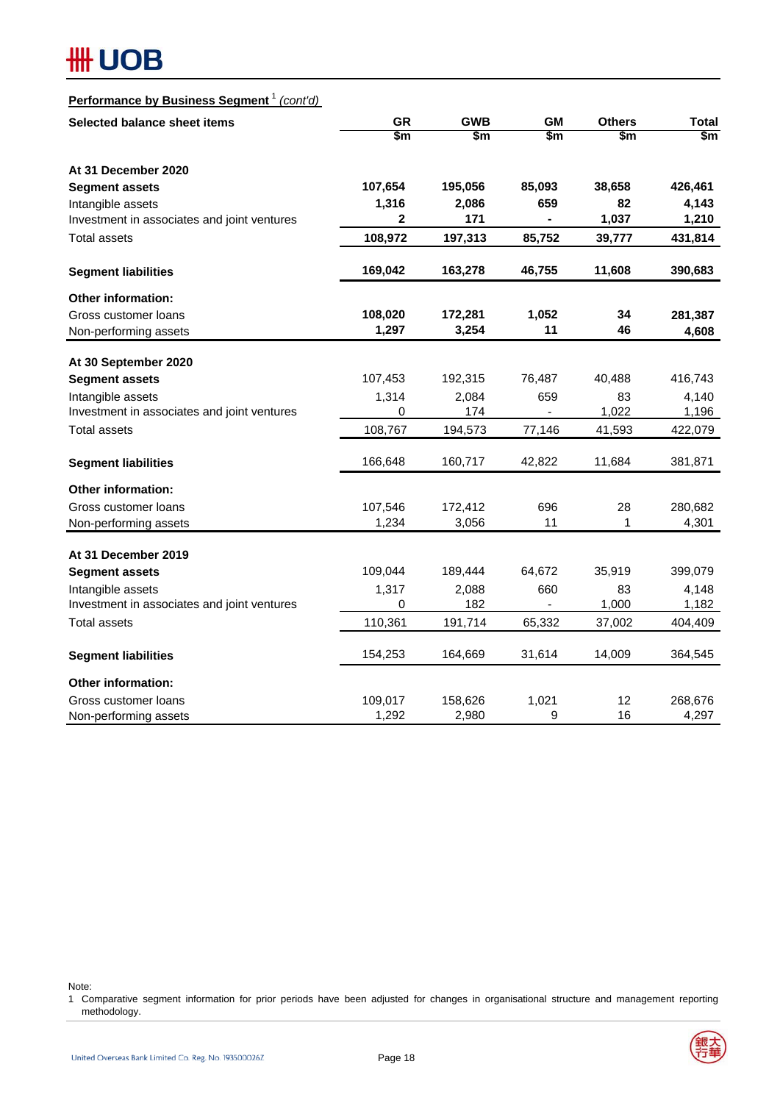# **#H UOB**

## **Performance by Business Segment** <sup>1</sup> *(cont'd)*

| Selected balance sheet items                | <b>GR</b>                | <b>GWB</b> | <b>GM</b>              | <b>Others</b>            | <b>Total</b>           |
|---------------------------------------------|--------------------------|------------|------------------------|--------------------------|------------------------|
|                                             | $\overline{\mathsf{sm}}$ | \$m        | $\overline{\text{sm}}$ | $\overline{\mathsf{sm}}$ | $\overline{\text{sm}}$ |
| At 31 December 2020                         |                          |            |                        |                          |                        |
| <b>Segment assets</b>                       | 107,654                  | 195,056    | 85,093                 | 38,658                   | 426,461                |
| Intangible assets                           | 1,316                    | 2,086      | 659                    | 82                       | 4,143                  |
| Investment in associates and joint ventures | 2                        | 171        |                        | 1,037                    | 1,210                  |
| Total assets                                | 108,972                  | 197,313    | 85,752                 | 39,777                   | 431,814                |
| <b>Segment liabilities</b>                  | 169,042                  | 163,278    | 46,755                 | 11,608                   | 390,683                |
| <b>Other information:</b>                   |                          |            |                        |                          |                        |
| Gross customer loans                        | 108,020                  | 172,281    | 1,052                  | 34                       | 281,387                |
| Non-performing assets                       | 1,297                    | 3,254      | 11                     | 46                       | 4,608                  |
| At 30 September 2020                        |                          |            |                        |                          |                        |
| <b>Segment assets</b>                       | 107,453                  | 192,315    | 76,487                 | 40,488                   | 416,743                |
| Intangible assets                           | 1,314                    | 2,084      | 659                    | 83                       | 4,140                  |
| Investment in associates and joint ventures | 0                        | 174        | $\blacksquare$         | 1,022                    | 1,196                  |
| <b>Total assets</b>                         | 108,767                  | 194,573    | 77,146                 | 41,593                   | 422,079                |
| <b>Segment liabilities</b>                  | 166,648                  | 160,717    | 42,822                 | 11,684                   | 381,871                |
| Other information:                          |                          |            |                        |                          |                        |
| Gross customer loans                        | 107,546                  | 172,412    | 696                    | 28                       | 280,682                |
| Non-performing assets                       | 1,234                    | 3,056      | 11                     | 1                        | 4,301                  |
| At 31 December 2019                         |                          |            |                        |                          |                        |
| <b>Segment assets</b>                       | 109,044                  | 189,444    | 64,672                 | 35,919                   | 399,079                |
| Intangible assets                           | 1,317                    | 2,088      | 660                    | 83                       | 4,148                  |
| Investment in associates and joint ventures | 0                        | 182        | $\blacksquare$         | 1,000                    | 1,182                  |
| <b>Total assets</b>                         | 110,361                  | 191,714    | 65,332                 | 37,002                   | 404,409                |
| <b>Segment liabilities</b>                  | 154,253                  | 164,669    | 31,614                 | 14,009                   | 364,545                |
| <b>Other information:</b>                   |                          |            |                        |                          |                        |
| Gross customer loans                        | 109,017                  | 158,626    | 1,021                  | 12                       | 268,676                |
| Non-performing assets                       | 1,292                    | 2,980      | 9                      | 16                       | 4,297                  |

Note:

1 Comparative segment information for prior periods have been adjusted for changes in organisational structure and management reporting methodology.

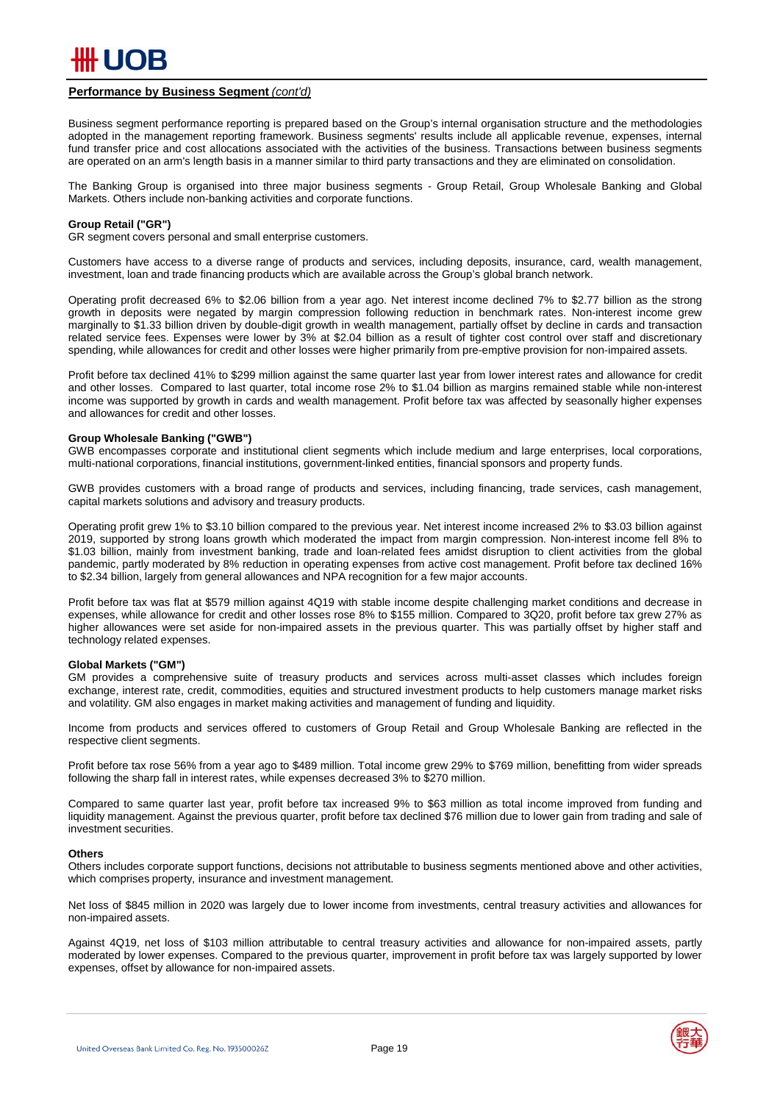

#### **Performance by Business Segment** *(cont'd)*

Business segment performance reporting is prepared based on the Group's internal organisation structure and the methodologies adopted in the management reporting framework. Business segments' results include all applicable revenue, expenses, internal fund transfer price and cost allocations associated with the activities of the business. Transactions between business segments are operated on an arm's length basis in a manner similar to third party transactions and they are eliminated on consolidation.

The Banking Group is organised into three major business segments - Group Retail, Group Wholesale Banking and Global Markets. Others include non-banking activities and corporate functions.

#### **Group Retail ("GR")**

GR segment covers personal and small enterprise customers.

Customers have access to a diverse range of products and services, including deposits, insurance, card, wealth management, investment, loan and trade financing products which are available across the Group's global branch network.

Operating profit decreased 6% to \$2.06 billion from a year ago. Net interest income declined 7% to \$2.77 billion as the strong growth in deposits were negated by margin compression following reduction in benchmark rates. Non-interest income grew marginally to \$1.33 billion driven by double-digit growth in wealth management, partially offset by decline in cards and transaction related service fees. Expenses were lower by 3% at \$2.04 billion as a result of tighter cost control over staff and discretionary spending, while allowances for credit and other losses were higher primarily from pre-emptive provision for non-impaired assets.

Profit before tax declined 41% to \$299 million against the same quarter last year from lower interest rates and allowance for credit and other losses. Compared to last quarter, total income rose 2% to \$1.04 billion as margins remained stable while non-interest income was supported by growth in cards and wealth management. Profit before tax was affected by seasonally higher expenses and allowances for credit and other losses.

#### **Group Wholesale Banking ("GWB")**

GWB encompasses corporate and institutional client segments which include medium and large enterprises, local corporations, multi-national corporations, financial institutions, government-linked entities, financial sponsors and property funds.

GWB provides customers with a broad range of products and services, including financing, trade services, cash management, capital markets solutions and advisory and treasury products.

Operating profit grew 1% to \$3.10 billion compared to the previous year. Net interest income increased 2% to \$3.03 billion against 2019, supported by strong loans growth which moderated the impact from margin compression. Non-interest income fell 8% to \$1.03 billion, mainly from investment banking, trade and loan-related fees amidst disruption to client activities from the global pandemic, partly moderated by 8% reduction in operating expenses from active cost management. Profit before tax declined 16% to \$2.34 billion, largely from general allowances and NPA recognition for a few major accounts.

Profit before tax was flat at \$579 million against 4Q19 with stable income despite challenging market conditions and decrease in expenses, while allowance for credit and other losses rose 8% to \$155 million. Compared to 3Q20, profit before tax grew 27% as higher allowances were set aside for non-impaired assets in the previous quarter. This was partially offset by higher staff and technology related expenses.

#### **Global Markets ("GM")**

GM provides a comprehensive suite of treasury products and services across multi-asset classes which includes foreign exchange, interest rate, credit, commodities, equities and structured investment products to help customers manage market risks and volatility. GM also engages in market making activities and management of funding and liquidity.

Income from products and services offered to customers of Group Retail and Group Wholesale Banking are reflected in the respective client segments.

Profit before tax rose 56% from a year ago to \$489 million. Total income grew 29% to \$769 million, benefitting from wider spreads following the sharp fall in interest rates, while expenses decreased 3% to \$270 million.

Compared to same quarter last year, profit before tax increased 9% to \$63 million as total income improved from funding and liquidity management. Against the previous quarter, profit before tax declined \$76 million due to lower gain from trading and sale of investment securities.

#### **Others**

Others includes corporate support functions, decisions not attributable to business segments mentioned above and other activities, which comprises property, insurance and investment management.

Net loss of \$845 million in 2020 was largely due to lower income from investments, central treasury activities and allowances for non-impaired assets.

Against 4Q19, net loss of \$103 million attributable to central treasury activities and allowance for non-impaired assets, partly moderated by lower expenses. Compared to the previous quarter, improvement in profit before tax was largely supported by lower expenses, offset by allowance for non-impaired assets.

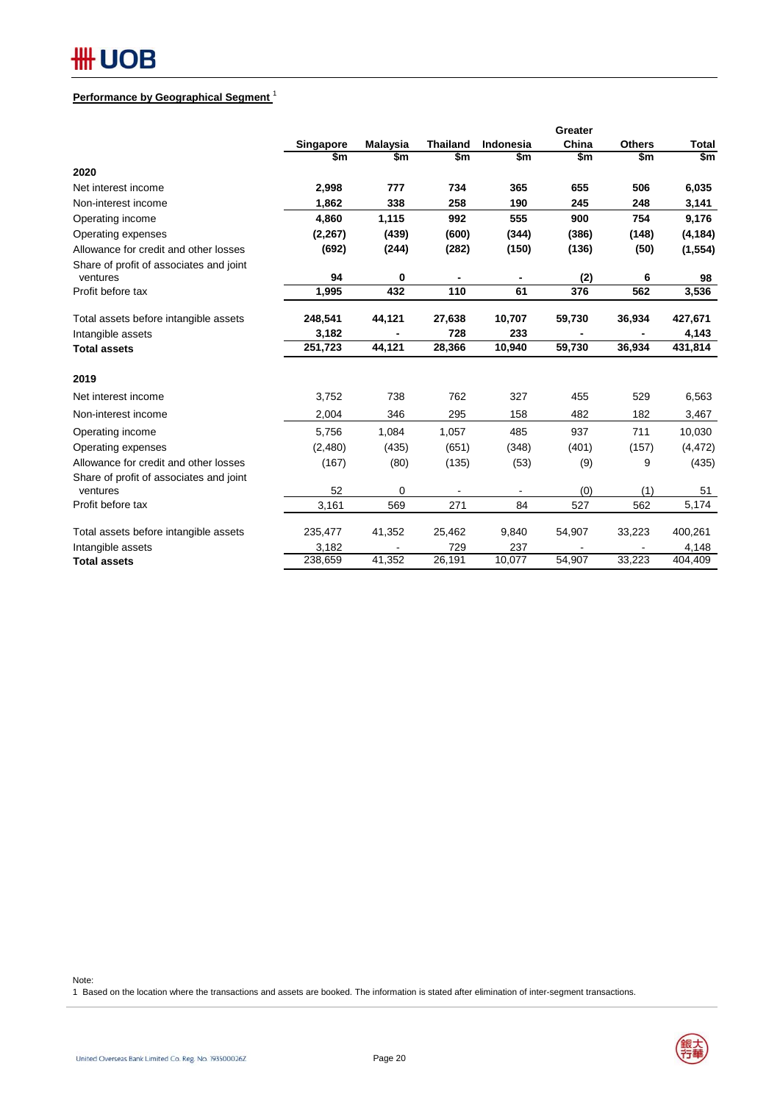## **Performance by Geographical Segment** <sup>1</sup>

|                                                     |           |                 |                 |           | Greater |               |              |
|-----------------------------------------------------|-----------|-----------------|-----------------|-----------|---------|---------------|--------------|
|                                                     | Singapore | <b>Malaysia</b> | <b>Thailand</b> | Indonesia | China   | <b>Others</b> | <b>Total</b> |
|                                                     | \$m       | \$m             | \$m             | \$m       | \$m     | \$m           | \$m          |
| 2020                                                |           |                 |                 |           |         |               |              |
| Net interest income                                 | 2,998     | 777             | 734             | 365       | 655     | 506           | 6,035        |
| Non-interest income                                 | 1,862     | 338             | 258             | 190       | 245     | 248           | 3,141        |
| Operating income                                    | 4,860     | 1,115           | 992             | 555       | 900     | 754           | 9,176        |
| Operating expenses                                  | (2, 267)  | (439)           | (600)           | (344)     | (386)   | (148)         | (4, 184)     |
| Allowance for credit and other losses               | (692)     | (244)           | (282)           | (150)     | (136)   | (50)          | (1, 554)     |
| Share of profit of associates and joint<br>ventures | 94        | 0               |                 |           | (2)     | 6             | 98           |
| Profit before tax                                   | 1,995     | 432             | 110             | 61        | 376     | 562           | 3,536        |
| Total assets before intangible assets               | 248,541   | 44,121          | 27,638          | 10,707    | 59,730  | 36,934        | 427,671      |
| Intangible assets                                   | 3,182     |                 | 728             | 233       |         |               | 4,143        |
| <b>Total assets</b>                                 | 251,723   | 44,121          | 28,366          | 10,940    | 59,730  | 36,934        | 431,814      |
| 2019                                                |           |                 |                 |           |         |               |              |
| Net interest income                                 | 3,752     | 738             | 762             | 327       | 455     | 529           | 6,563        |
| Non-interest income                                 | 2,004     | 346             | 295             | 158       | 482     | 182           | 3,467        |
| Operating income                                    | 5,756     | 1,084           | 1,057           | 485       | 937     | 711           | 10,030       |
| Operating expenses                                  | (2,480)   | (435)           | (651)           | (348)     | (401)   | (157)         | (4, 472)     |
| Allowance for credit and other losses               | (167)     | (80)            | (135)           | (53)      | (9)     | 9             | (435)        |
| Share of profit of associates and joint<br>ventures | 52        | 0               |                 |           | (0)     | (1)           | 51           |
| Profit before tax                                   | 3,161     | 569             | 271             | 84        | 527     | 562           | 5,174        |
| Total assets before intangible assets               | 235,477   | 41,352          | 25,462          | 9,840     | 54,907  | 33,223        | 400,261      |
| Intangible assets                                   | 3,182     |                 | 729             | 237       |         |               | 4,148        |
| <b>Total assets</b>                                 | 238,659   | 41,352          | 26,191          | 10,077    | 54,907  | 33,223        | 404,409      |

Note:

1 Based on the location where the transactions and assets are booked. The information is stated after elimination of inter-segment transactions.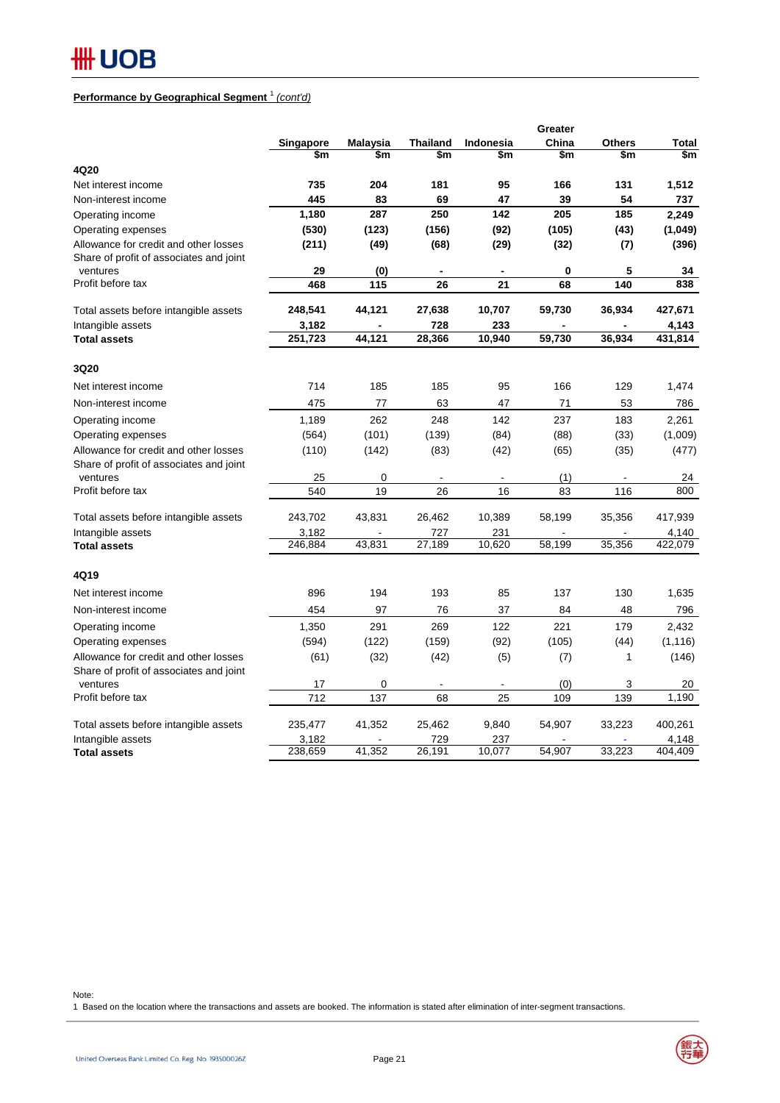## **Performance by Geographical Segment** <sup>1</sup> *(cont'd)*

|                                                                                              |             |                 |                 |                  | Greater   |               |              |
|----------------------------------------------------------------------------------------------|-------------|-----------------|-----------------|------------------|-----------|---------------|--------------|
|                                                                                              | Singapore   | <b>Malaysia</b> | <b>Thailand</b> | <b>Indonesia</b> | China     | <b>Others</b> | <b>Total</b> |
|                                                                                              | \$m         | \$m             | \$m             | \$m              | \$m       | \$m           | \$m          |
| 4Q20                                                                                         |             |                 |                 |                  |           |               |              |
| Net interest income                                                                          | 735         | 204             | 181             | 95               | 166       | 131           | 1,512        |
| Non-interest income                                                                          | 445         | 83              | 69              | 47               | 39        | 54            | 737          |
| Operating income                                                                             | 1,180       | 287             | 250             | 142              | 205       | 185           | 2,249        |
| Operating expenses                                                                           | (530)       | (123)           | (156)           | (92)             | (105)     | (43)          | (1,049)      |
| Allowance for credit and other losses<br>Share of profit of associates and joint<br>ventures | (211)<br>29 | (49)<br>(0)     | (68)            | (29)             | (32)<br>0 | (7)<br>5      | (396)<br>34  |
| Profit before tax                                                                            | 468         | 115             | 26              | 21               | 68        | 140           | 838          |
|                                                                                              |             |                 |                 |                  |           |               |              |
| Total assets before intangible assets                                                        | 248,541     | 44,121          | 27,638          | 10,707           | 59,730    | 36,934        | 427,671      |
| Intangible assets                                                                            | 3,182       |                 | 728             | 233              |           |               | 4,143        |
| <b>Total assets</b>                                                                          | 251,723     | 44,121          | 28,366          | 10,940           | 59,730    | 36,934        | 431,814      |
| 3Q20                                                                                         |             |                 |                 |                  |           |               |              |
| Net interest income                                                                          | 714         | 185             | 185             | 95               | 166       | 129           | 1,474        |
| Non-interest income                                                                          | 475         | 77              | 63              | 47               | 71        | 53            | 786          |
| Operating income                                                                             | 1,189       | 262             | 248             | 142              | 237       | 183           | 2,261        |
| Operating expenses                                                                           | (564)       | (101)           | (139)           | (84)             | (88)      | (33)          | (1,009)      |
| Allowance for credit and other losses                                                        | (110)       | (142)           | (83)            | (42)             | (65)      | (35)          | (477)        |
| Share of profit of associates and joint                                                      |             |                 |                 |                  |           |               |              |
| ventures                                                                                     | 25          | 0               |                 | $\blacksquare$   | (1)       |               | 24           |
| Profit before tax                                                                            | 540         | 19              | 26              | 16               | 83        | 116           | 800          |
| Total assets before intangible assets                                                        | 243,702     | 43,831          | 26,462          | 10,389           | 58,199    | 35,356        | 417,939      |
| Intangible assets                                                                            | 3,182       |                 | 727             | 231              |           |               | 4,140        |
| <b>Total assets</b>                                                                          | 246,884     | 43,831          | 27,189          | 10,620           | 58,199    | 35,356        | 422,079      |
| 4Q19                                                                                         |             |                 |                 |                  |           |               |              |
| Net interest income                                                                          | 896         | 194             | 193             | 85               | 137       | 130           | 1,635        |
| Non-interest income                                                                          | 454         | 97              | 76              | 37               | 84        | 48            | 796          |
| Operating income                                                                             | 1,350       | 291             | 269             | 122              | 221       | 179           | 2,432        |
| Operating expenses                                                                           | (594)       | (122)           | (159)           | (92)             | (105)     | (44)          | (1, 116)     |
| Allowance for credit and other losses                                                        | (61)        | (32)            | (42)            | (5)              | (7)       | 1             | (146)        |
| Share of profit of associates and joint<br>ventures                                          | 17          | 0               |                 |                  | (0)       |               |              |
| Profit before tax                                                                            | 712         | 137             | 68              | 25               | 109       | 3<br>139      | 20<br>1,190  |
|                                                                                              |             |                 |                 |                  |           |               |              |
| Total assets before intangible assets                                                        | 235,477     | 41,352          | 25,462          | 9,840            | 54,907    | 33,223        | 400,261      |
| Intangible assets                                                                            | 3,182       |                 | 729             | 237              |           |               | 4,148        |
| <b>Total assets</b>                                                                          | 238,659     | 41,352          | 26,191          | 10,077           | 54,907    | 33,223        | 404,409      |

Note:

1 Based on the location where the transactions and assets are booked. The information is stated after elimination of inter-segment transactions.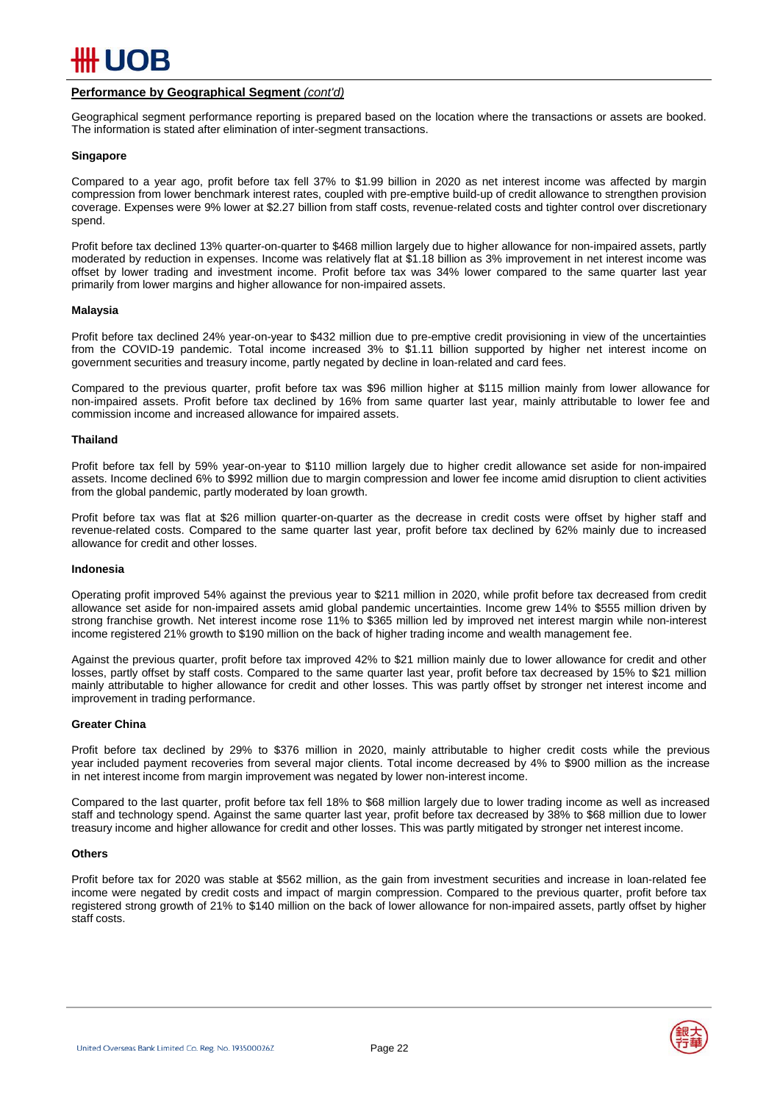

### **Performance by Geographical Segment** *(cont'd)*

Geographical segment performance reporting is prepared based on the location where the transactions or assets are booked. The information is stated after elimination of inter-segment transactions.

#### **Singapore**

Compared to a year ago, profit before tax fell 37% to \$1.99 billion in 2020 as net interest income was affected by margin compression from lower benchmark interest rates, coupled with pre-emptive build-up of credit allowance to strengthen provision coverage. Expenses were 9% lower at \$2.27 billion from staff costs, revenue-related costs and tighter control over discretionary spend.

Profit before tax declined 13% quarter-on-quarter to \$468 million largely due to higher allowance for non-impaired assets, partly moderated by reduction in expenses. Income was relatively flat at \$1.18 billion as 3% improvement in net interest income was offset by lower trading and investment income. Profit before tax was 34% lower compared to the same quarter last year primarily from lower margins and higher allowance for non-impaired assets.

#### **Malaysia**

Profit before tax declined 24% year-on-year to \$432 million due to pre-emptive credit provisioning in view of the uncertainties from the COVID-19 pandemic. Total income increased 3% to \$1.11 billion supported by higher net interest income on government securities and treasury income, partly negated by decline in loan-related and card fees.

Compared to the previous quarter, profit before tax was \$96 million higher at \$115 million mainly from lower allowance for non-impaired assets. Profit before tax declined by 16% from same quarter last year, mainly attributable to lower fee and commission income and increased allowance for impaired assets.

#### **Thailand**

Profit before tax fell by 59% year-on-year to \$110 million largely due to higher credit allowance set aside for non-impaired assets. Income declined 6% to \$992 million due to margin compression and lower fee income amid disruption to client activities from the global pandemic, partly moderated by loan growth.

Profit before tax was flat at \$26 million quarter-on-quarter as the decrease in credit costs were offset by higher staff and revenue-related costs. Compared to the same quarter last year, profit before tax declined by 62% mainly due to increased allowance for credit and other losses.

#### **Indonesia**

Operating profit improved 54% against the previous year to \$211 million in 2020, while profit before tax decreased from credit allowance set aside for non-impaired assets amid global pandemic uncertainties. Income grew 14% to \$555 million driven by strong franchise growth. Net interest income rose 11% to \$365 million led by improved net interest margin while non-interest income registered 21% growth to \$190 million on the back of higher trading income and wealth management fee.

Against the previous quarter, profit before tax improved 42% to \$21 million mainly due to lower allowance for credit and other losses, partly offset by staff costs. Compared to the same quarter last year, profit before tax decreased by 15% to \$21 million mainly attributable to higher allowance for credit and other losses. This was partly offset by stronger net interest income and improvement in trading performance.

#### **Greater China**

Profit before tax declined by 29% to \$376 million in 2020, mainly attributable to higher credit costs while the previous year included payment recoveries from several major clients. Total income decreased by 4% to \$900 million as the increase in net interest income from margin improvement was negated by lower non-interest income.

Compared to the last quarter, profit before tax fell 18% to \$68 million largely due to lower trading income as well as increased staff and technology spend. Against the same quarter last year, profit before tax decreased by 38% to \$68 million due to lower treasury income and higher allowance for credit and other losses. This was partly mitigated by stronger net interest income.

#### **Others**

Profit before tax for 2020 was stable at \$562 million, as the gain from investment securities and increase in loan-related fee income were negated by credit costs and impact of margin compression. Compared to the previous quarter, profit before tax registered strong growth of 21% to \$140 million on the back of lower allowance for non-impaired assets, partly offset by higher staff costs.

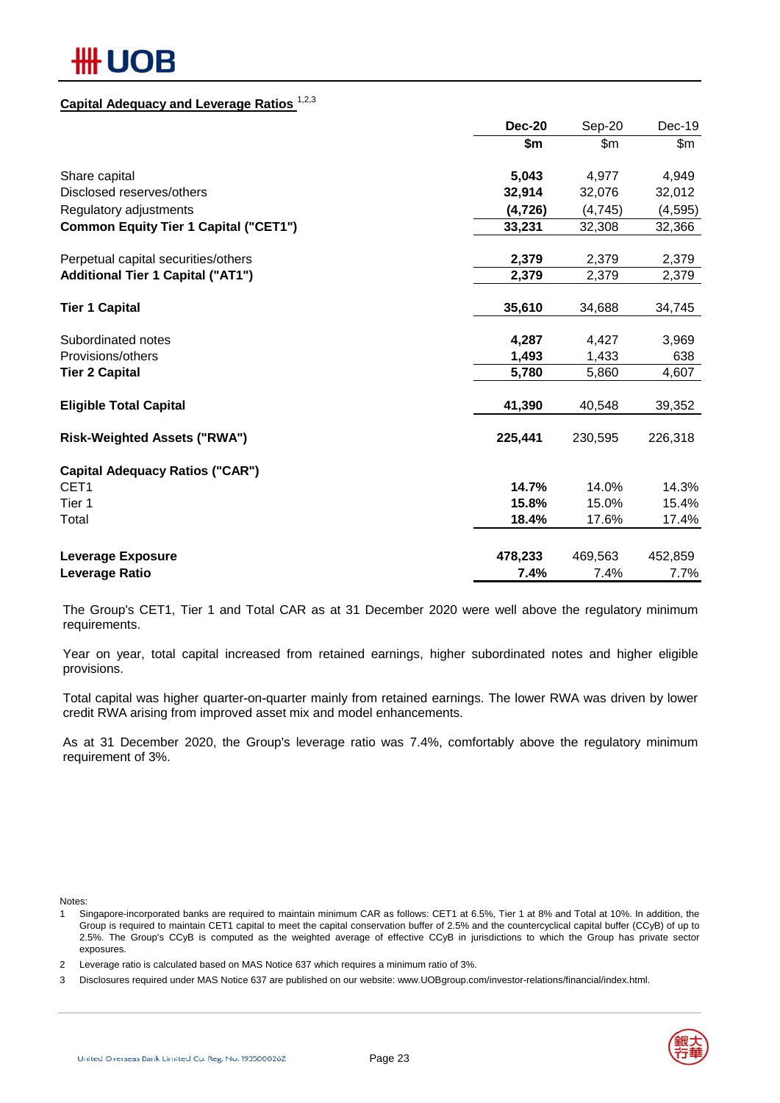## **Capital Adequacy and Leverage Ratios** 1,2,3

|                                              | <b>Dec-20</b> | Sep-20  | Dec-19   |
|----------------------------------------------|---------------|---------|----------|
|                                              | \$m           | \$m\$   | \$m\$    |
| Share capital                                | 5,043         | 4,977   | 4,949    |
| Disclosed reserves/others                    | 32,914        | 32,076  | 32,012   |
| Regulatory adjustments                       | (4, 726)      | (4,745) | (4, 595) |
| <b>Common Equity Tier 1 Capital ("CET1")</b> | 33,231        | 32,308  | 32,366   |
| Perpetual capital securities/others          | 2,379         | 2,379   | 2,379    |
| <b>Additional Tier 1 Capital ("AT1")</b>     | 2,379         | 2,379   | 2,379    |
| <b>Tier 1 Capital</b>                        | 35,610        | 34,688  | 34,745   |
| Subordinated notes                           | 4,287         | 4,427   | 3,969    |
| Provisions/others                            | 1,493         | 1,433   | 638      |
| <b>Tier 2 Capital</b>                        | 5,780         | 5,860   | 4,607    |
| <b>Eligible Total Capital</b>                | 41,390        | 40,548  | 39,352   |
| <b>Risk-Weighted Assets ("RWA")</b>          | 225,441       | 230,595 | 226,318  |
| <b>Capital Adequacy Ratios ("CAR")</b>       |               |         |          |
| CET <sub>1</sub>                             | 14.7%         | 14.0%   | 14.3%    |
| Tier 1                                       | 15.8%         | 15.0%   | 15.4%    |
| Total                                        | 18.4%         | 17.6%   | 17.4%    |
| <b>Leverage Exposure</b>                     | 478,233       | 469,563 | 452,859  |
| Leverage Ratio                               | 7.4%          | 7.4%    | 7.7%     |

The Group's CET1, Tier 1 and Total CAR as at 31 December 2020 were well above the regulatory minimum requirements.

Year on year, total capital increased from retained earnings, higher subordinated notes and higher eligible provisions.

Total capital was higher quarter-on-quarter mainly from retained earnings. The lower RWA was driven by lower credit RWA arising from improved asset mix and model enhancements.

As at 31 December 2020, the Group's leverage ratio was 7.4%, comfortably above the regulatory minimum requirement of 3%.

Notes:

1 Singapore-incorporated banks are required to maintain minimum CAR as follows: CET1 at 6.5%, Tier 1 at 8% and Total at 10%. In addition, the Group is required to maintain CET1 capital to meet the capital conservation buffer of 2.5% and the countercyclical capital buffer (CCyB) of up to 2.5%. The Group's CCyB is computed as the weighted average of effective CCyB in jurisdictions to which the Group has private sector exposures.

<sup>3</sup> Disclosures required under MAS Notice 637 are published on our website: www.UOBgroup.com/investor-relations/financial/index.html.



<sup>2</sup> Leverage ratio is calculated based on MAS Notice 637 which requires a minimum ratio of 3%.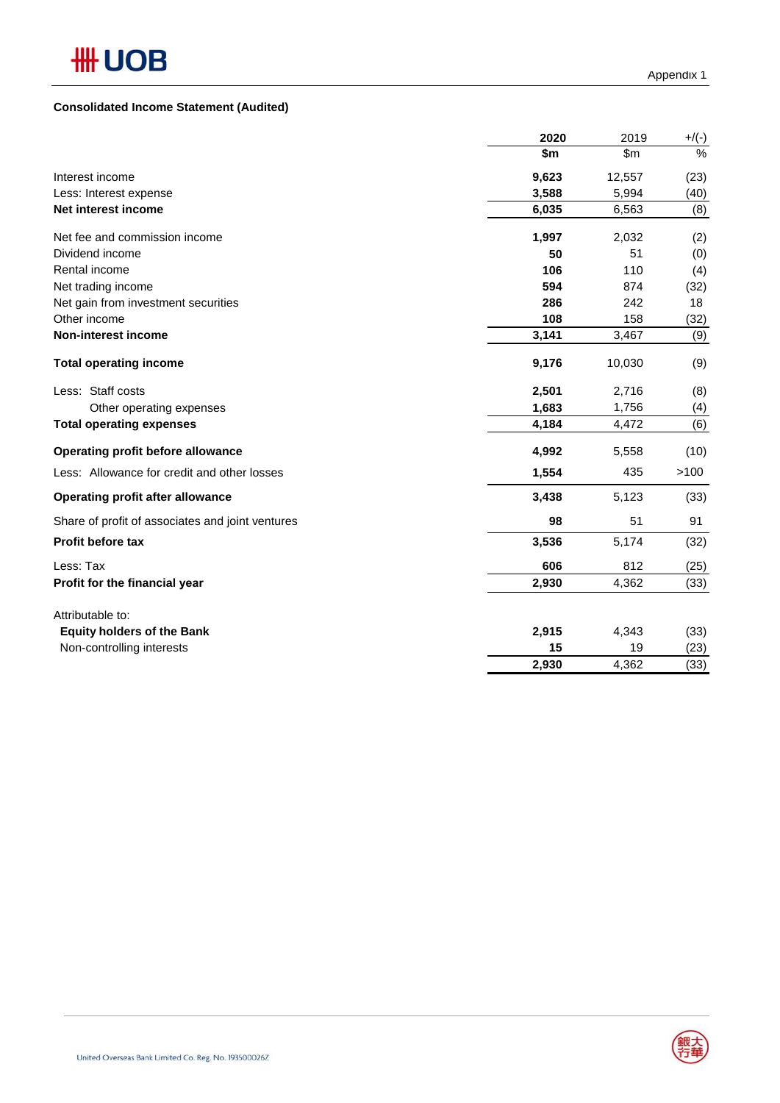## **Consolidated Income Statement (Audited)**

|                                                  | 2020  | 2019   | $+$ /(-) |
|--------------------------------------------------|-------|--------|----------|
|                                                  | \$m   | \$m    | $\%$     |
| Interest income                                  | 9,623 | 12,557 | (23)     |
| Less: Interest expense                           | 3,588 | 5,994  | (40)     |
| Net interest income                              | 6,035 | 6,563  | (8)      |
| Net fee and commission income                    | 1,997 | 2,032  | (2)      |
| Dividend income                                  | 50    | 51     | (0)      |
| Rental income                                    | 106   | 110    | (4)      |
| Net trading income                               | 594   | 874    | (32)     |
| Net gain from investment securities              | 286   | 242    | 18       |
| Other income                                     | 108   | 158    | (32)     |
| <b>Non-interest income</b>                       | 3,141 | 3,467  | (9)      |
| <b>Total operating income</b>                    | 9,176 | 10,030 | (9)      |
| Less: Staff costs                                | 2,501 | 2,716  | (8)      |
| Other operating expenses                         | 1,683 | 1,756  | (4)      |
| <b>Total operating expenses</b>                  | 4,184 | 4,472  | (6)      |
| Operating profit before allowance                | 4,992 | 5,558  | (10)     |
| Less: Allowance for credit and other losses      | 1,554 | 435    | >100     |
| <b>Operating profit after allowance</b>          | 3,438 | 5,123  | (33)     |
| Share of profit of associates and joint ventures | 98    | 51     | 91       |
| Profit before tax                                | 3,536 | 5,174  | (32)     |
| Less: Tax                                        | 606   | 812    | (25)     |
| Profit for the financial year                    | 2,930 | 4,362  | (33)     |
| Attributable to:                                 |       |        |          |
| <b>Equity holders of the Bank</b>                | 2,915 | 4,343  | (33)     |
| Non-controlling interests                        | 15    | 19     | (23)     |
|                                                  | 2,930 | 4,362  | (33)     |

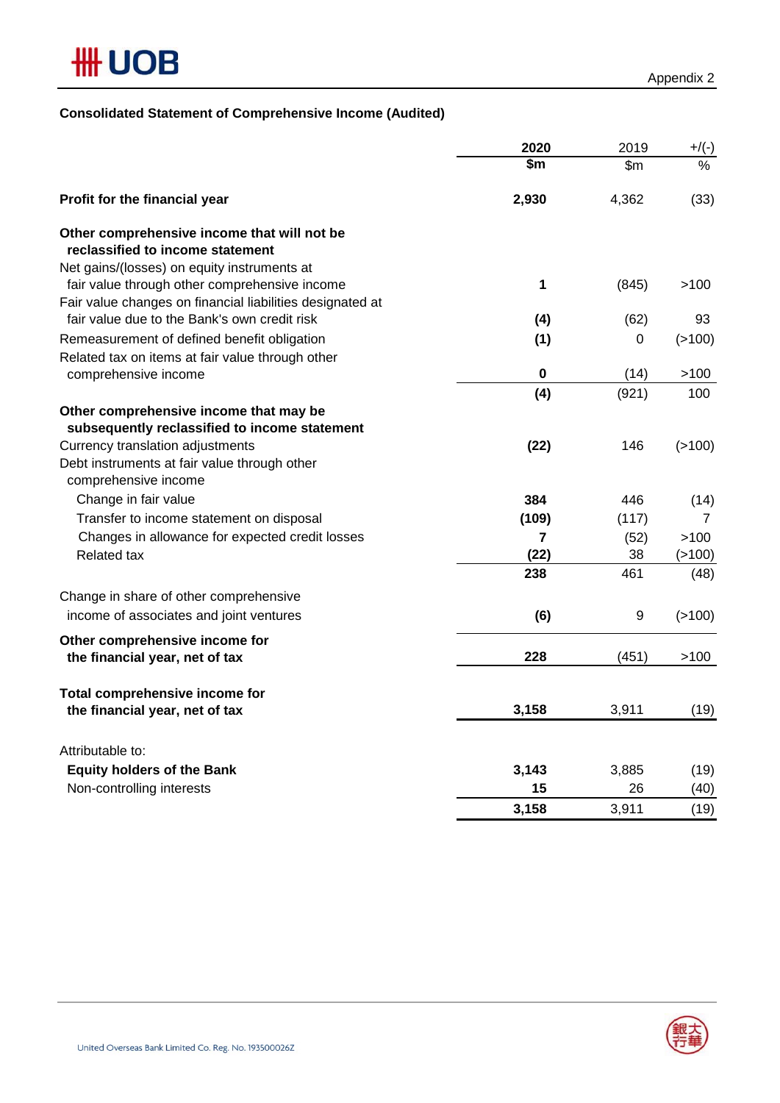## **Consolidated Statement of Comprehensive Income (Audited)**

|                                                                                                            | 2020         | 2019      | $+/(-)$        |
|------------------------------------------------------------------------------------------------------------|--------------|-----------|----------------|
|                                                                                                            | \$m          | \$m\$     | $\%$           |
| Profit for the financial year                                                                              | 2,930        | 4,362     | (33)           |
| Other comprehensive income that will not be                                                                |              |           |                |
| reclassified to income statement                                                                           |              |           |                |
| Net gains/(losses) on equity instruments at                                                                | $\mathbf{1}$ |           |                |
| fair value through other comprehensive income<br>Fair value changes on financial liabilities designated at |              | (845)     | >100           |
| fair value due to the Bank's own credit risk                                                               | (4)          | (62)      | 93             |
| Remeasurement of defined benefit obligation                                                                | (1)          | 0         | (>100)         |
| Related tax on items at fair value through other                                                           |              |           |                |
| comprehensive income                                                                                       | $\pmb{0}$    | (14)      | >100           |
|                                                                                                            | (4)          | (921)     | 100            |
| Other comprehensive income that may be                                                                     |              |           |                |
| subsequently reclassified to income statement                                                              |              |           |                |
| Currency translation adjustments                                                                           | (22)         | 146       | (>100)         |
| Debt instruments at fair value through other                                                               |              |           |                |
| comprehensive income                                                                                       |              |           |                |
| Change in fair value                                                                                       | 384          | 446       | (14)           |
| Transfer to income statement on disposal                                                                   | (109)        | (117)     | $\overline{7}$ |
| Changes in allowance for expected credit losses                                                            | 7            | (52)      | >100           |
| <b>Related tax</b>                                                                                         | (22)<br>238  | 38<br>461 | (>100)         |
|                                                                                                            |              |           | (48)           |
| Change in share of other comprehensive                                                                     |              |           |                |
| income of associates and joint ventures                                                                    | (6)          | 9         | (>100)         |
| Other comprehensive income for                                                                             |              |           |                |
| the financial year, net of tax                                                                             | 228          | (451)     | >100           |
| Total comprehensive income for                                                                             |              |           |                |
| the financial year, net of tax                                                                             | 3,158        | 3,911     | (19)           |
| Attributable to:                                                                                           |              |           |                |
| <b>Equity holders of the Bank</b>                                                                          | 3,143        | 3,885     | (19)           |
| Non-controlling interests                                                                                  | 15           | 26        | (40)           |
|                                                                                                            | 3,158        | 3,911     | (19)           |

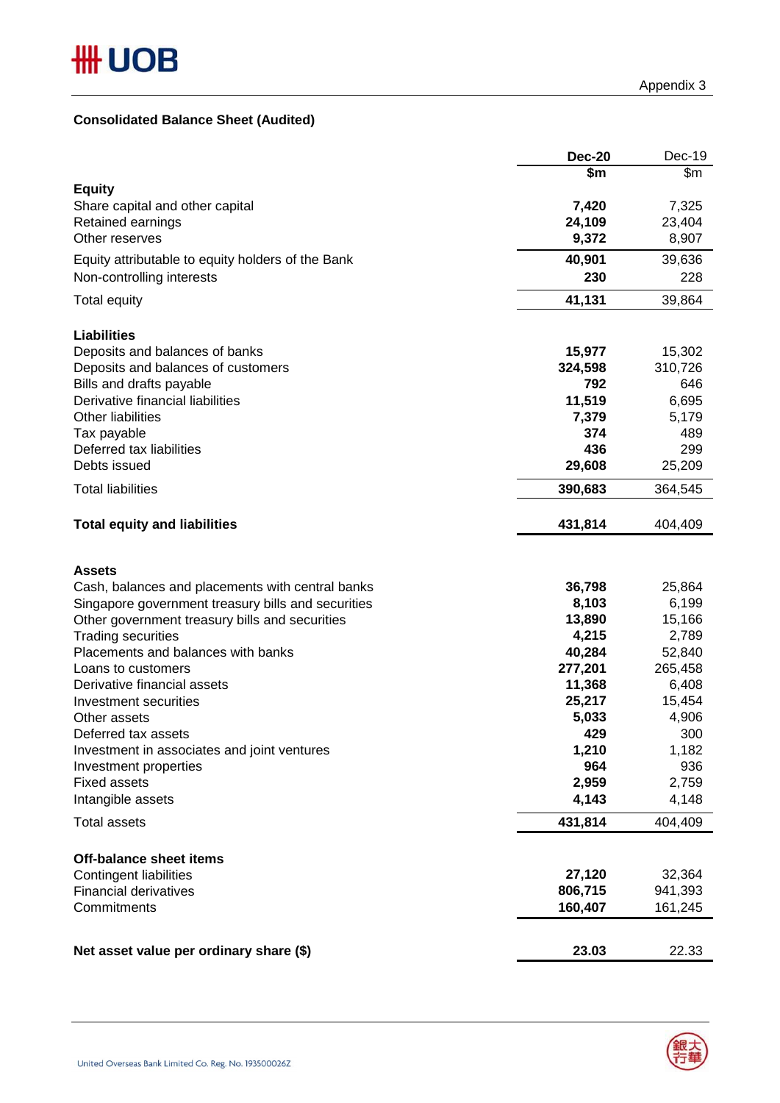## **Consolidated Balance Sheet (Audited)**

|                                                              | <b>Dec-20</b>  | Dec-19         |
|--------------------------------------------------------------|----------------|----------------|
|                                                              | \$m            | \$m            |
| <b>Equity</b>                                                |                |                |
| Share capital and other capital                              | 7,420          | 7,325          |
| Retained earnings                                            | 24,109         | 23,404         |
| Other reserves                                               | 9,372          | 8,907          |
| Equity attributable to equity holders of the Bank            | 40,901         | 39,636         |
| Non-controlling interests                                    | 230            | 228            |
|                                                              |                |                |
| <b>Total equity</b>                                          | 41,131         | 39,864         |
|                                                              |                |                |
| <b>Liabilities</b>                                           |                |                |
| Deposits and balances of banks                               | 15,977         | 15,302         |
| Deposits and balances of customers                           | 324,598<br>792 | 310,726<br>646 |
| Bills and drafts payable<br>Derivative financial liabilities | 11,519         | 6,695          |
| <b>Other liabilities</b>                                     | 7,379          | 5,179          |
| Tax payable                                                  | 374            | 489            |
| Deferred tax liabilities                                     | 436            | 299            |
| Debts issued                                                 | 29,608         | 25,209         |
|                                                              |                |                |
| <b>Total liabilities</b>                                     | 390,683        | 364,545        |
| <b>Total equity and liabilities</b>                          | 431,814        | 404,409        |
|                                                              |                |                |
|                                                              |                |                |
| <b>Assets</b>                                                |                |                |
| Cash, balances and placements with central banks             | 36,798         | 25,864         |
| Singapore government treasury bills and securities           | 8,103          | 6,199          |
| Other government treasury bills and securities               | 13,890         | 15,166         |
| <b>Trading securities</b>                                    | 4,215          | 2,789          |
| Placements and balances with banks                           | 40,284         | 52,840         |
| Loans to customers                                           | 277,201        | 265,458        |
| Derivative financial assets                                  | 11,368         | 6,408          |
| Investment securities                                        | 25,217         | 15,454         |
| Other assets                                                 | 5,033          | 4,906          |
| Deferred tax assets                                          | 429            | 300            |
| Investment in associates and joint ventures                  | 1,210          | 1,182          |
| Investment properties                                        | 964            | 936            |
| <b>Fixed assets</b>                                          | 2,959          | 2,759          |
| Intangible assets                                            | 4,143          | 4,148          |
| <b>Total assets</b>                                          | 431,814        | 404,409        |
|                                                              |                |                |
| <b>Off-balance sheet items</b>                               |                |                |
| <b>Contingent liabilities</b>                                | 27,120         | 32,364         |
| <b>Financial derivatives</b>                                 | 806,715        | 941,393        |
| Commitments                                                  | 160,407        | 161,245        |
|                                                              |                |                |
| Net asset value per ordinary share (\$)                      | 23.03          | 22.33          |

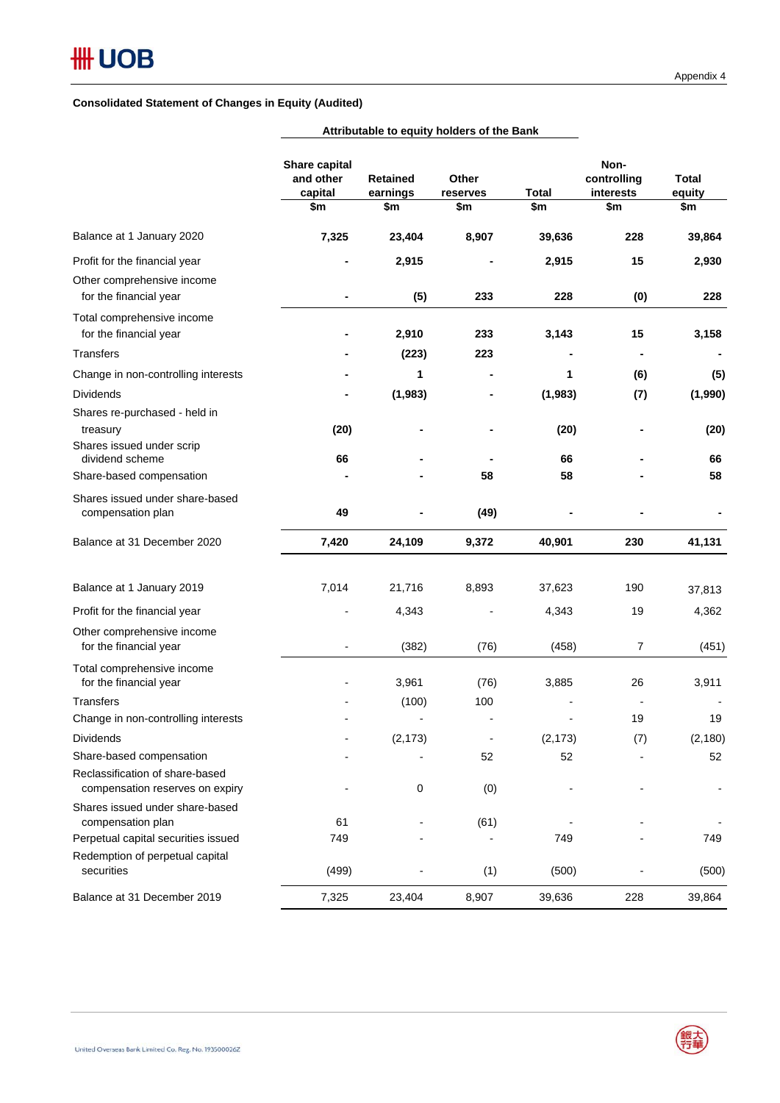|                                                                                                | Share capital<br>and other<br>capital<br>\$m | <b>Retained</b><br>earnings<br>\$m | Other<br>reserves<br>\$m | <b>Total</b><br>\$m | Non-<br>controlling<br>interests<br>\$m | <b>Total</b><br>equity<br>\$m |
|------------------------------------------------------------------------------------------------|----------------------------------------------|------------------------------------|--------------------------|---------------------|-----------------------------------------|-------------------------------|
| Balance at 1 January 2020                                                                      | 7,325                                        | 23,404                             | 8,907                    | 39,636              | 228                                     | 39,864                        |
| Profit for the financial year                                                                  |                                              | 2,915                              |                          | 2,915               | 15                                      | 2,930                         |
| Other comprehensive income<br>for the financial year                                           |                                              | (5)                                | 233                      | 228                 | (0)                                     | 228                           |
| Total comprehensive income<br>for the financial year                                           | $\blacksquare$                               | 2,910                              | 233                      | 3,143               | 15                                      | 3,158                         |
| <b>Transfers</b>                                                                               |                                              | (223)                              | 223                      |                     |                                         |                               |
| Change in non-controlling interests                                                            |                                              | 1                                  |                          | 1                   | (6)                                     | (5)                           |
| <b>Dividends</b>                                                                               |                                              | (1,983)                            |                          | (1,983)             | (7)                                     | (1,990)                       |
| Shares re-purchased - held in<br>treasury                                                      | (20)                                         |                                    |                          | (20)                |                                         | (20)                          |
| Shares issued under scrip<br>dividend scheme                                                   | 66                                           |                                    |                          | 66                  |                                         | 66                            |
| Share-based compensation                                                                       |                                              |                                    | 58                       | 58                  |                                         | 58                            |
| Shares issued under share-based<br>compensation plan                                           | 49                                           |                                    | (49)                     |                     |                                         |                               |
| Balance at 31 December 2020                                                                    | 7,420                                        | 24,109                             | 9,372                    | 40,901              | 230                                     | 41,131                        |
| Balance at 1 January 2019                                                                      | 7,014                                        | 21,716                             | 8,893                    | 37,623              | 190                                     | 37,813                        |
| Profit for the financial year                                                                  |                                              | 4,343                              |                          | 4,343               | 19                                      | 4,362                         |
| Other comprehensive income<br>for the financial year                                           | $\overline{a}$                               | (382)                              | (76)                     | (458)               | $\overline{7}$                          | (451)                         |
| Total comprehensive income<br>for the financial year                                           |                                              | 3,961                              | (76)                     | 3,885               | 26                                      | 3,911                         |
| <b>Transfers</b>                                                                               |                                              | (100)                              | 100                      |                     |                                         |                               |
| Change in non-controlling interests                                                            |                                              |                                    |                          |                     | 19                                      | 19                            |
| Dividends                                                                                      |                                              | (2, 173)                           |                          | (2, 173)            | (7)                                     | (2, 180)                      |
| Share-based compensation<br>Reclassification of share-based<br>compensation reserves on expiry |                                              | 0                                  | 52<br>(0)                | 52                  |                                         | 52                            |
| Shares issued under share-based<br>compensation plan                                           | 61                                           |                                    | (61)                     |                     |                                         |                               |
| Perpetual capital securities issued                                                            | 749                                          |                                    |                          | 749                 |                                         | 749                           |
| Redemption of perpetual capital<br>securities                                                  | (499)                                        |                                    | (1)                      | (500)               |                                         | (500)                         |
| Balance at 31 December 2019                                                                    | 7,325                                        | 23,404                             | 8,907                    | 39,636              | 228                                     | 39,864                        |

**Attributable to equity holders of the Bank**

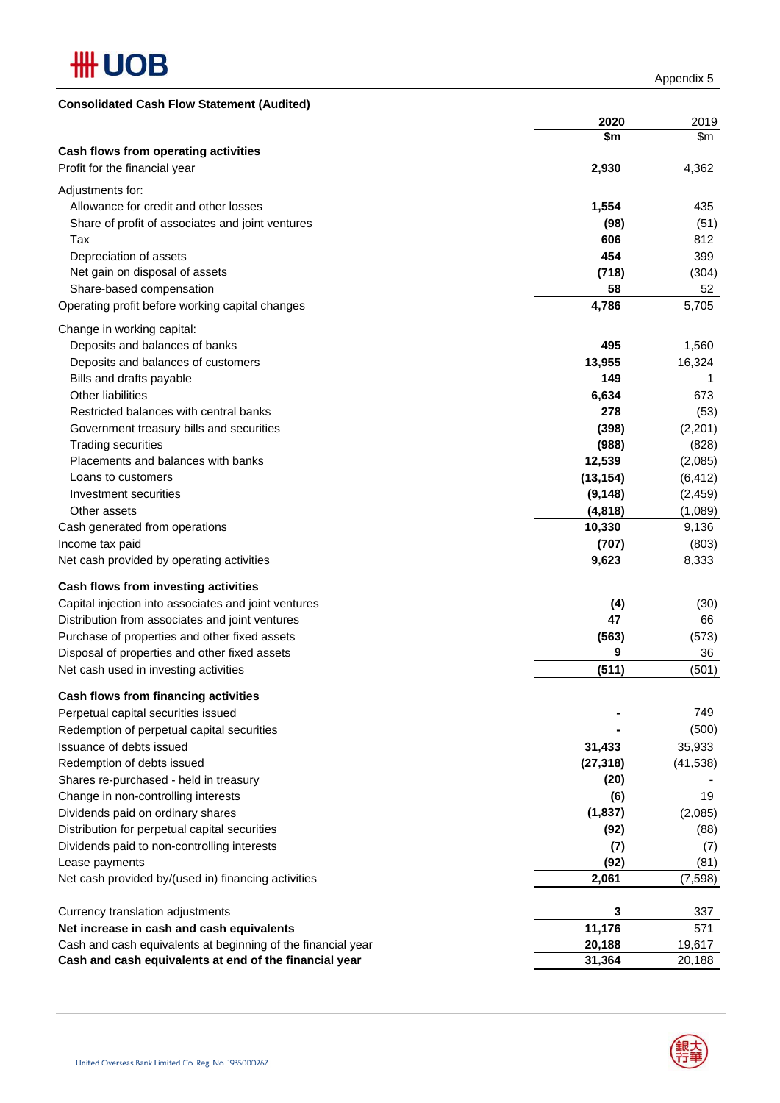

Appendix 5

| <b>Consolidated Cash Flow Statement (Audited)</b>            |           |           |
|--------------------------------------------------------------|-----------|-----------|
|                                                              | 2020      | 2019      |
|                                                              | \$m       | \$m       |
| Cash flows from operating activities                         |           |           |
| Profit for the financial year                                | 2,930     | 4,362     |
| Adjustments for:                                             |           |           |
| Allowance for credit and other losses                        | 1,554     | 435       |
| Share of profit of associates and joint ventures             | (98)      | (51)      |
| Tax                                                          | 606       | 812       |
| Depreciation of assets                                       | 454       | 399       |
| Net gain on disposal of assets                               | (718)     | (304)     |
| Share-based compensation                                     | 58        | 52        |
| Operating profit before working capital changes              | 4,786     | 5,705     |
| Change in working capital:                                   |           |           |
| Deposits and balances of banks                               | 495       | 1,560     |
| Deposits and balances of customers                           | 13,955    | 16,324    |
| Bills and drafts payable                                     | 149       | 1         |
| <b>Other liabilities</b>                                     | 6,634     | 673       |
| Restricted balances with central banks                       | 278       | (53)      |
| Government treasury bills and securities                     | (398)     | (2, 201)  |
| <b>Trading securities</b>                                    | (988)     | (828)     |
| Placements and balances with banks                           | 12,539    | (2,085)   |
| Loans to customers                                           | (13, 154) | (6, 412)  |
| Investment securities                                        | (9, 148)  | (2, 459)  |
| Other assets                                                 | (4,818)   | (1,089)   |
| Cash generated from operations                               | 10,330    | 9,136     |
| Income tax paid                                              | (707)     | (803)     |
| Net cash provided by operating activities                    | 9,623     | 8,333     |
| Cash flows from investing activities                         |           |           |
| Capital injection into associates and joint ventures         | (4)       | (30)      |
| Distribution from associates and joint ventures              | 47        | 66        |
| Purchase of properties and other fixed assets                | (563)     | (573)     |
| Disposal of properties and other fixed assets                | 9         | 36        |
| Net cash used in investing activities                        | (511)     | (501)     |
|                                                              |           |           |
| Cash flows from financing activities                         |           |           |
| Perpetual capital securities issued                          |           | 749       |
| Redemption of perpetual capital securities                   |           | (500)     |
| Issuance of debts issued                                     | 31,433    | 35,933    |
| Redemption of debts issued                                   | (27, 318) | (41, 538) |
| Shares re-purchased - held in treasury                       | (20)      |           |
| Change in non-controlling interests                          | (6)       | 19        |
| Dividends paid on ordinary shares                            | (1,837)   | (2,085)   |
| Distribution for perpetual capital securities                | (92)      | (88)      |
| Dividends paid to non-controlling interests                  | (7)       | (7)       |
| Lease payments                                               | (92)      | (81)      |
| Net cash provided by/(used in) financing activities          | 2,061     | (7, 598)  |
| Currency translation adjustments                             | 3         | 337       |
| Net increase in cash and cash equivalents                    | 11,176    | 571       |
| Cash and cash equivalents at beginning of the financial year | 20,188    | 19,617    |
| Cash and cash equivalents at end of the financial year       | 31,364    | 20,188    |

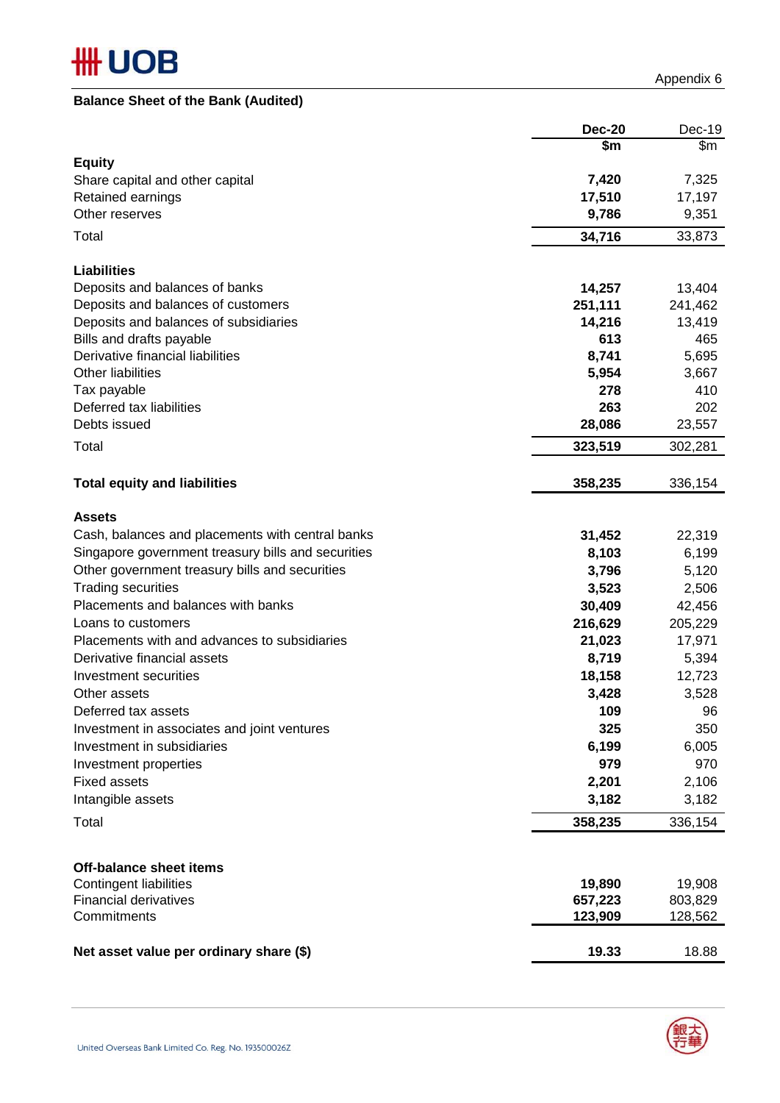## **Balance Sheet of the Bank (Audited)**

Appendix 6

|                                                    | <b>Dec-20</b>      | Dec-19             |
|----------------------------------------------------|--------------------|--------------------|
|                                                    | \$m                | \$m                |
| <b>Equity</b>                                      |                    |                    |
| Share capital and other capital                    | 7,420              | 7,325              |
| Retained earnings                                  | 17,510             | 17,197             |
| Other reserves                                     | 9,786              | 9,351              |
| Total                                              | 34,716             | 33,873             |
| <b>Liabilities</b>                                 |                    |                    |
| Deposits and balances of banks                     | 14,257             | 13,404             |
| Deposits and balances of customers                 | 251,111            | 241,462            |
| Deposits and balances of subsidiaries              | 14,216             | 13,419             |
| Bills and drafts payable                           | 613                | 465                |
| Derivative financial liabilities                   | 8,741              | 5,695              |
| <b>Other liabilities</b>                           | 5,954              | 3,667              |
| Tax payable                                        | 278                | 410                |
| Deferred tax liabilities                           | 263                | 202                |
| Debts issued                                       | 28,086             | 23,557             |
| Total                                              | 323,519            | 302,281            |
| <b>Total equity and liabilities</b>                | 358,235            | 336,154            |
| <b>Assets</b>                                      |                    |                    |
| Cash, balances and placements with central banks   | 31,452             | 22,319             |
| Singapore government treasury bills and securities | 8,103              | 6,199              |
| Other government treasury bills and securities     | 3,796              | 5,120              |
| <b>Trading securities</b>                          | 3,523              | 2,506              |
| Placements and balances with banks                 | 30,409             | 42,456             |
| Loans to customers                                 | 216,629            | 205,229            |
| Placements with and advances to subsidiaries       | 21,023             | 17,971             |
| Derivative financial assets                        | 8,719              | 5,394              |
| Investment securities                              | 18,158             | 12,723             |
| Other assets                                       | 3,428              | 3,528              |
| Deferred tax assets                                | 109                | 96                 |
| Investment in associates and joint ventures        | 325                | 350                |
| Investment in subsidiaries                         | 6,199              | 6,005              |
| Investment properties                              | 979                | 970                |
| <b>Fixed assets</b>                                | 2,201              | 2,106              |
| Intangible assets                                  | 3,182              | 3,182              |
| Total                                              | 358,235            | 336,154            |
|                                                    |                    |                    |
| <b>Off-balance sheet items</b>                     |                    |                    |
| <b>Contingent liabilities</b>                      | 19,890             | 19,908             |
| <b>Financial derivatives</b><br>Commitments        | 657,223<br>123,909 | 803,829<br>128,562 |
| Net asset value per ordinary share (\$)            | 19.33              | 18.88              |

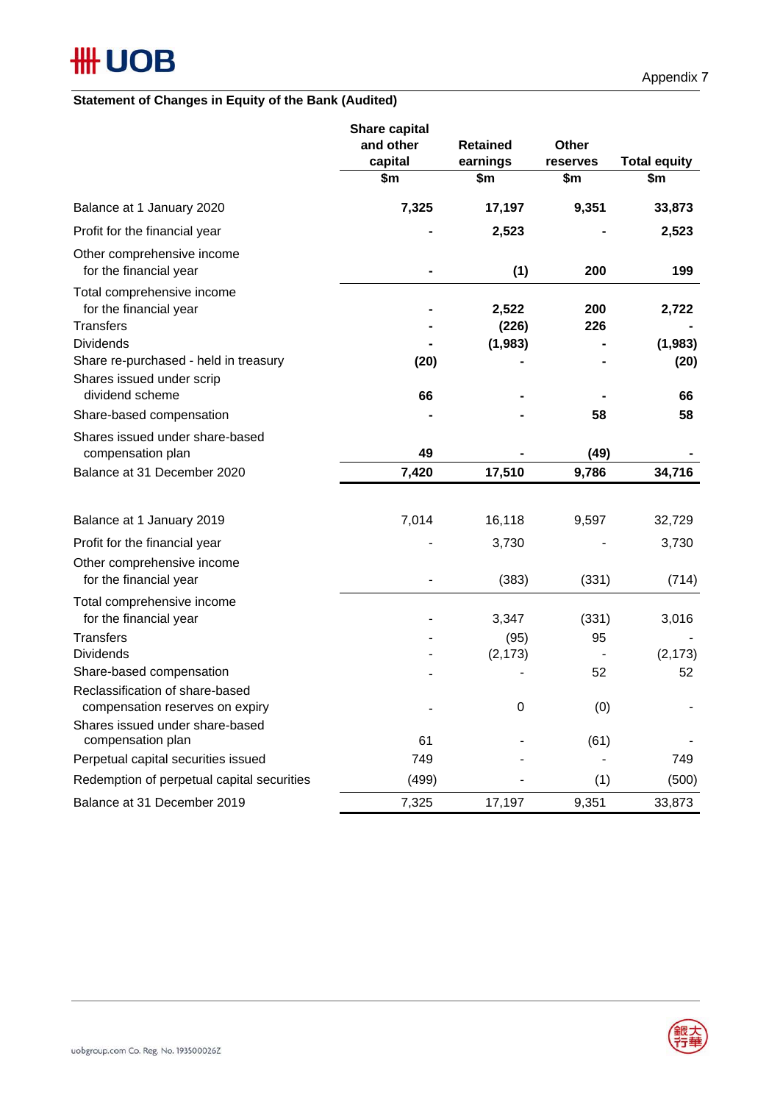## **Statement of Changes in Equity of the Bank (Audited)**

|                                                                                                                   | Share capital<br>and other<br>capital<br>\$m | <b>Retained</b><br>earnings<br>\$m | <b>Other</b><br>reserves<br>\$m | <b>Total equity</b><br>\$m |
|-------------------------------------------------------------------------------------------------------------------|----------------------------------------------|------------------------------------|---------------------------------|----------------------------|
| Balance at 1 January 2020                                                                                         | 7,325                                        | 17,197                             | 9,351                           | 33,873                     |
| Profit for the financial year                                                                                     |                                              | 2,523                              |                                 | 2,523                      |
| Other comprehensive income<br>for the financial year                                                              |                                              | (1)                                | 200                             | 199                        |
| Total comprehensive income<br>for the financial year<br><b>Transfers</b><br><b>Dividends</b>                      |                                              | 2,522<br>(226)<br>(1,983)          | 200<br>226                      | 2,722<br>(1,983)           |
| Share re-purchased - held in treasury<br>Shares issued under scrip<br>dividend scheme<br>Share-based compensation | (20)<br>66                                   |                                    | 58                              | (20)<br>66<br>58           |
| Shares issued under share-based<br>compensation plan                                                              | 49                                           |                                    | (49)                            |                            |
| Balance at 31 December 2020                                                                                       | 7,420                                        | 17,510                             | 9,786                           | 34,716                     |
| Balance at 1 January 2019<br>Profit for the financial year                                                        | 7,014                                        | 16,118<br>3,730                    | 9,597                           | 32,729<br>3,730            |
| Other comprehensive income<br>for the financial year                                                              |                                              | (383)                              | (331)                           | (714)                      |
| Total comprehensive income<br>for the financial year                                                              |                                              | 3,347                              | (331)                           | 3,016                      |
| <b>Transfers</b><br><b>Dividends</b><br>Share-based compensation                                                  |                                              | (95)<br>(2, 173)                   | 95<br>52                        | (2, 173)<br>52             |
| Reclassification of share-based<br>compensation reserves on expiry                                                |                                              | 0                                  | (0)                             |                            |
| Shares issued under share-based<br>compensation plan                                                              | 61                                           |                                    | (61)                            |                            |
| Perpetual capital securities issued                                                                               | 749                                          |                                    |                                 | 749                        |
| Redemption of perpetual capital securities                                                                        | (499)                                        |                                    | (1)                             | (500)                      |
| Balance at 31 December 2019                                                                                       | 7,325                                        | 17,197                             | 9,351                           | 33,873                     |

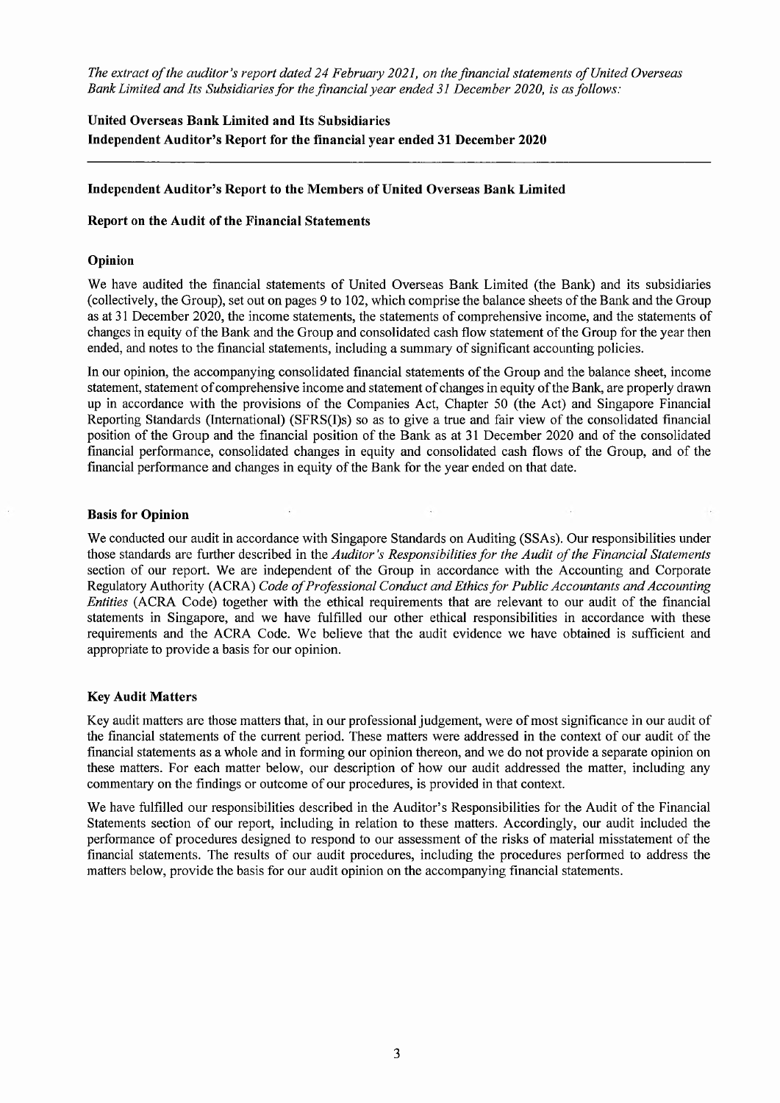The extract of the auditor's report dated 24 February 2021, on the financial statements of United Overseas Bank Limited and Its Subsidiaries for the financial year ended 31 December 2020, is as follows:

## United Overseas Bank Limited and Its Subsidiaries Independent Auditor's Report for the financial year ended 31 December 2020

## Independent Auditor's Report to the Members of United Overseas Bank Limited

## Report on the Audit of the Financial Statements

## Opinion

We have audited the financial statements of United Overseas Bank Limited (the Bank) and its subsidiaries (collectively, the Group), set out on pages 9 to 102, which comprise the balance sheets of the Bank and the Group as at 31 December 2020, the income statements, the statements of comprehensive income, and the statements of changes in equity of the Bank and the Group and consolidated cash flow statement of the Group for the year then ended, and notes to the financial statements, including a summary of significant accounting policies.

In our opinion, the accompanying consolidated financial statements of the Group and the balance sheet, income statement, statement of comprehensive income and statement of changes in equity of the Bank, are properly drawn up in accordance with the provisions of the Companies Act, Chapter 50 (the Act) and Singapore Financial Reporting Standards (International) (SFRS(I)s) so as to give a true and fair view of the consolidated financial position of the Group and the financial position of the Bank as at 31 December 2020 and of the consolidated financial performance, consolidated changes in equity and consolidated cash flows of the Group, and of the financial performance and changes in equity of the Bank for the year ended on that date.

### **Basis for Opinion**

We conducted our audit in accordance with Singapore Standards on Auditing (SSAs). Our responsibilities under those standards are further described in the Auditor's Responsibilities for the Audit of the Financial Statements section of our report. We are independent of the Group in accordance with the Accounting and Corporate Regulatory Authority (ACRA) Code of Professional Conduct and Ethics for Public Accountants and Accounting Entities (ACRA Code) together with the ethical requirements that are relevant to our audit of the financial statements in Singapore, and we have fulfilled our other ethical responsibilities in accordance with these requirements and the ACRA Code. We believe that the audit evidence we have obtained is sufficient and appropriate to provide a basis for our opinion.

## **Key Audit Matters**

Key audit matters are those matters that, in our professional judgement, were of most significance in our audit of the financial statements of the current period. These matters were addressed in the context of our audit of the financial statements as a whole and in forming our opinion thereon, and we do not provide a separate opinion on these matters. For each matter below, our description of how our audit addressed the matter, including any commentary on the findings or outcome of our procedures, is provided in that context.

We have fulfilled our responsibilities described in the Auditor's Responsibilities for the Audit of the Financial Statements section of our report, including in relation to these matters. Accordingly, our audit included the performance of procedures designed to respond to our assessment of the risks of material misstatement of the financial statements. The results of our audit procedures, including the procedures performed to address the matters below, provide the basis for our audit opinion on the accompanying financial statements.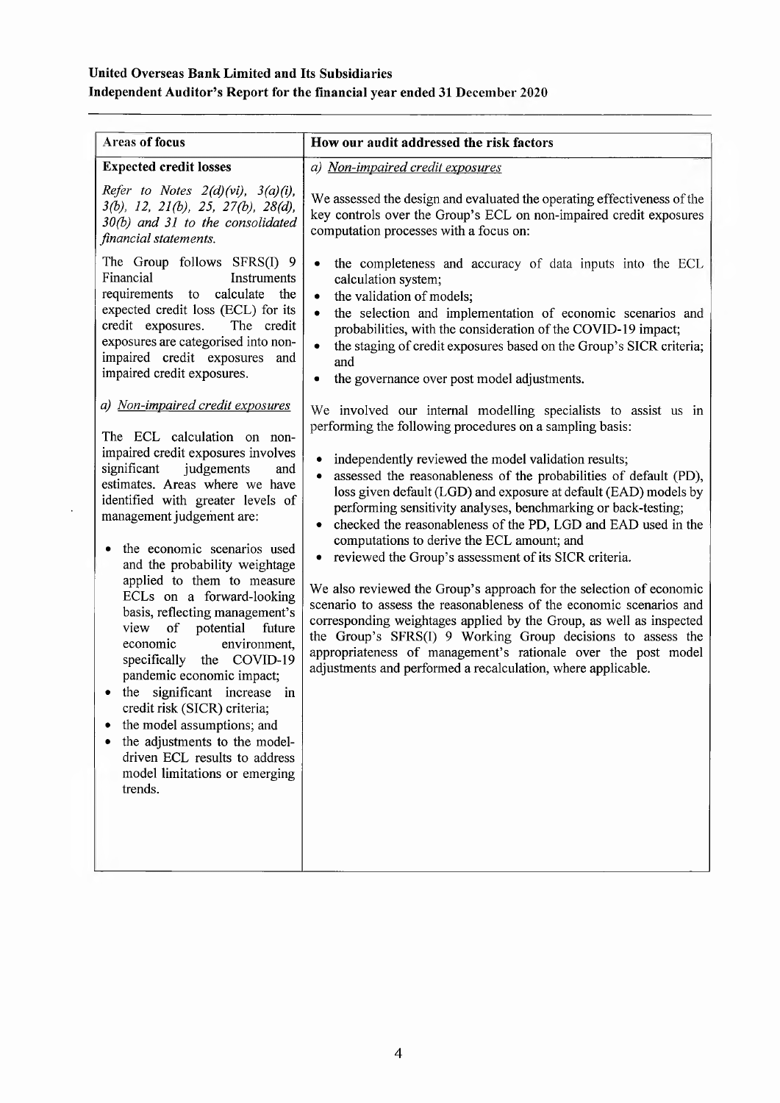## United Overseas Bank Limited and Its Subsidiaries Independent Auditor's Report for the financial year ended 31 December 2020

| <b>Areas of focus</b>                                                                                                                                                                                                                                                                                                                                                                                                                                                                                                                                                                                                                                                                                                                               | How our audit addressed the risk factors                                                                                                                                                                                                                                                                                                                                                                                                                                                                                                                                                                                                                                                                                                                                                                                                                                                                                                                                                   |
|-----------------------------------------------------------------------------------------------------------------------------------------------------------------------------------------------------------------------------------------------------------------------------------------------------------------------------------------------------------------------------------------------------------------------------------------------------------------------------------------------------------------------------------------------------------------------------------------------------------------------------------------------------------------------------------------------------------------------------------------------------|--------------------------------------------------------------------------------------------------------------------------------------------------------------------------------------------------------------------------------------------------------------------------------------------------------------------------------------------------------------------------------------------------------------------------------------------------------------------------------------------------------------------------------------------------------------------------------------------------------------------------------------------------------------------------------------------------------------------------------------------------------------------------------------------------------------------------------------------------------------------------------------------------------------------------------------------------------------------------------------------|
| <b>Expected credit losses</b>                                                                                                                                                                                                                                                                                                                                                                                                                                                                                                                                                                                                                                                                                                                       | a) Non-impaired credit exposures                                                                                                                                                                                                                                                                                                                                                                                                                                                                                                                                                                                                                                                                                                                                                                                                                                                                                                                                                           |
| Refer to Notes $2(d)(vi)$ , $3(a)(i)$ ,<br>$3(b)$ , 12, 21(b), 25, 27(b), 28(d),<br>30(b) and 31 to the consolidated<br>financial statements.                                                                                                                                                                                                                                                                                                                                                                                                                                                                                                                                                                                                       | We assessed the design and evaluated the operating effectiveness of the<br>key controls over the Group's ECL on non-impaired credit exposures<br>computation processes with a focus on:                                                                                                                                                                                                                                                                                                                                                                                                                                                                                                                                                                                                                                                                                                                                                                                                    |
| The Group follows SFRS(I) 9<br>Financial<br>Instruments<br>requirements to calculate the<br>expected credit loss (ECL) for its<br>credit exposures.<br>The credit<br>exposures are categorised into non-<br>impaired credit exposures and<br>impaired credit exposures.                                                                                                                                                                                                                                                                                                                                                                                                                                                                             | the completeness and accuracy of data inputs into the ECL<br>calculation system;<br>the validation of models;<br>$\bullet$<br>the selection and implementation of economic scenarios and<br>$\bullet$<br>probabilities, with the consideration of the COVID-19 impact;<br>the staging of credit exposures based on the Group's SICR criteria;<br>and<br>the governance over post model adjustments.                                                                                                                                                                                                                                                                                                                                                                                                                                                                                                                                                                                        |
| a) Non-impaired credit exposures<br>The ECL calculation on non-<br>impaired credit exposures involves<br>significant<br>judgements<br>and<br>estimates. Areas where we have<br>identified with greater levels of<br>management judgement are:<br>the economic scenarios used<br>and the probability weightage<br>applied to them to measure<br>ECLs on a forward-looking<br>basis, reflecting management's<br>potential<br>view<br>of<br>future<br>economic<br>environment,<br>specifically the COVID-19<br>pandemic economic impact;<br>significant increase in<br>the<br>credit risk (SICR) criteria;<br>the model assumptions; and<br>the adjustments to the model-<br>driven ECL results to address<br>model limitations or emerging<br>trends. | We involved our internal modelling specialists to assist us in<br>performing the following procedures on a sampling basis:<br>independently reviewed the model validation results;<br>assessed the reasonableness of the probabilities of default (PD),<br>loss given default (LGD) and exposure at default (EAD) models by<br>performing sensitivity analyses, benchmarking or back-testing;<br>checked the reasonableness of the PD, LGD and EAD used in the<br>computations to derive the ECL amount; and<br>reviewed the Group's assessment of its SICR criteria.<br>We also reviewed the Group's approach for the selection of economic<br>scenario to assess the reasonableness of the economic scenarios and<br>corresponding weightages applied by the Group, as well as inspected<br>the Group's SFRS(I) 9 Working Group decisions to assess the<br>appropriateness of management's rationale over the post model<br>adjustments and performed a recalculation, where applicable. |

 $\overline{a}$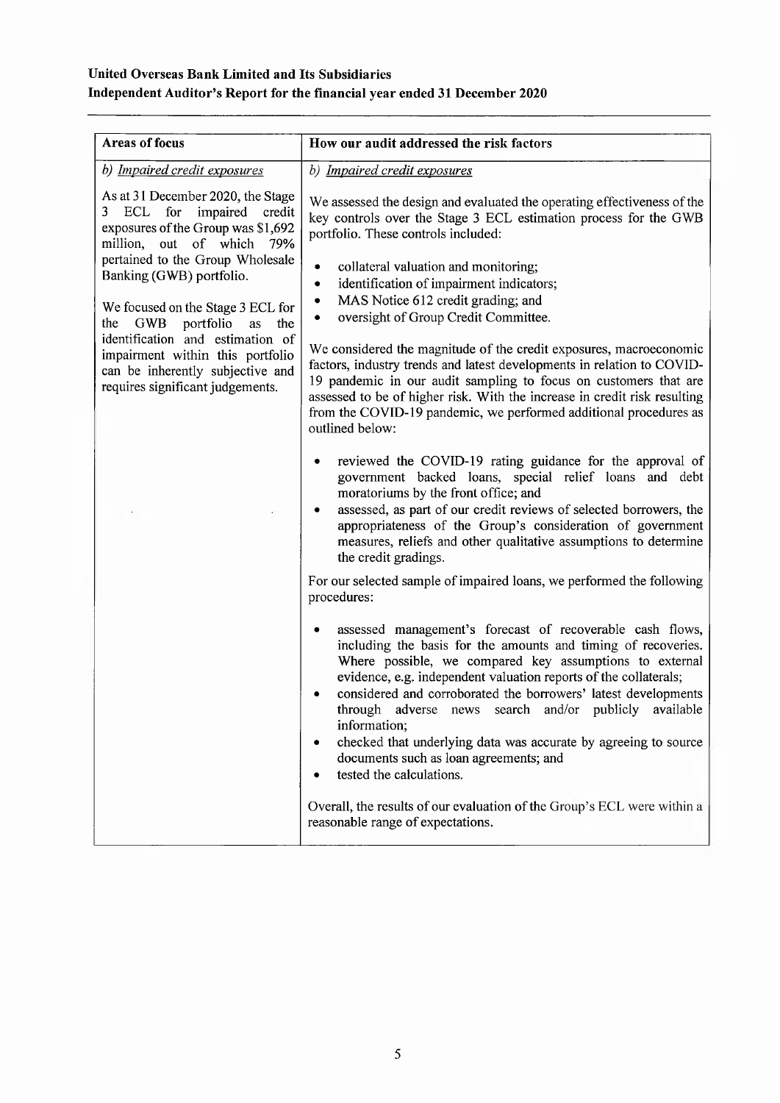## United Overseas Bank Limited and Its Subsidiaries Independent Auditor's Report for the financial year ended 31 December 2020

| <b>Areas of focus</b>                                                                                                                        | How our audit addressed the risk factors                                                                                                                                                                                                                                                                                                                                                                                                                                                                                                      |
|----------------------------------------------------------------------------------------------------------------------------------------------|-----------------------------------------------------------------------------------------------------------------------------------------------------------------------------------------------------------------------------------------------------------------------------------------------------------------------------------------------------------------------------------------------------------------------------------------------------------------------------------------------------------------------------------------------|
| b) Impaired credit exposures                                                                                                                 | b) Impaired credit exposures                                                                                                                                                                                                                                                                                                                                                                                                                                                                                                                  |
| As at 31 December 2020, the Stage<br>ECL for impaired<br>3<br>credit<br>exposures of the Group was \$1,692<br>million, out of which 79%      | We assessed the design and evaluated the operating effectiveness of the<br>key controls over the Stage 3 ECL estimation process for the GWB<br>portfolio. These controls included:                                                                                                                                                                                                                                                                                                                                                            |
| pertained to the Group Wholesale<br>Banking (GWB) portfolio.                                                                                 | collateral valuation and monitoring;<br>٠<br>identification of impairment indicators;<br>٠                                                                                                                                                                                                                                                                                                                                                                                                                                                    |
| We focused on the Stage 3 ECL for<br>the GWB<br>portfolio<br>the<br>as                                                                       | MAS Notice 612 credit grading; and<br>٠<br>oversight of Group Credit Committee.<br>٠                                                                                                                                                                                                                                                                                                                                                                                                                                                          |
| identification and estimation of<br>impairment within this portfolio<br>can be inherently subjective and<br>requires significant judgements. | We considered the magnitude of the credit exposures, macroeconomic<br>factors, industry trends and latest developments in relation to COVID-<br>19 pandemic in our audit sampling to focus on customers that are<br>assessed to be of higher risk. With the increase in credit risk resulting<br>from the COVID-19 pandemic, we performed additional procedures as<br>outlined below:                                                                                                                                                         |
|                                                                                                                                              | reviewed the COVID-19 rating guidance for the approval of<br>government backed loans, special relief loans and debt<br>moratoriums by the front office; and<br>assessed, as part of our credit reviews of selected borrowers, the<br>appropriateness of the Group's consideration of government<br>measures, reliefs and other qualitative assumptions to determine<br>the credit gradings.                                                                                                                                                   |
|                                                                                                                                              | For our selected sample of impaired loans, we performed the following<br>procedures:                                                                                                                                                                                                                                                                                                                                                                                                                                                          |
|                                                                                                                                              | assessed management's forecast of recoverable cash flows,<br>including the basis for the amounts and timing of recoveries.<br>Where possible, we compared key assumptions to external<br>evidence, e.g. independent valuation reports of the collaterals;<br>considered and corroborated the borrowers' latest developments<br>through adverse news search and/or publicly available<br>information,<br>checked that underlying data was accurate by agreeing to source<br>documents such as loan agreements; and<br>tested the calculations. |
|                                                                                                                                              | Overall, the results of our evaluation of the Group's ECL were within a<br>reasonable range of expectations.                                                                                                                                                                                                                                                                                                                                                                                                                                  |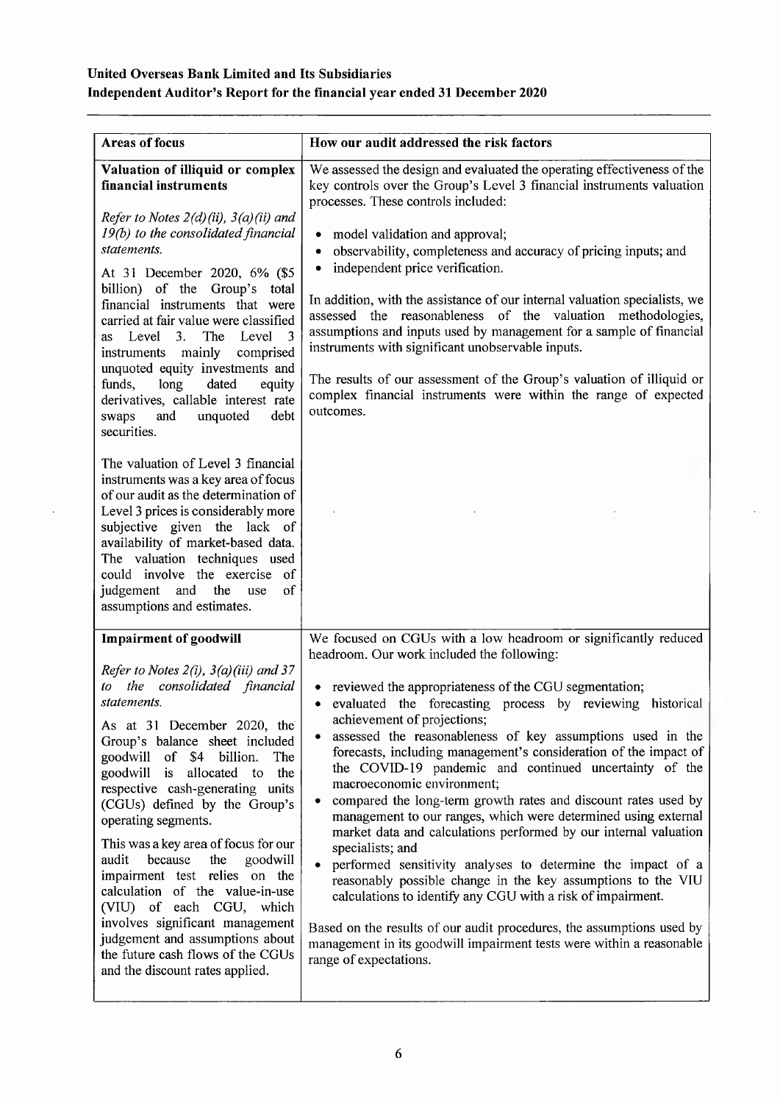## United Overseas Bank Limited and Its Subsidiaries Independent Auditor's Report for the financial year ended 31 December 2020

| <b>Areas of focus</b>                                                                                                                                                                                                                                                                                                                                                                                                                                                                                                                                                                                                                                               | How our audit addressed the risk factors                                                                                                                                                                                                                                                                                                                                                                                                                                                                                                                                                                                                                                                                                                                                                                                                                                                                                                                                              |
|---------------------------------------------------------------------------------------------------------------------------------------------------------------------------------------------------------------------------------------------------------------------------------------------------------------------------------------------------------------------------------------------------------------------------------------------------------------------------------------------------------------------------------------------------------------------------------------------------------------------------------------------------------------------|---------------------------------------------------------------------------------------------------------------------------------------------------------------------------------------------------------------------------------------------------------------------------------------------------------------------------------------------------------------------------------------------------------------------------------------------------------------------------------------------------------------------------------------------------------------------------------------------------------------------------------------------------------------------------------------------------------------------------------------------------------------------------------------------------------------------------------------------------------------------------------------------------------------------------------------------------------------------------------------|
| Valuation of illiquid or complex<br>financial instruments<br>Refer to Notes $2(d)(ii)$ , $3(a)(ii)$ and<br>19(b) to the consolidated financial<br>statements.<br>At 31 December 2020, 6% (\$5<br>billion) of the<br>Group's total<br>financial instruments that were<br>carried at fair value were classified<br>as Level 3.<br>The<br>Level<br>3<br>mainly<br>comprised<br>instruments<br>unquoted equity investments and<br>funds,<br>long<br>dated<br>equity<br>derivatives, callable interest rate<br>and<br>unquoted<br>debt<br>swaps                                                                                                                          | We assessed the design and evaluated the operating effectiveness of the<br>key controls over the Group's Level 3 financial instruments valuation<br>processes. These controls included:<br>model validation and approval;<br>٠<br>observability, completeness and accuracy of pricing inputs; and<br>$\bullet$<br>independent price verification.<br>$\bullet$<br>In addition, with the assistance of our internal valuation specialists, we<br>assessed the reasonableness of the valuation methodologies,<br>assumptions and inputs used by management for a sample of financial<br>instruments with significant unobservable inputs.<br>The results of our assessment of the Group's valuation of illiquid or<br>complex financial instruments were within the range of expected<br>outcomes.                                                                                                                                                                                      |
| securities.<br>The valuation of Level 3 financial<br>instruments was a key area of focus<br>of our audit as the determination of<br>Level 3 prices is considerably more<br>subjective given the lack of<br>availability of market-based data.<br>The valuation techniques used<br>could involve the exercise of<br>the<br>of<br>judgement and<br>use<br>assumptions and estimates.                                                                                                                                                                                                                                                                                  |                                                                                                                                                                                                                                                                                                                                                                                                                                                                                                                                                                                                                                                                                                                                                                                                                                                                                                                                                                                       |
| <b>Impairment of goodwill</b>                                                                                                                                                                                                                                                                                                                                                                                                                                                                                                                                                                                                                                       | We focused on CGUs with a low headroom or significantly reduced<br>headroom. Our work included the following:                                                                                                                                                                                                                                                                                                                                                                                                                                                                                                                                                                                                                                                                                                                                                                                                                                                                         |
| Refer to Notes $2(i)$ , $3(a)(iii)$ and 37<br>consolidated financial<br>the<br>to<br>statements.<br>As at 31 December 2020, the<br>Group's balance sheet included<br>goodwill of \$4 billion.<br>The<br>goodwill is<br>allocated to<br>the<br>respective cash-generating units<br>(CGUs) defined by the Group's<br>operating segments.<br>This was a key area of focus for our<br>audit<br>because<br>the<br>goodwill<br>impairment test relies on the<br>calculation of the value-in-use<br>(VIU) of each CGU, which<br>involves significant management<br>judgement and assumptions about<br>the future cash flows of the CGUs<br>and the discount rates applied. | reviewed the appropriateness of the CGU segmentation;<br>evaluated the forecasting process by reviewing historical<br>٠<br>achievement of projections;<br>assessed the reasonableness of key assumptions used in the<br>forecasts, including management's consideration of the impact of<br>the COVID-19 pandemic and continued uncertainty of the<br>macroeconomic environment;<br>compared the long-term growth rates and discount rates used by<br>management to our ranges, which were determined using external<br>market data and calculations performed by our internal valuation<br>specialists; and<br>performed sensitivity analyses to determine the impact of a<br>reasonably possible change in the key assumptions to the VIU<br>calculations to identify any CGU with a risk of impairment.<br>Based on the results of our audit procedures, the assumptions used by<br>management in its goodwill impairment tests were within a reasonable<br>range of expectations. |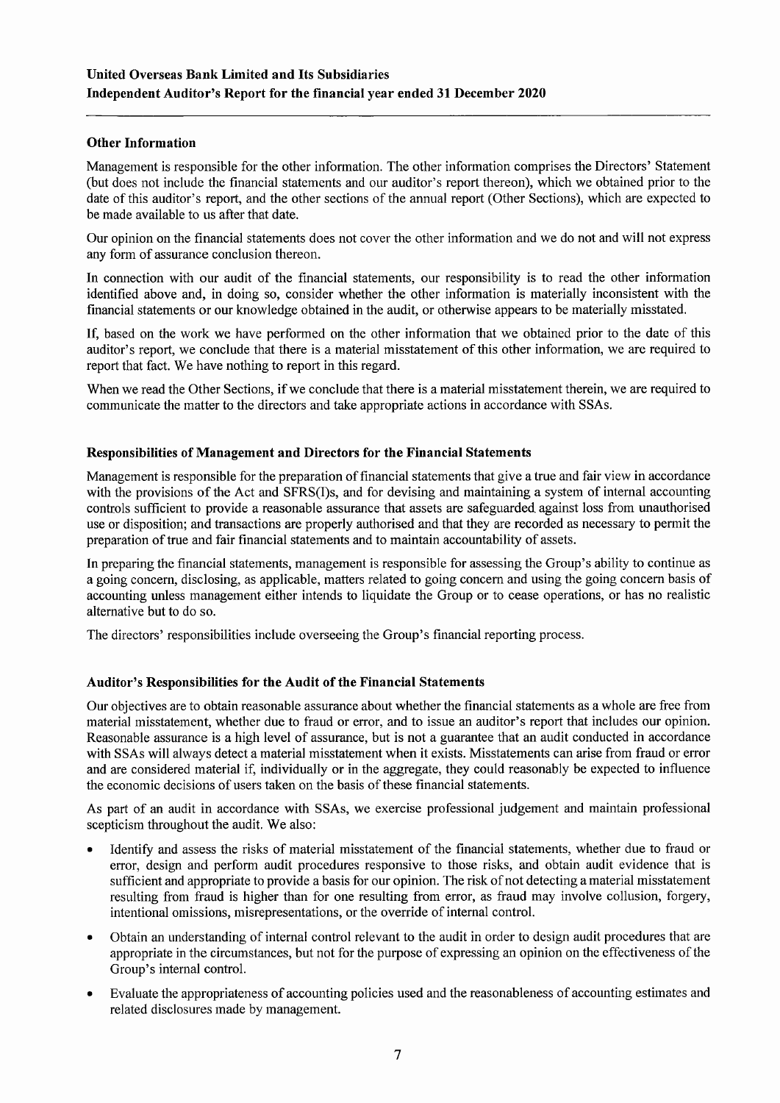## **Other Information**

Management is responsible for the other information. The other information comprises the Directors' Statement (but does not include the financial statements and our auditor's report thereon), which we obtained prior to the date of this auditor's report, and the other sections of the annual report (Other Sections), which are expected to be made available to us after that date.

Our opinion on the financial statements does not cover the other information and we do not and will not express any form of assurance conclusion thereon.

In connection with our audit of the financial statements, our responsibility is to read the other information identified above and, in doing so, consider whether the other information is materially inconsistent with the financial statements or our knowledge obtained in the audit, or otherwise appears to be materially misstated.

If, based on the work we have performed on the other information that we obtained prior to the date of this auditor's report, we conclude that there is a material misstatement of this other information, we are required to report that fact. We have nothing to report in this regard.

When we read the Other Sections, if we conclude that there is a material misstatement therein, we are required to communicate the matter to the directors and take appropriate actions in accordance with SSAs.

## Responsibilities of Management and Directors for the Financial Statements

Management is responsible for the preparation of financial statements that give a true and fair view in accordance with the provisions of the Act and SFRS(I)s, and for devising and maintaining a system of internal accounting controls sufficient to provide a reasonable assurance that assets are safeguarded against loss from unauthorised use or disposition; and transactions are properly authorised and that they are recorded as necessary to permit the preparation of true and fair financial statements and to maintain accountability of assets.

In preparing the financial statements, management is responsible for assessing the Group's ability to continue as a going concern, disclosing, as applicable, matters related to going concern and using the going concern basis of accounting unless management either intends to liquidate the Group or to cease operations, or has no realistic alternative but to do so.

The directors' responsibilities include overseeing the Group's financial reporting process.

## Auditor's Responsibilities for the Audit of the Financial Statements

Our objectives are to obtain reasonable assurance about whether the financial statements as a whole are free from material misstatement, whether due to fraud or error, and to issue an auditor's report that includes our opinion. Reasonable assurance is a high level of assurance, but is not a guarantee that an audit conducted in accordance with SSAs will always detect a material misstatement when it exists. Misstatements can arise from fraud or error and are considered material if, individually or in the aggregate, they could reasonably be expected to influence the economic decisions of users taken on the basis of these financial statements.

As part of an audit in accordance with SSAs, we exercise professional judgement and maintain professional scepticism throughout the audit. We also:

- Identify and assess the risks of material misstatement of the financial statements, whether due to fraud or error, design and perform audit procedures responsive to those risks, and obtain audit evidence that is sufficient and appropriate to provide a basis for our opinion. The risk of not detecting a material misstatement resulting from fraud is higher than for one resulting from error, as fraud may involve collusion, forgery, intentional omissions, misrepresentations, or the override of internal control.
- Obtain an understanding of internal control relevant to the audit in order to design audit procedures that are appropriate in the circumstances, but not for the purpose of expressing an opinion on the effectiveness of the Group's internal control.
- Evaluate the appropriateness of accounting policies used and the reasonableness of accounting estimates and  $\bullet$ related disclosures made by management.